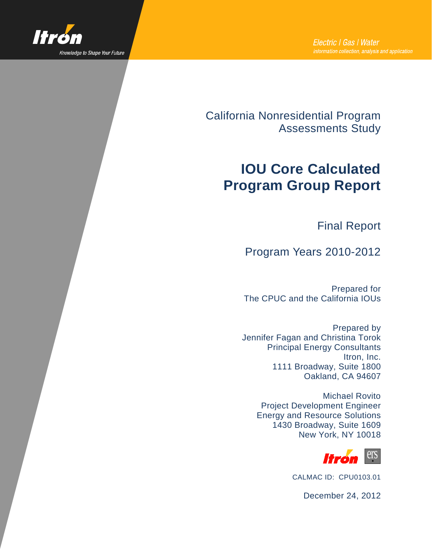

California Nonresidential Program Assessments Study

# **IOU Core Calculated Program Group Report**

Final Report

Program Years 2010-2012

Prepared for The CPUC and the California IOUs

Prepared by Jennifer Fagan and Christina Torok Principal Energy Consultants Itron, Inc. 1111 Broadway, Suite 1800 Oakland, CA 94607

> Michael Rovito Project Development Engineer Energy and Resource Solutions 1430 Broadway, Suite 1609 New York, NY 10018



CALMAC ID: CPU0103.01

December 24, 2012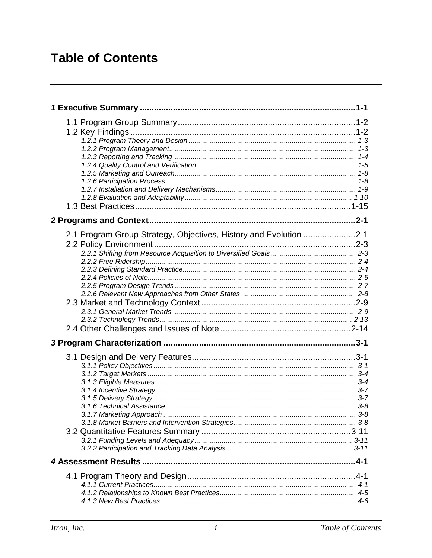# **Table of Contents**

| 2.1 Program Group Strategy, Objectives, History and Evolution 2-1 |  |
|-------------------------------------------------------------------|--|
|                                                                   |  |
|                                                                   |  |
|                                                                   |  |
|                                                                   |  |
|                                                                   |  |
|                                                                   |  |
|                                                                   |  |
|                                                                   |  |
|                                                                   |  |
|                                                                   |  |
|                                                                   |  |
|                                                                   |  |
|                                                                   |  |
|                                                                   |  |
|                                                                   |  |
|                                                                   |  |
|                                                                   |  |
|                                                                   |  |
|                                                                   |  |
|                                                                   |  |
|                                                                   |  |
|                                                                   |  |
|                                                                   |  |
|                                                                   |  |
|                                                                   |  |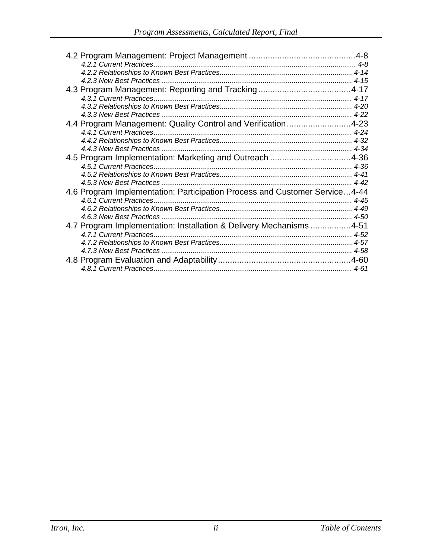| 4.4 Program Management: Quality Control and Verification4-23               |  |
|----------------------------------------------------------------------------|--|
|                                                                            |  |
|                                                                            |  |
|                                                                            |  |
| 4.5 Program Implementation: Marketing and Outreach 4-36                    |  |
|                                                                            |  |
|                                                                            |  |
|                                                                            |  |
| 4.6 Program Implementation: Participation Process and Customer Service4-44 |  |
|                                                                            |  |
|                                                                            |  |
|                                                                            |  |
| 4.7 Program Implementation: Installation & Delivery Mechanisms 4-51        |  |
|                                                                            |  |
|                                                                            |  |
|                                                                            |  |
|                                                                            |  |
|                                                                            |  |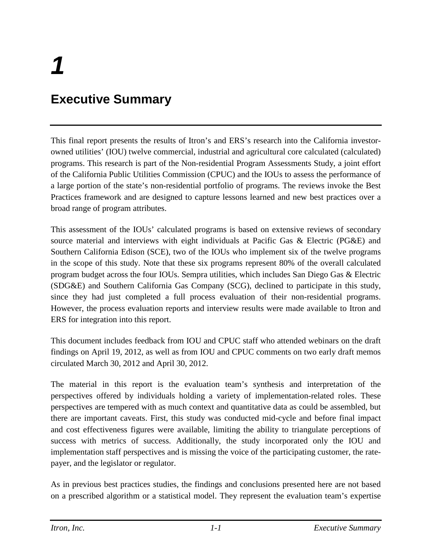# <span id="page-3-0"></span>**Executive Summary**

This final report presents the results of Itron's and ERS's research into the California investorowned utilities' (IOU) twelve commercial, industrial and agricultural core calculated (calculated) programs. This research is part of the Non-residential Program Assessments Study, a joint effort of the California Public Utilities Commission (CPUC) and the IOUs to assess the performance of a large portion of the state's non-residential portfolio of programs. The reviews invoke the Best Practices framework and are designed to capture lessons learned and new best practices over a broad range of program attributes.

This assessment of the IOUs' calculated programs is based on extensive reviews of secondary source material and interviews with eight individuals at Pacific Gas & Electric (PG&E) and Southern California Edison (SCE), two of the IOUs who implement six of the twelve programs in the scope of this study. Note that these six programs represent 80% of the overall calculated program budget across the four IOUs. Sempra utilities, which includes San Diego Gas & Electric (SDG&E) and Southern California Gas Company (SCG), declined to participate in this study, since they had just completed a full process evaluation of their non-residential programs. However, the process evaluation reports and interview results were made available to Itron and ERS for integration into this report.

This document includes feedback from IOU and CPUC staff who attended webinars on the draft findings on April 19, 2012, as well as from IOU and CPUC comments on two early draft memos circulated March 30, 2012 and April 30, 2012.

The material in this report is the evaluation team's synthesis and interpretation of the perspectives offered by individuals holding a variety of implementation-related roles. These perspectives are tempered with as much context and quantitative data as could be assembled, but there are important caveats. First, this study was conducted mid-cycle and before final impact and cost effectiveness figures were available, limiting the ability to triangulate perceptions of success with metrics of success. Additionally, the study incorporated only the IOU and implementation staff perspectives and is missing the voice of the participating customer, the ratepayer, and the legislator or regulator.

As in previous best practices studies, the findings and conclusions presented here are not based on a prescribed algorithm or a statistical model. They represent the evaluation team's expertise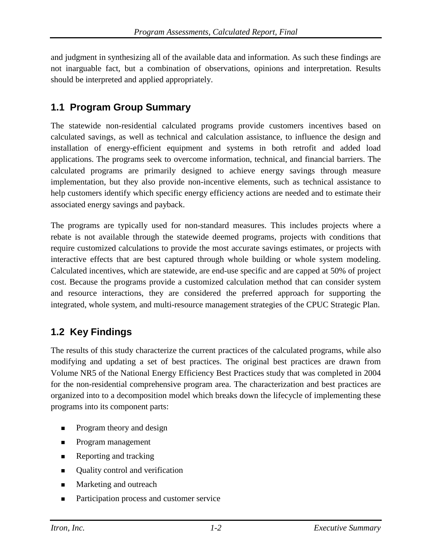and judgment in synthesizing all of the available data and information. As such these findings are not inarguable fact, but a combination of observations, opinions and interpretation. Results should be interpreted and applied appropriately.

## <span id="page-4-0"></span>**1.1 Program Group Summary**

The statewide non-residential calculated programs provide customers incentives based on calculated savings, as well as technical and calculation assistance, to influence the design and installation of energy-efficient equipment and systems in both retrofit and added load applications. The programs seek to overcome information, technical, and financial barriers. The calculated programs are primarily designed to achieve energy savings through measure implementation, but they also provide non-incentive elements, such as technical assistance to help customers identify which specific energy efficiency actions are needed and to estimate their associated energy savings and payback.

The programs are typically used for non-standard measures. This includes projects where a rebate is not available through the statewide deemed programs, projects with conditions that require customized calculations to provide the most accurate savings estimates, or projects with interactive effects that are best captured through whole building or whole system modeling. Calculated incentives, which are statewide, are end-use specific and are capped at 50% of project cost. Because the programs provide a customized calculation method that can consider system and resource interactions, they are considered the preferred approach for supporting the integrated, whole system, and multi-resource management strategies of the CPUC Strategic Plan.

# <span id="page-4-1"></span>**1.2 Key Findings**

The results of this study characterize the current practices of the calculated programs, while also modifying and updating a set of best practices. The original best practices are drawn from Volume NR5 of the National Energy Efficiency Best Practices study that was completed in 2004 for the non-residential comprehensive program area. The characterization and best practices are organized into to a decomposition model which breaks down the lifecycle of implementing these programs into its component parts:

- Program theory and design
- Program management
- **Reporting and tracking**
- Quality control and verification
- Marketing and outreach
- Participation process and customer service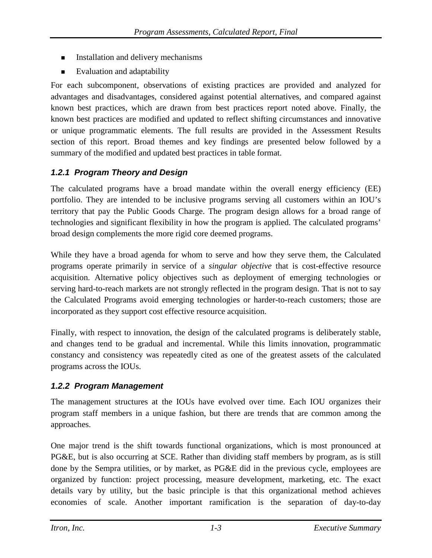- Installation and delivery mechanisms
- Evaluation and adaptability

For each subcomponent, observations of existing practices are provided and analyzed for advantages and disadvantages, considered against potential alternatives, and compared against known best practices, which are drawn from best practices report noted above. Finally, the known best practices are modified and updated to reflect shifting circumstances and innovative or unique programmatic elements. The full results are provided in the Assessment Results section of this report. Broad themes and key findings are presented below followed by a summary of the modified and updated best practices in table format.

## <span id="page-5-0"></span>*1.2.1 Program Theory and Design*

The calculated programs have a broad mandate within the overall energy efficiency (EE) portfolio. They are intended to be inclusive programs serving all customers within an IOU's territory that pay the Public Goods Charge. The program design allows for a broad range of technologies and significant flexibility in how the program is applied. The calculated programs' broad design complements the more rigid core deemed programs.

While they have a broad agenda for whom to serve and how they serve them, the Calculated programs operate primarily in service of a *singular objective* that is cost-effective resource acquisition. Alternative policy objectives such as deployment of emerging technologies or serving hard-to-reach markets are not strongly reflected in the program design. That is not to say the Calculated Programs avoid emerging technologies or harder-to-reach customers; those are incorporated as they support cost effective resource acquisition.

Finally, with respect to innovation, the design of the calculated programs is deliberately stable, and changes tend to be gradual and incremental. While this limits innovation, programmatic constancy and consistency was repeatedly cited as one of the greatest assets of the calculated programs across the IOUs.

## <span id="page-5-1"></span>*1.2.2 Program Management*

The management structures at the IOUs have evolved over time. Each IOU organizes their program staff members in a unique fashion, but there are trends that are common among the approaches.

One major trend is the shift towards functional organizations, which is most pronounced at PG&E, but is also occurring at SCE. Rather than dividing staff members by program, as is still done by the Sempra utilities, or by market, as PG&E did in the previous cycle, employees are organized by function: project processing, measure development, marketing, etc. The exact details vary by utility, but the basic principle is that this organizational method achieves economies of scale. Another important ramification is the separation of day-to-day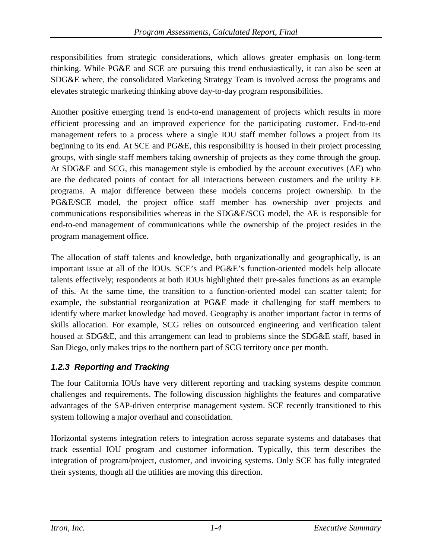responsibilities from strategic considerations, which allows greater emphasis on long-term thinking. While PG&E and SCE are pursuing this trend enthusiastically, it can also be seen at SDG&E where, the consolidated Marketing Strategy Team is involved across the programs and elevates strategic marketing thinking above day-to-day program responsibilities.

Another positive emerging trend is end-to-end management of projects which results in more efficient processing and an improved experience for the participating customer. End-to-end management refers to a process where a single IOU staff member follows a project from its beginning to its end. At SCE and PG&E, this responsibility is housed in their project processing groups, with single staff members taking ownership of projects as they come through the group. At SDG&E and SCG, this management style is embodied by the account executives (AE) who are the dedicated points of contact for all interactions between customers and the utility EE programs. A major difference between these models concerns project ownership. In the PG&E/SCE model, the project office staff member has ownership over projects and communications responsibilities whereas in the SDG&E/SCG model, the AE is responsible for end-to-end management of communications while the ownership of the project resides in the program management office.

The allocation of staff talents and knowledge, both organizationally and geographically, is an important issue at all of the IOUs. SCE's and PG&E's function-oriented models help allocate talents effectively; respondents at both IOUs highlighted their pre-sales functions as an example of this. At the same time, the transition to a function-oriented model can scatter talent; for example, the substantial reorganization at PG&E made it challenging for staff members to identify where market knowledge had moved. Geography is another important factor in terms of skills allocation. For example, SCG relies on outsourced engineering and verification talent housed at SDG&E, and this arrangement can lead to problems since the SDG&E staff, based in San Diego, only makes trips to the northern part of SCG territory once per month.

## <span id="page-6-0"></span>*1.2.3 Reporting and Tracking*

The four California IOUs have very different reporting and tracking systems despite common challenges and requirements. The following discussion highlights the features and comparative advantages of the SAP-driven enterprise management system. SCE recently transitioned to this system following a major overhaul and consolidation.

Horizontal systems integration refers to integration across separate systems and databases that track essential IOU program and customer information. Typically, this term describes the integration of program/project, customer, and invoicing systems. Only SCE has fully integrated their systems, though all the utilities are moving this direction.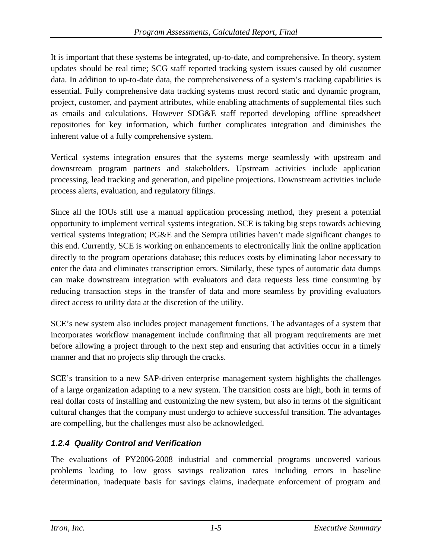It is important that these systems be integrated, up-to-date, and comprehensive. In theory, system updates should be real time; SCG staff reported tracking system issues caused by old customer data. In addition to up-to-date data, the comprehensiveness of a system's tracking capabilities is essential. Fully comprehensive data tracking systems must record static and dynamic program, project, customer, and payment attributes, while enabling attachments of supplemental files such as emails and calculations. However SDG&E staff reported developing offline spreadsheet repositories for key information, which further complicates integration and diminishes the inherent value of a fully comprehensive system.

Vertical systems integration ensures that the systems merge seamlessly with upstream and downstream program partners and stakeholders. Upstream activities include application processing, lead tracking and generation, and pipeline projections. Downstream activities include process alerts, evaluation, and regulatory filings.

Since all the IOUs still use a manual application processing method, they present a potential opportunity to implement vertical systems integration. SCE is taking big steps towards achieving vertical systems integration; PG&E and the Sempra utilities haven't made significant changes to this end. Currently, SCE is working on enhancements to electronically link the online application directly to the program operations database; this reduces costs by eliminating labor necessary to enter the data and eliminates transcription errors. Similarly, these types of automatic data dumps can make downstream integration with evaluators and data requests less time consuming by reducing transaction steps in the transfer of data and more seamless by providing evaluators direct access to utility data at the discretion of the utility.

SCE's new system also includes project management functions. The advantages of a system that incorporates workflow management include confirming that all program requirements are met before allowing a project through to the next step and ensuring that activities occur in a timely manner and that no projects slip through the cracks.

SCE's transition to a new SAP-driven enterprise management system highlights the challenges of a large organization adapting to a new system. The transition costs are high, both in terms of real dollar costs of installing and customizing the new system, but also in terms of the significant cultural changes that the company must undergo to achieve successful transition. The advantages are compelling, but the challenges must also be acknowledged.

## <span id="page-7-0"></span>*1.2.4 Quality Control and Verification*

The evaluations of PY2006-2008 industrial and commercial programs uncovered various problems leading to low gross savings realization rates including errors in baseline determination, inadequate basis for savings claims, inadequate enforcement of program and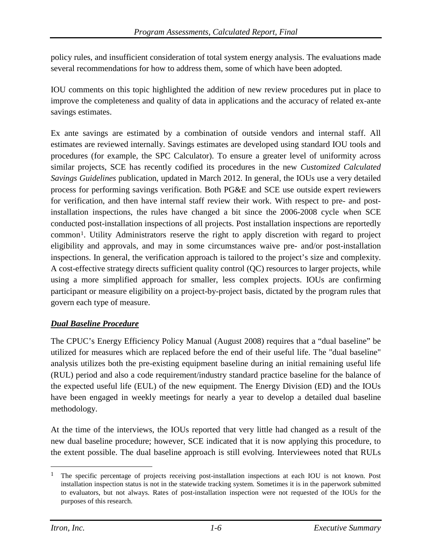policy rules, and insufficient consideration of total system energy analysis. The evaluations made several recommendations for how to address them, some of which have been adopted.

IOU comments on this topic highlighted the addition of new review procedures put in place to improve the completeness and quality of data in applications and the accuracy of related ex-ante savings estimates.

Ex ante savings are estimated by a combination of outside vendors and internal staff. All estimates are reviewed internally. Savings estimates are developed using standard IOU tools and procedures (for example, the SPC Calculator). To ensure a greater level of uniformity across similar projects, SCE has recently codified its procedures in the new *Customized Calculated Savings Guidelines* publication, updated in March 2012. In general, the IOUs use a very detailed process for performing savings verification. Both PG&E and SCE use outside expert reviewers for verification, and then have internal staff review their work. With respect to pre- and postinstallation inspections, the rules have changed a bit since the 2006-2008 cycle when SCE conducted post-installation inspections of all projects. Post installation inspections are reportedly commo[n1](#page-8-0). Utility Administrators reserve the right to apply discretion with regard to project eligibility and approvals, and may in some circumstances waive pre- and/or post-installation inspections. In general, the verification approach is tailored to the project's size and complexity. A cost-effective strategy directs sufficient quality control (QC) resources to larger projects, while using a more simplified approach for smaller, less complex projects. IOUs are confirming participant or measure eligibility on a project-by-project basis, dictated by the program rules that govern each type of measure.

### *Dual Baseline Procedure*

The CPUC's Energy Efficiency Policy Manual (August 2008) requires that a "dual baseline" be utilized for measures which are replaced before the end of their useful life. The "dual baseline" analysis utilizes both the pre-existing equipment baseline during an initial remaining useful life (RUL) period and also a code requirement/industry standard practice baseline for the balance of the expected useful life (EUL) of the new equipment. The Energy Division (ED) and the IOUs have been engaged in weekly meetings for nearly a year to develop a detailed dual baseline methodology.

At the time of the interviews, the IOUs reported that very little had changed as a result of the new dual baseline procedure; however, SCE indicated that it is now applying this procedure, to the extent possible. The dual baseline approach is still evolving. Interviewees noted that RULs

<span id="page-8-0"></span><sup>&</sup>lt;sup>1</sup> The specific percentage of projects receiving post-installation inspections at each IOU is not known. Post installation inspection status is not in the statewide tracking system. Sometimes it is in the paperwork submitted to evaluators, but not always. Rates of post-installation inspection were not requested of the IOUs for the purposes of this research.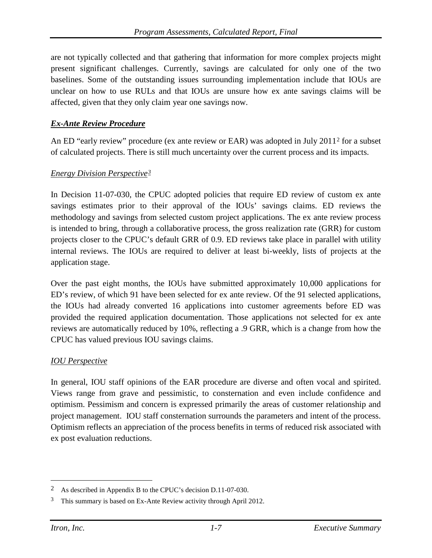are not typically collected and that gathering that information for more complex projects might present significant challenges. Currently, savings are calculated for only one of the two baselines. Some of the outstanding issues surrounding implementation include that IOUs are unclear on how to use RULs and that IOUs are unsure how ex ante savings claims will be affected, given that they only claim year one savings now.

#### *Ex-Ante Review Procedure*

An ED "early review" procedure (ex ante review or EAR) was adopted in July 2011[2](#page-9-0) for a subset of calculated projects. There is still much uncertainty over the current process and its impacts.

#### *Energy Division Perspective[3](#page-9-1)*

In Decision 11-07-030, the CPUC adopted policies that require ED review of custom ex ante savings estimates prior to their approval of the IOUs' savings claims. ED reviews the methodology and savings from selected custom project applications. The ex ante review process is intended to bring, through a collaborative process, the gross realization rate (GRR) for custom projects closer to the CPUC's default GRR of 0.9. ED reviews take place in parallel with utility internal reviews. The IOUs are required to deliver at least bi-weekly, lists of projects at the application stage.

Over the past eight months, the IOUs have submitted approximately 10,000 applications for ED's review, of which 91 have been selected for ex ante review. Of the 91 selected applications, the IOUs had already converted 16 applications into customer agreements before ED was provided the required application documentation. Those applications not selected for ex ante reviews are automatically reduced by 10%, reflecting a .9 GRR, which is a change from how the CPUC has valued previous IOU savings claims.

#### *IOU Perspective*

In general, IOU staff opinions of the EAR procedure are diverse and often vocal and spirited. Views range from grave and pessimistic, to consternation and even include confidence and optimism. Pessimism and concern is expressed primarily the areas of customer relationship and project management. IOU staff consternation surrounds the parameters and intent of the process. Optimism reflects an appreciation of the process benefits in terms of reduced risk associated with ex post evaluation reductions.

<span id="page-9-0"></span> <sup>2</sup> As described in Appendix B to the CPUC's decision D.11-07-030.

<span id="page-9-1"></span><sup>&</sup>lt;sup>3</sup> This summary is based on Ex-Ante Review activity through April 2012.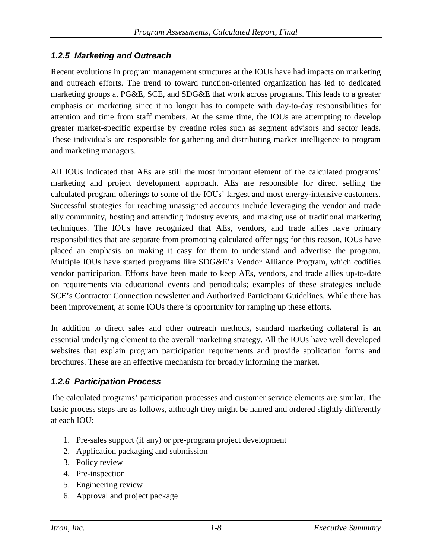### <span id="page-10-0"></span>*1.2.5 Marketing and Outreach*

Recent evolutions in program management structures at the IOUs have had impacts on marketing and outreach efforts. The trend to toward function-oriented organization has led to dedicated marketing groups at PG&E, SCE, and SDG&E that work across programs. This leads to a greater emphasis on marketing since it no longer has to compete with day-to-day responsibilities for attention and time from staff members. At the same time, the IOUs are attempting to develop greater market-specific expertise by creating roles such as segment advisors and sector leads. These individuals are responsible for gathering and distributing market intelligence to program and marketing managers.

All IOUs indicated that AEs are still the most important element of the calculated programs' marketing and project development approach. AEs are responsible for direct selling the calculated program offerings to some of the IOUs' largest and most energy-intensive customers. Successful strategies for reaching unassigned accounts include leveraging the vendor and trade ally community, hosting and attending industry events, and making use of traditional marketing techniques. The IOUs have recognized that AEs, vendors, and trade allies have primary responsibilities that are separate from promoting calculated offerings; for this reason, IOUs have placed an emphasis on making it easy for them to understand and advertise the program. Multiple IOUs have started programs like SDG&E's Vendor Alliance Program, which codifies vendor participation. Efforts have been made to keep AEs, vendors, and trade allies up-to-date on requirements via educational events and periodicals; examples of these strategies include SCE's Contractor Connection newsletter and Authorized Participant Guidelines. While there has been improvement, at some IOUs there is opportunity for ramping up these efforts.

In addition to direct sales and other outreach methods**,** standard marketing collateral is an essential underlying element to the overall marketing strategy. All the IOUs have well developed websites that explain program participation requirements and provide application forms and brochures. These are an effective mechanism for broadly informing the market.

## <span id="page-10-1"></span>*1.2.6 Participation Process*

The calculated programs' participation processes and customer service elements are similar. The basic process steps are as follows, although they might be named and ordered slightly differently at each IOU:

- 1. Pre-sales support (if any) or pre-program project development
- 2. Application packaging and submission
- 3. Policy review
- 4. Pre-inspection
- 5. Engineering review
- 6. Approval and project package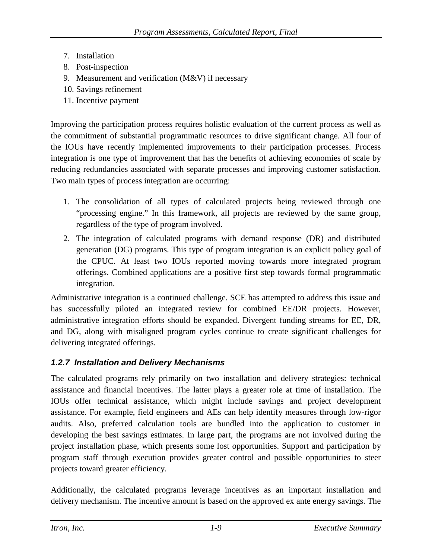- 7. Installation
- 8. Post-inspection
- 9. Measurement and verification (M&V) if necessary
- 10. Savings refinement
- 11. Incentive payment

Improving the participation process requires holistic evaluation of the current process as well as the commitment of substantial programmatic resources to drive significant change. All four of the IOUs have recently implemented improvements to their participation processes. Process integration is one type of improvement that has the benefits of achieving economies of scale by reducing redundancies associated with separate processes and improving customer satisfaction. Two main types of process integration are occurring:

- 1. The consolidation of all types of calculated projects being reviewed through one "processing engine." In this framework, all projects are reviewed by the same group, regardless of the type of program involved.
- 2. The integration of calculated programs with demand response (DR) and distributed generation (DG) programs. This type of program integration is an explicit policy goal of the CPUC. At least two IOUs reported moving towards more integrated program offerings. Combined applications are a positive first step towards formal programmatic integration.

Administrative integration is a continued challenge. SCE has attempted to address this issue and has successfully piloted an integrated review for combined EE/DR projects. However, administrative integration efforts should be expanded. Divergent funding streams for EE, DR, and DG, along with misaligned program cycles continue to create significant challenges for delivering integrated offerings.

## <span id="page-11-0"></span>*1.2.7 Installation and Delivery Mechanisms*

The calculated programs rely primarily on two installation and delivery strategies: technical assistance and financial incentives. The latter plays a greater role at time of installation. The IOUs offer technical assistance, which might include savings and project development assistance. For example, field engineers and AEs can help identify measures through low-rigor audits. Also, preferred calculation tools are bundled into the application to customer in developing the best savings estimates. In large part, the programs are not involved during the project installation phase, which presents some lost opportunities. Support and participation by program staff through execution provides greater control and possible opportunities to steer projects toward greater efficiency.

Additionally, the calculated programs leverage incentives as an important installation and delivery mechanism. The incentive amount is based on the approved ex ante energy savings. The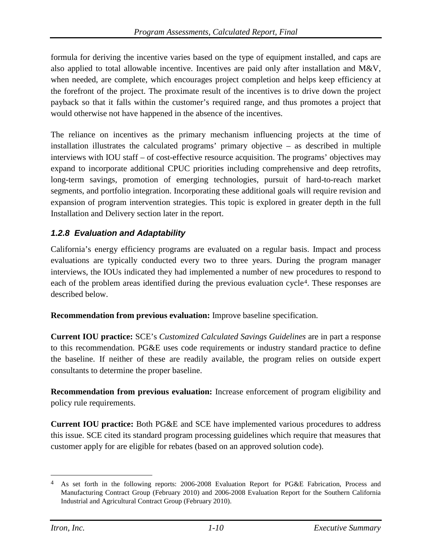formula for deriving the incentive varies based on the type of equipment installed, and caps are also applied to total allowable incentive. Incentives are paid only after installation and M&V, when needed, are complete, which encourages project completion and helps keep efficiency at the forefront of the project. The proximate result of the incentives is to drive down the project payback so that it falls within the customer's required range, and thus promotes a project that would otherwise not have happened in the absence of the incentives.

The reliance on incentives as the primary mechanism influencing projects at the time of installation illustrates the calculated programs' primary objective – as described in multiple interviews with IOU staff – of cost-effective resource acquisition. The programs' objectives may expand to incorporate additional CPUC priorities including comprehensive and deep retrofits, long-term savings, promotion of emerging technologies, pursuit of hard-to-reach market segments, and portfolio integration. Incorporating these additional goals will require revision and expansion of program intervention strategies. This topic is explored in greater depth in the full Installation and Delivery section later in the report.

### <span id="page-12-0"></span>*1.2.8 Evaluation and Adaptability*

California's energy efficiency programs are evaluated on a regular basis. Impact and process evaluations are typically conducted every two to three years. During the program manager interviews, the IOUs indicated they had implemented a number of new procedures to respond to each of the problem areas identified during the previous evaluation cycle<sup>[4](#page-12-1)</sup>. These responses are described below.

**Recommendation from previous evaluation:** Improve baseline specification.

**Current IOU practice:** SCE's *Customized Calculated Savings Guidelines* are in part a response to this recommendation. PG&E uses code requirements or industry standard practice to define the baseline. If neither of these are readily available, the program relies on outside expert consultants to determine the proper baseline.

**Recommendation from previous evaluation:** Increase enforcement of program eligibility and policy rule requirements.

**Current IOU practice:** Both PG&E and SCE have implemented various procedures to address this issue. SCE cited its standard program processing guidelines which require that measures that customer apply for are eligible for rebates (based on an approved solution code).

<span id="page-12-1"></span><sup>&</sup>lt;sup>4</sup> As set forth in the following reports: 2006-2008 Evaluation Report for PG&E Fabrication, Process and Manufacturing Contract Group (February 2010) and 2006-2008 Evaluation Report for the Southern California Industrial and Agricultural Contract Group (February 2010).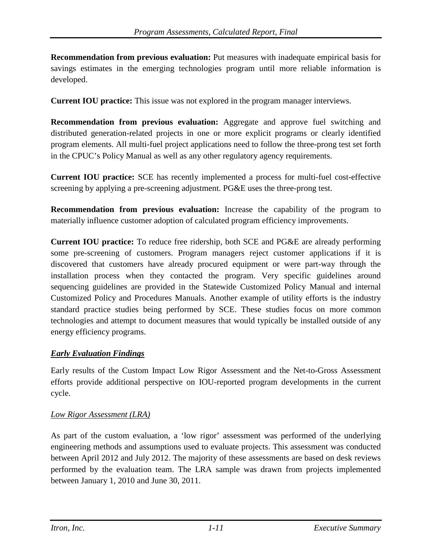**Recommendation from previous evaluation:** Put measures with inadequate empirical basis for savings estimates in the emerging technologies program until more reliable information is developed.

**Current IOU practice:** This issue was not explored in the program manager interviews.

**Recommendation from previous evaluation:** Aggregate and approve fuel switching and distributed generation-related projects in one or more explicit programs or clearly identified program elements. All multi-fuel project applications need to follow the three-prong test set forth in the CPUC's Policy Manual as well as any other regulatory agency requirements.

**Current IOU practice:** SCE has recently implemented a process for multi-fuel cost-effective screening by applying a pre-screening adjustment. PG&E uses the three-prong test.

**Recommendation from previous evaluation:** Increase the capability of the program to materially influence customer adoption of calculated program efficiency improvements.

**Current IOU practice:** To reduce free ridership, both SCE and PG&E are already performing some pre-screening of customers. Program managers reject customer applications if it is discovered that customers have already procured equipment or were part-way through the installation process when they contacted the program. Very specific guidelines around sequencing guidelines are provided in the Statewide Customized Policy Manual and internal Customized Policy and Procedures Manuals. Another example of utility efforts is the industry standard practice studies being performed by SCE. These studies focus on more common technologies and attempt to document measures that would typically be installed outside of any energy efficiency programs.

#### *Early Evaluation Findings*

Early results of the Custom Impact Low Rigor Assessment and the Net-to-Gross Assessment efforts provide additional perspective on IOU-reported program developments in the current cycle.

#### *Low Rigor Assessment (LRA)*

As part of the custom evaluation, a 'low rigor' assessment was performed of the underlying engineering methods and assumptions used to evaluate projects. This assessment was conducted between April 2012 and July 2012. The majority of these assessments are based on desk reviews performed by the evaluation team. The LRA sample was drawn from projects implemented between January 1, 2010 and June 30, 2011.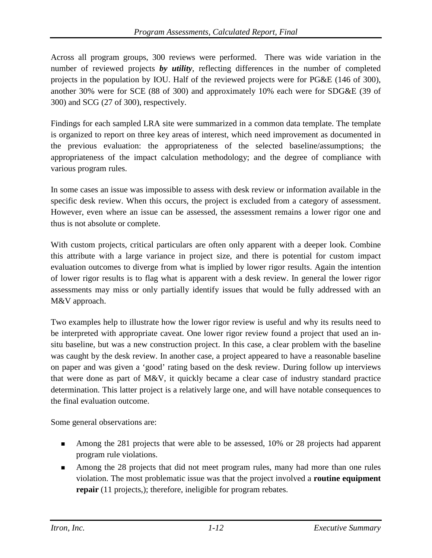Across all program groups, 300 reviews were performed. There was wide variation in the number of reviewed projects **by utility**, reflecting differences in the number of completed projects in the population by IOU. Half of the reviewed projects were for PG&E (146 of 300), another 30% were for SCE (88 of 300) and approximately 10% each were for SDG&E (39 of 300) and SCG (27 of 300), respectively.

Findings for each sampled LRA site were summarized in a common data template. The template is organized to report on three key areas of interest, which need improvement as documented in the previous evaluation: the appropriateness of the selected baseline/assumptions; the appropriateness of the impact calculation methodology; and the degree of compliance with various program rules.

In some cases an issue was impossible to assess with desk review or information available in the specific desk review. When this occurs, the project is excluded from a category of assessment. However, even where an issue can be assessed, the assessment remains a lower rigor one and thus is not absolute or complete.

With custom projects, critical particulars are often only apparent with a deeper look. Combine this attribute with a large variance in project size, and there is potential for custom impact evaluation outcomes to diverge from what is implied by lower rigor results. Again the intention of lower rigor results is to flag what is apparent with a desk review. In general the lower rigor assessments may miss or only partially identify issues that would be fully addressed with an M&V approach.

Two examples help to illustrate how the lower rigor review is useful and why its results need to be interpreted with appropriate caveat. One lower rigor review found a project that used an insitu baseline, but was a new construction project. In this case, a clear problem with the baseline was caught by the desk review. In another case, a project appeared to have a reasonable baseline on paper and was given a 'good' rating based on the desk review. During follow up interviews that were done as part of M&V, it quickly became a clear case of industry standard practice determination. This latter project is a relatively large one, and will have notable consequences to the final evaluation outcome.

Some general observations are:

- Among the 281 projects that were able to be assessed, 10% or 28 projects had apparent program rule violations.
- Among the 28 projects that did not meet program rules, many had more than one rules violation. The most problematic issue was that the project involved a **routine equipment repair** (11 projects,); therefore, ineligible for program rebates.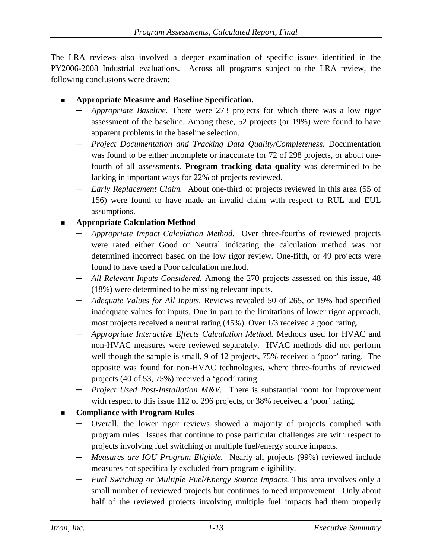The LRA reviews also involved a deeper examination of specific issues identified in the PY2006-2008 Industrial evaluations. Across all programs subject to the LRA review, the following conclusions were drawn:

- **Appropriate Measure and Baseline Specification.**
	- **─** *Appropriate Baseline.* There were 273 projects for which there was a low rigor assessment of the baseline. Among these, 52 projects (or 19%) were found to have apparent problems in the baseline selection.
	- **─** *Project Documentation and Tracking Data Quality/Completeness.* Documentation was found to be either incomplete or inaccurate for 72 of 298 projects, or about onefourth of all assessments. **Program tracking data quality** was determined to be lacking in important ways for 22% of projects reviewed.
	- **─** *Early Replacement Claim.* About one-third of projects reviewed in this area (55 of 156) were found to have made an invalid claim with respect to RUL and EUL assumptions.

#### **Appropriate Calculation Method**

- **─** *Appropriate Impact Calculation Method.* Over three-fourths of reviewed projects were rated either Good or Neutral indicating the calculation method was not determined incorrect based on the low rigor review. One-fifth, or 49 projects were found to have used a Poor calculation method.
- **─** *All Relevant Inputs Considered.* Among the 270 projects assessed on this issue, 48 (18%) were determined to be missing relevant inputs.
- **─** *Adequate Values for All Inputs.* Reviews revealed 50 of 265, or 19% had specified inadequate values for inputs. Due in part to the limitations of lower rigor approach, most projects received a neutral rating (45%). Over 1/3 received a good rating.
- **─** *Appropriate Interactive Effects Calculation Method.* Methods used for HVAC and non-HVAC measures were reviewed separately. HVAC methods did not perform well though the sample is small, 9 of 12 projects, 75% received a 'poor' rating. The opposite was found for non-HVAC technologies, where three-fourths of reviewed projects (40 of 53, 75%) received a 'good' rating.
- **─** *Project Used Post-Installation M&V.* There is substantial room for improvement with respect to this issue 112 of 296 projects, or 38% received a 'poor' rating.

### **Compliance with Program Rules**

- **─** Overall, the lower rigor reviews showed a majority of projects complied with program rules. Issues that continue to pose particular challenges are with respect to projects involving fuel switching or multiple fuel/energy source impacts.
- **─** *Measures are IOU Program Eligible.* Nearly all projects (99%) reviewed include measures not specifically excluded from program eligibility.
- **─** *Fuel Switching or Multiple Fuel/Energy Source Impacts.* This area involves only a small number of reviewed projects but continues to need improvement. Only about half of the reviewed projects involving multiple fuel impacts had them properly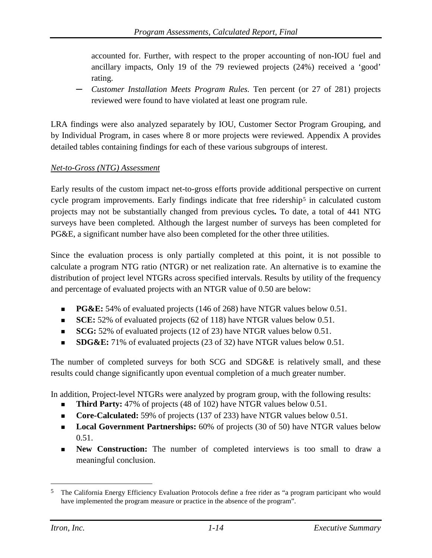accounted for. Further, with respect to the proper accounting of non-IOU fuel and ancillary impacts, Only 19 of the 79 reviewed projects (24%) received a 'good' rating.

**─** *Customer Installation Meets Program Rules.* Ten percent (or 27 of 281) projects reviewed were found to have violated at least one program rule.

LRA findings were also analyzed separately by IOU, Customer Sector Program Grouping, and by Individual Program, in cases where 8 or more projects were reviewed. Appendix A provides detailed tables containing findings for each of these various subgroups of interest.

#### *Net-to-Gross (NTG) Assessment*

Early results of the custom impact net-to-gross efforts provide additional perspective on current cycle program improvements. Early findings indicate that free ridership<sup>[5](#page-16-0)</sup> in calculated custom projects may not be substantially changed from previous cycles*.* To date, a total of 441 NTG surveys have been completed. Although the largest number of surveys has been completed for PG&E, a significant number have also been completed for the other three utilities.

Since the evaluation process is only partially completed at this point, it is not possible to calculate a program NTG ratio (NTGR) or net realization rate. An alternative is to examine the distribution of project level NTGRs across specified intervals. Results by utility of the frequency and percentage of evaluated projects with an NTGR value of 0.50 are below:

- **PG&E:** 54% of evaluated projects (146 of 268) have NTGR values below 0.51.
- **SCE:** 52% of evaluated projects (62 of 118) have NTGR values below 0.51.
- **SCG:** 52% of evaluated projects (12 of 23) have NTGR values below 0.51.
- **SDG&E:** 71% of evaluated projects (23 of 32) have NTGR values below 0.51.

The number of completed surveys for both SCG and SDG&E is relatively small, and these results could change significantly upon eventual completion of a much greater number.

In addition, Project-level NTGRs were analyzed by program group, with the following results:

- **Third Party:** 47% of projects (48 of 102) have NTGR values below 0.51.
- **Core-Calculated:** 59% of projects (137 of 233) have NTGR values below 0.51.
- **Local Government Partnerships:** 60% of projects (30 of 50) have NTGR values below 0.51.
- **New Construction:** The number of completed interviews is too small to draw a meaningful conclusion.

<span id="page-16-0"></span> <sup>5</sup> The California Energy Efficiency Evaluation Protocols define a free rider as "a program participant who would have implemented the program measure or practice in the absence of the program".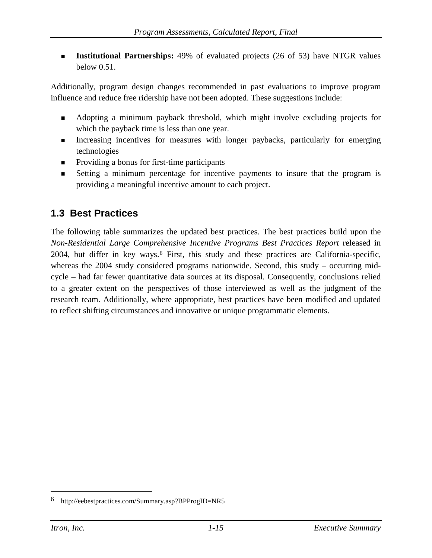**Institutional Partnerships:** 49% of evaluated projects (26 of 53) have NTGR values below 0.51.

Additionally, program design changes recommended in past evaluations to improve program influence and reduce free ridership have not been adopted. These suggestions include:

- Adopting a minimum payback threshold, which might involve excluding projects for which the payback time is less than one year.
- Increasing incentives for measures with longer paybacks, particularly for emerging technologies
- Providing a bonus for first-time participants
- Setting a minimum percentage for incentive payments to insure that the program is providing a meaningful incentive amount to each project.

# <span id="page-17-0"></span>**1.3 Best Practices**

The following table summarizes the updated best practices. The best practices build upon the *Non-Residential Large Comprehensive Incentive Programs Best Practices Report* released in 2004, but differ in key ways.[6](#page-17-1) First, this study and these practices are California-specific, whereas the 2004 study considered programs nationwide. Second, this study – occurring midcycle – had far fewer quantitative data sources at its disposal. Consequently, conclusions relied to a greater extent on the perspectives of those interviewed as well as the judgment of the research team. Additionally, where appropriate, best practices have been modified and updated to reflect shifting circumstances and innovative or unique programmatic elements.

<span id="page-17-1"></span> <sup>6</sup> <http://eebestpractices.com/Summary.asp?BPProgID=NR5>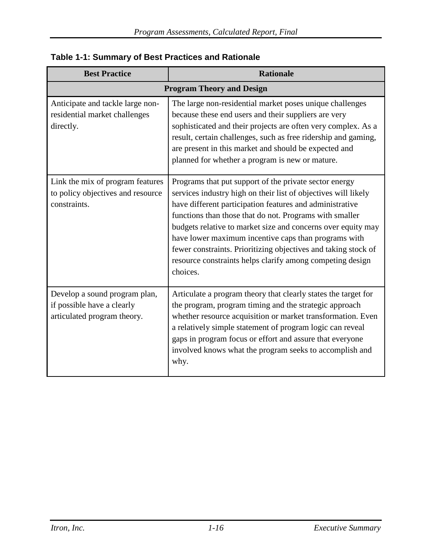| <b>Best Practice</b>                                                                       | <b>Rationale</b>                                                                                                                                                                                                                                                                                                                                                                                                                                                                                                   |
|--------------------------------------------------------------------------------------------|--------------------------------------------------------------------------------------------------------------------------------------------------------------------------------------------------------------------------------------------------------------------------------------------------------------------------------------------------------------------------------------------------------------------------------------------------------------------------------------------------------------------|
| <b>Program Theory and Design</b>                                                           |                                                                                                                                                                                                                                                                                                                                                                                                                                                                                                                    |
| Anticipate and tackle large non-<br>residential market challenges<br>directly.             | The large non-residential market poses unique challenges<br>because these end users and their suppliers are very<br>sophisticated and their projects are often very complex. As a<br>result, certain challenges, such as free ridership and gaming,<br>are present in this market and should be expected and<br>planned for whether a program is new or mature.                                                                                                                                                    |
| Link the mix of program features<br>to policy objectives and resource<br>constraints.      | Programs that put support of the private sector energy<br>services industry high on their list of objectives will likely<br>have different participation features and administrative<br>functions than those that do not. Programs with smaller<br>budgets relative to market size and concerns over equity may<br>have lower maximum incentive caps than programs with<br>fewer constraints. Prioritizing objectives and taking stock of<br>resource constraints helps clarify among competing design<br>choices. |
| Develop a sound program plan,<br>if possible have a clearly<br>articulated program theory. | Articulate a program theory that clearly states the target for<br>the program, program timing and the strategic approach<br>whether resource acquisition or market transformation. Even<br>a relatively simple statement of program logic can reveal<br>gaps in program focus or effort and assure that everyone<br>involved knows what the program seeks to accomplish and<br>why.                                                                                                                                |

### **Table 1-1: Summary of Best Practices and Rationale**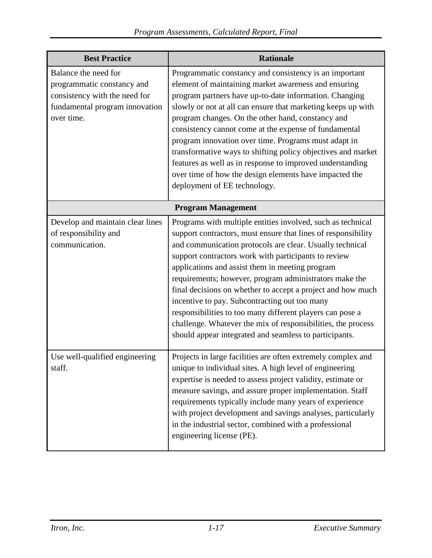| <b>Best Practice</b>                                                                                                                | <b>Rationale</b>                                                                                                                                                                                                                                                                                                                                                                                                                                                                                                                                                                                                                                                     |  |
|-------------------------------------------------------------------------------------------------------------------------------------|----------------------------------------------------------------------------------------------------------------------------------------------------------------------------------------------------------------------------------------------------------------------------------------------------------------------------------------------------------------------------------------------------------------------------------------------------------------------------------------------------------------------------------------------------------------------------------------------------------------------------------------------------------------------|--|
| Balance the need for<br>programmatic constancy and<br>consistency with the need for<br>fundamental program innovation<br>over time. | Programmatic constancy and consistency is an important<br>element of maintaining market awareness and ensuring<br>program partners have up-to-date information. Changing<br>slowly or not at all can ensure that marketing keeps up with<br>program changes. On the other hand, constancy and<br>consistency cannot come at the expense of fundamental<br>program innovation over time. Programs must adapt in<br>transformative ways to shifting policy objectives and market<br>features as well as in response to improved understanding<br>over time of how the design elements have impacted the<br>deployment of EE technology.                                |  |
| <b>Program Management</b>                                                                                                           |                                                                                                                                                                                                                                                                                                                                                                                                                                                                                                                                                                                                                                                                      |  |
| Develop and maintain clear lines<br>of responsibility and<br>communication.                                                         | Programs with multiple entities involved, such as technical<br>support contractors, must ensure that lines of responsibility<br>and communication protocols are clear. Usually technical<br>support contractors work with participants to review<br>applications and assist them in meeting program<br>requirements; however, program administrators make the<br>final decisions on whether to accept a project and how much<br>incentive to pay. Subcontracting out too many<br>responsibilities to too many different players can pose a<br>challenge. Whatever the mix of responsibilities, the process<br>should appear integrated and seamless to participants. |  |
| Use well-qualified engineering<br>staff.                                                                                            | Projects in large facilities are often extremely complex and<br>unique to individual sites. A high level of engineering<br>expertise is needed to assess project validity, estimate or<br>measure savings, and assure proper implementation. Staff<br>requirements typically include many years of experience<br>with project development and savings analyses, particularly<br>in the industrial sector, combined with a professional<br>engineering license (PE).                                                                                                                                                                                                  |  |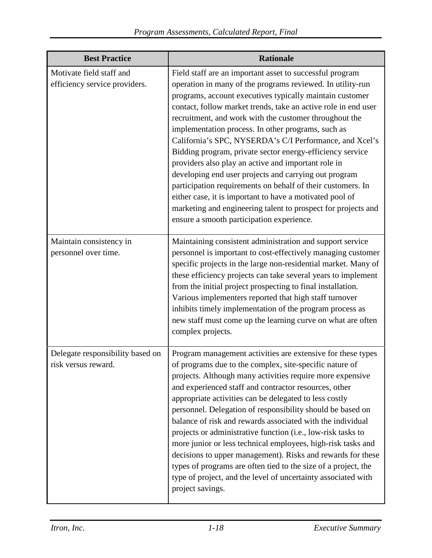| <b>Best Practice</b>                                      | <b>Rationale</b>                                                                                                                                                                                                                                                                                                                                                                                                                                                                                                                                                                                                                                                                                                                                                                                                                                      |
|-----------------------------------------------------------|-------------------------------------------------------------------------------------------------------------------------------------------------------------------------------------------------------------------------------------------------------------------------------------------------------------------------------------------------------------------------------------------------------------------------------------------------------------------------------------------------------------------------------------------------------------------------------------------------------------------------------------------------------------------------------------------------------------------------------------------------------------------------------------------------------------------------------------------------------|
| Motivate field staff and<br>efficiency service providers. | Field staff are an important asset to successful program<br>operation in many of the programs reviewed. In utility-run<br>programs, account executives typically maintain customer<br>contact, follow market trends, take an active role in end user<br>recruitment, and work with the customer throughout the<br>implementation process. In other programs, such as<br>California's SPC, NYSERDA's C/I Performance, and Xcel's<br>Bidding program, private sector energy-efficiency service<br>providers also play an active and important role in<br>developing end user projects and carrying out program<br>participation requirements on behalf of their customers. In<br>either case, it is important to have a motivated pool of<br>marketing and engineering talent to prospect for projects and<br>ensure a smooth participation experience. |
| Maintain consistency in<br>personnel over time.           | Maintaining consistent administration and support service<br>personnel is important to cost-effectively managing customer<br>specific projects in the large non-residential market. Many of<br>these efficiency projects can take several years to implement<br>from the initial project prospecting to final installation.<br>Various implementers reported that high staff turnover<br>inhibits timely implementation of the program process as<br>new staff must come up the learning curve on what are often<br>complex projects.                                                                                                                                                                                                                                                                                                                 |
| Delegate responsibility based on<br>risk versus reward.   | Program management activities are extensive for these types<br>of programs due to the complex, site-specific nature of<br>projects. Although many activities require more expensive<br>and experienced staff and contractor resources, other<br>appropriate activities can be delegated to less costly<br>personnel. Delegation of responsibility should be based on<br>balance of risk and rewards associated with the individual<br>projects or administrative function (i.e., low-risk tasks to<br>more junior or less technical employees, high-risk tasks and<br>decisions to upper management). Risks and rewards for these<br>types of programs are often tied to the size of a project, the<br>type of project, and the level of uncertainty associated with<br>project savings.                                                              |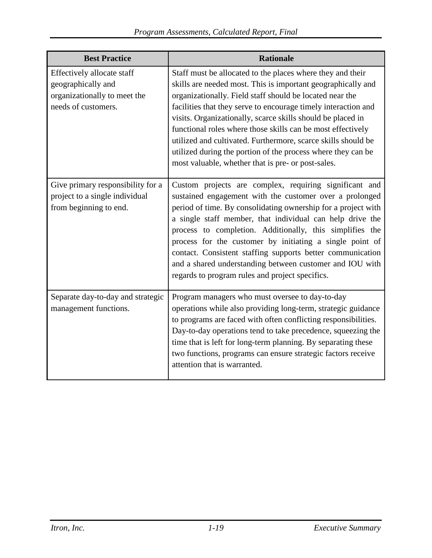| <b>Best Practice</b>                                                                                    | <b>Rationale</b>                                                                                                                                                                                                                                                                                                                                                                                                                                                                                                                                                              |
|---------------------------------------------------------------------------------------------------------|-------------------------------------------------------------------------------------------------------------------------------------------------------------------------------------------------------------------------------------------------------------------------------------------------------------------------------------------------------------------------------------------------------------------------------------------------------------------------------------------------------------------------------------------------------------------------------|
| Effectively allocate staff<br>geographically and<br>organizationally to meet the<br>needs of customers. | Staff must be allocated to the places where they and their<br>skills are needed most. This is important geographically and<br>organizationally. Field staff should be located near the<br>facilities that they serve to encourage timely interaction and<br>visits. Organizationally, scarce skills should be placed in<br>functional roles where those skills can be most effectively<br>utilized and cultivated. Furthermore, scarce skills should be<br>utilized during the portion of the process where they can be<br>most valuable, whether that is pre- or post-sales. |
| Give primary responsibility for a<br>project to a single individual<br>from beginning to end.           | Custom projects are complex, requiring significant and<br>sustained engagement with the customer over a prolonged<br>period of time. By consolidating ownership for a project with<br>a single staff member, that individual can help drive the<br>process to completion. Additionally, this simplifies the<br>process for the customer by initiating a single point of<br>contact. Consistent staffing supports better communication<br>and a shared understanding between customer and IOU with<br>regards to program rules and project specifics.                          |
| Separate day-to-day and strategic<br>management functions.                                              | Program managers who must oversee to day-to-day<br>operations while also providing long-term, strategic guidance<br>to programs are faced with often conflicting responsibilities.<br>Day-to-day operations tend to take precedence, squeezing the<br>time that is left for long-term planning. By separating these<br>two functions, programs can ensure strategic factors receive<br>attention that is warranted.                                                                                                                                                           |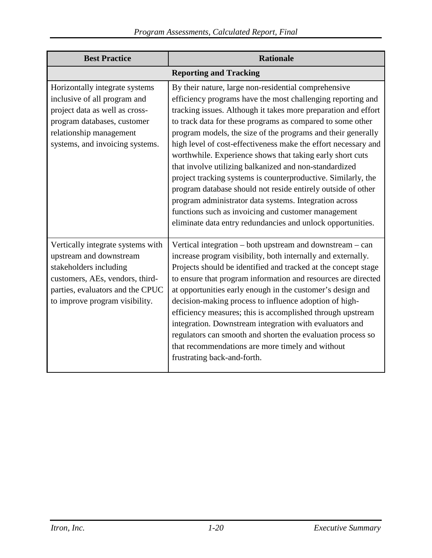| <b>Best Practice</b>                                                                                                                                                                            | <b>Rationale</b>                                                                                                                                                                                                                                                                                                                                                                                                                                                                                                                                                                                                                                                                                                                                                                                                              |
|-------------------------------------------------------------------------------------------------------------------------------------------------------------------------------------------------|-------------------------------------------------------------------------------------------------------------------------------------------------------------------------------------------------------------------------------------------------------------------------------------------------------------------------------------------------------------------------------------------------------------------------------------------------------------------------------------------------------------------------------------------------------------------------------------------------------------------------------------------------------------------------------------------------------------------------------------------------------------------------------------------------------------------------------|
|                                                                                                                                                                                                 | <b>Reporting and Tracking</b>                                                                                                                                                                                                                                                                                                                                                                                                                                                                                                                                                                                                                                                                                                                                                                                                 |
| Horizontally integrate systems<br>inclusive of all program and<br>project data as well as cross-<br>program databases, customer<br>relationship management<br>systems, and invoicing systems.   | By their nature, large non-residential comprehensive<br>efficiency programs have the most challenging reporting and<br>tracking issues. Although it takes more preparation and effort<br>to track data for these programs as compared to some other<br>program models, the size of the programs and their generally<br>high level of cost-effectiveness make the effort necessary and<br>worthwhile. Experience shows that taking early short cuts<br>that involve utilizing balkanized and non-standardized<br>project tracking systems is counterproductive. Similarly, the<br>program database should not reside entirely outside of other<br>program administrator data systems. Integration across<br>functions such as invoicing and customer management<br>eliminate data entry redundancies and unlock opportunities. |
| Vertically integrate systems with<br>upstream and downstream<br>stakeholders including<br>customers, AEs, vendors, third-<br>parties, evaluators and the CPUC<br>to improve program visibility. | Vertical integration – both upstream and downstream – can<br>increase program visibility, both internally and externally.<br>Projects should be identified and tracked at the concept stage<br>to ensure that program information and resources are directed<br>at opportunities early enough in the customer's design and<br>decision-making process to influence adoption of high-<br>efficiency measures; this is accomplished through upstream<br>integration. Downstream integration with evaluators and<br>regulators can smooth and shorten the evaluation process so<br>that recommendations are more timely and without<br>frustrating back-and-forth.                                                                                                                                                               |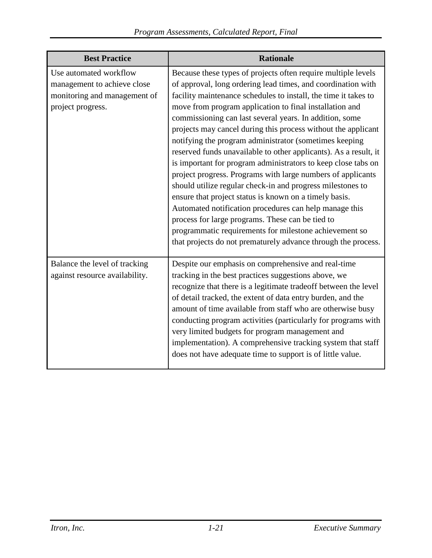| <b>Best Practice</b>                                                                                       | <b>Rationale</b>                                                                                                                                                                                                                                                                                                                                                                                                                                                                                                                                                                                                                                                                                                                                                                                                                                                                                                                                                                                                       |
|------------------------------------------------------------------------------------------------------------|------------------------------------------------------------------------------------------------------------------------------------------------------------------------------------------------------------------------------------------------------------------------------------------------------------------------------------------------------------------------------------------------------------------------------------------------------------------------------------------------------------------------------------------------------------------------------------------------------------------------------------------------------------------------------------------------------------------------------------------------------------------------------------------------------------------------------------------------------------------------------------------------------------------------------------------------------------------------------------------------------------------------|
| Use automated workflow<br>management to achieve close<br>monitoring and management of<br>project progress. | Because these types of projects often require multiple levels<br>of approval, long ordering lead times, and coordination with<br>facility maintenance schedules to install, the time it takes to<br>move from program application to final installation and<br>commissioning can last several years. In addition, some<br>projects may cancel during this process without the applicant<br>notifying the program administrator (sometimes keeping<br>reserved funds unavailable to other applicants). As a result, it<br>is important for program administrators to keep close tabs on<br>project progress. Programs with large numbers of applicants<br>should utilize regular check-in and progress milestones to<br>ensure that project status is known on a timely basis.<br>Automated notification procedures can help manage this<br>process for large programs. These can be tied to<br>programmatic requirements for milestone achievement so<br>that projects do not prematurely advance through the process. |
| Balance the level of tracking<br>against resource availability.                                            | Despite our emphasis on comprehensive and real-time<br>tracking in the best practices suggestions above, we<br>recognize that there is a legitimate tradeoff between the level<br>of detail tracked, the extent of data entry burden, and the<br>amount of time available from staff who are otherwise busy<br>conducting program activities (particularly for programs with<br>very limited budgets for program management and<br>implementation). A comprehensive tracking system that staff<br>does not have adequate time to support is of little value.                                                                                                                                                                                                                                                                                                                                                                                                                                                           |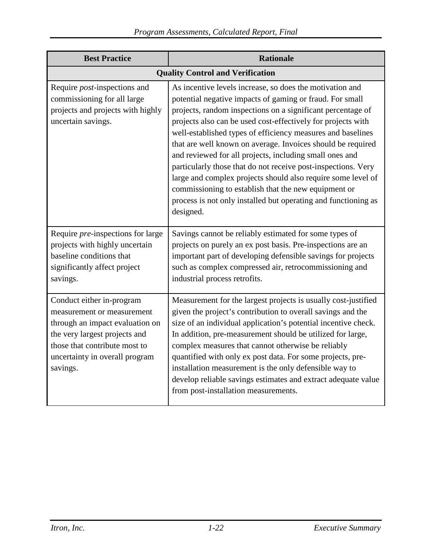| <b>Best Practice</b>                                                                                                                                                                                       | <b>Rationale</b>                                                                                                                                                                                                                                                                                                                                                                                                                                                                                                                                                                                                                                                                                                     |
|------------------------------------------------------------------------------------------------------------------------------------------------------------------------------------------------------------|----------------------------------------------------------------------------------------------------------------------------------------------------------------------------------------------------------------------------------------------------------------------------------------------------------------------------------------------------------------------------------------------------------------------------------------------------------------------------------------------------------------------------------------------------------------------------------------------------------------------------------------------------------------------------------------------------------------------|
|                                                                                                                                                                                                            | <b>Quality Control and Verification</b>                                                                                                                                                                                                                                                                                                                                                                                                                                                                                                                                                                                                                                                                              |
| Require <i>post</i> -inspections and<br>commissioning for all large<br>projects and projects with highly<br>uncertain savings.                                                                             | As incentive levels increase, so does the motivation and<br>potential negative impacts of gaming or fraud. For small<br>projects, random inspections on a significant percentage of<br>projects also can be used cost-effectively for projects with<br>well-established types of efficiency measures and baselines<br>that are well known on average. Invoices should be required<br>and reviewed for all projects, including small ones and<br>particularly those that do not receive post-inspections. Very<br>large and complex projects should also require some level of<br>commissioning to establish that the new equipment or<br>process is not only installed but operating and functioning as<br>designed. |
| Require <i>pre</i> -inspections for large<br>projects with highly uncertain<br>baseline conditions that<br>significantly affect project<br>savings.                                                        | Savings cannot be reliably estimated for some types of<br>projects on purely an ex post basis. Pre-inspections are an<br>important part of developing defensible savings for projects<br>such as complex compressed air, retrocommissioning and<br>industrial process retrofits.                                                                                                                                                                                                                                                                                                                                                                                                                                     |
| Conduct either in-program<br>measurement or measurement<br>through an impact evaluation on<br>the very largest projects and<br>those that contribute most to<br>uncertainty in overall program<br>savings. | Measurement for the largest projects is usually cost-justified<br>given the project's contribution to overall savings and the<br>size of an individual application's potential incentive check.<br>In addition, pre-measurement should be utilized for large,<br>complex measures that cannot otherwise be reliably<br>quantified with only ex post data. For some projects, pre-<br>installation measurement is the only defensible way to<br>develop reliable savings estimates and extract adequate value<br>from post-installation measurements.                                                                                                                                                                 |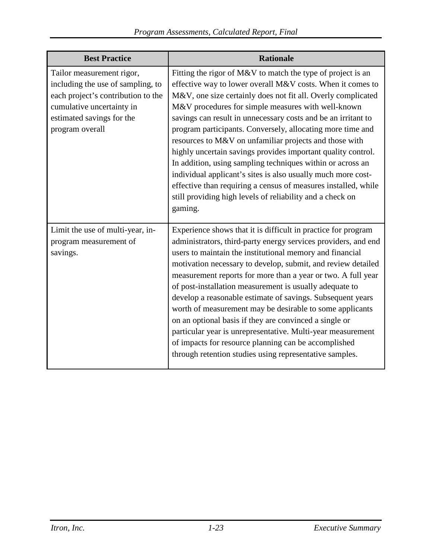| <b>Best Practice</b>                                                                                                                                                              | <b>Rationale</b>                                                                                                                                                                                                                                                                                                                                                                                                                                                                                                                                                                                                                                                                                                                                                                 |
|-----------------------------------------------------------------------------------------------------------------------------------------------------------------------------------|----------------------------------------------------------------------------------------------------------------------------------------------------------------------------------------------------------------------------------------------------------------------------------------------------------------------------------------------------------------------------------------------------------------------------------------------------------------------------------------------------------------------------------------------------------------------------------------------------------------------------------------------------------------------------------------------------------------------------------------------------------------------------------|
| Tailor measurement rigor,<br>including the use of sampling, to<br>each project's contribution to the<br>cumulative uncertainty in<br>estimated savings for the<br>program overall | Fitting the rigor of M&V to match the type of project is an<br>effective way to lower overall M&V costs. When it comes to<br>M&V, one size certainly does not fit all. Overly complicated<br>M&V procedures for simple measures with well-known<br>savings can result in unnecessary costs and be an irritant to<br>program participants. Conversely, allocating more time and<br>resources to M&V on unfamiliar projects and those with<br>highly uncertain savings provides important quality control.<br>In addition, using sampling techniques within or across an<br>individual applicant's sites is also usually much more cost-<br>effective than requiring a census of measures installed, while<br>still providing high levels of reliability and a check on<br>gaming. |
| Limit the use of multi-year, in-<br>program measurement of<br>savings.                                                                                                            | Experience shows that it is difficult in practice for program<br>administrators, third-party energy services providers, and end<br>users to maintain the institutional memory and financial<br>motivation necessary to develop, submit, and review detailed<br>measurement reports for more than a year or two. A full year<br>of post-installation measurement is usually adequate to<br>develop a reasonable estimate of savings. Subsequent years<br>worth of measurement may be desirable to some applicants<br>on an optional basis if they are convinced a single or<br>particular year is unrepresentative. Multi-year measurement<br>of impacts for resource planning can be accomplished<br>through retention studies using representative samples.                     |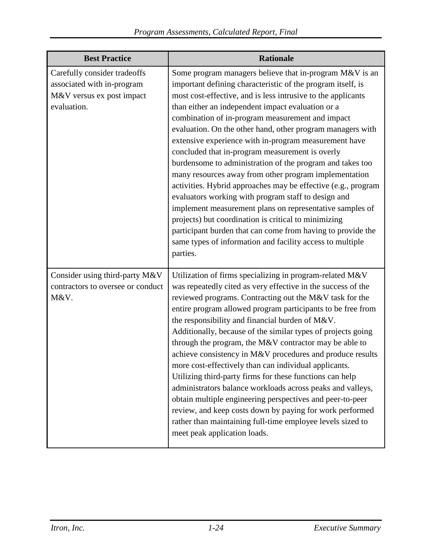| <b>Best Practice</b>                                                                                   | <b>Rationale</b>                                                                                                                                                                                                                                                                                                                                                                                                                                                                                                                                                                                                                                                                                                                                                                                                                                                                                                                                                                    |
|--------------------------------------------------------------------------------------------------------|-------------------------------------------------------------------------------------------------------------------------------------------------------------------------------------------------------------------------------------------------------------------------------------------------------------------------------------------------------------------------------------------------------------------------------------------------------------------------------------------------------------------------------------------------------------------------------------------------------------------------------------------------------------------------------------------------------------------------------------------------------------------------------------------------------------------------------------------------------------------------------------------------------------------------------------------------------------------------------------|
| Carefully consider tradeoffs<br>associated with in-program<br>M&V versus ex post impact<br>evaluation. | Some program managers believe that in-program M&V is an<br>important defining characteristic of the program itself, is<br>most cost-effective, and is less intrusive to the applicants<br>than either an independent impact evaluation or a<br>combination of in-program measurement and impact<br>evaluation. On the other hand, other program managers with<br>extensive experience with in-program measurement have<br>concluded that in-program measurement is overly<br>burdensome to administration of the program and takes too<br>many resources away from other program implementation<br>activities. Hybrid approaches may be effective (e.g., program<br>evaluators working with program staff to design and<br>implement measurement plans on representative samples of<br>projects) but coordination is critical to minimizing<br>participant burden that can come from having to provide the<br>same types of information and facility access to multiple<br>parties. |
| Consider using third-party M&V<br>contractors to oversee or conduct<br>M&V.                            | Utilization of firms specializing in program-related M&V<br>was repeatedly cited as very effective in the success of the<br>reviewed programs. Contracting out the M&V task for the<br>entire program allowed program participants to be free from<br>the responsibility and financial burden of M&V.<br>Additionally, because of the similar types of projects going<br>through the program, the M&V contractor may be able to<br>achieve consistency in M&V procedures and produce results<br>more cost-effectively than can individual applicants.<br>Utilizing third-party firms for these functions can help<br>administrators balance workloads across peaks and valleys,<br>obtain multiple engineering perspectives and peer-to-peer<br>review, and keep costs down by paying for work performed<br>rather than maintaining full-time employee levels sized to<br>meet peak application loads.                                                                              |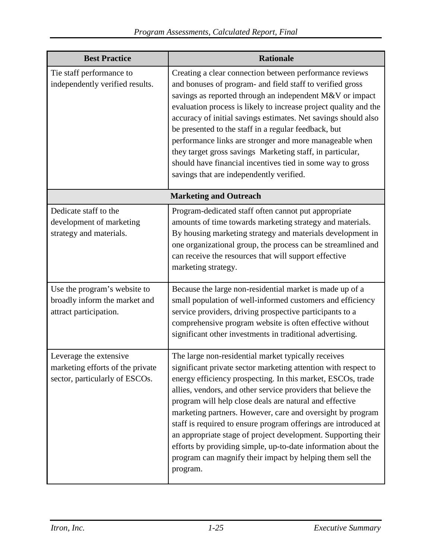| <b>Best Practice</b>                                                                         | <b>Rationale</b>                                                                                                                                                                                                                                                                                                                                                                                                                                                                                                                                                                                                                                             |  |
|----------------------------------------------------------------------------------------------|--------------------------------------------------------------------------------------------------------------------------------------------------------------------------------------------------------------------------------------------------------------------------------------------------------------------------------------------------------------------------------------------------------------------------------------------------------------------------------------------------------------------------------------------------------------------------------------------------------------------------------------------------------------|--|
| Tie staff performance to<br>independently verified results.                                  | Creating a clear connection between performance reviews<br>and bonuses of program- and field staff to verified gross<br>savings as reported through an independent M&V or impact<br>evaluation process is likely to increase project quality and the<br>accuracy of initial savings estimates. Net savings should also<br>be presented to the staff in a regular feedback, but<br>performance links are stronger and more manageable when<br>they target gross savings Marketing staff, in particular,<br>should have financial incentives tied in some way to gross<br>savings that are independently verified.                                             |  |
| <b>Marketing and Outreach</b>                                                                |                                                                                                                                                                                                                                                                                                                                                                                                                                                                                                                                                                                                                                                              |  |
| Dedicate staff to the<br>development of marketing<br>strategy and materials.                 | Program-dedicated staff often cannot put appropriate<br>amounts of time towards marketing strategy and materials.<br>By housing marketing strategy and materials development in<br>one organizational group, the process can be streamlined and<br>can receive the resources that will support effective<br>marketing strategy.                                                                                                                                                                                                                                                                                                                              |  |
| Use the program's website to<br>broadly inform the market and<br>attract participation.      | Because the large non-residential market is made up of a<br>small population of well-informed customers and efficiency<br>service providers, driving prospective participants to a<br>comprehensive program website is often effective without<br>significant other investments in traditional advertising.                                                                                                                                                                                                                                                                                                                                                  |  |
| Leverage the extensive<br>marketing efforts of the private<br>sector, particularly of ESCOs. | The large non-residential market typically receives<br>significant private sector marketing attention with respect to<br>energy efficiency prospecting. In this market, ESCOs, trade<br>allies, vendors, and other service providers that believe the<br>program will help close deals are natural and effective<br>marketing partners. However, care and oversight by program<br>staff is required to ensure program offerings are introduced at<br>an appropriate stage of project development. Supporting their<br>efforts by providing simple, up-to-date information about the<br>program can magnify their impact by helping them sell the<br>program. |  |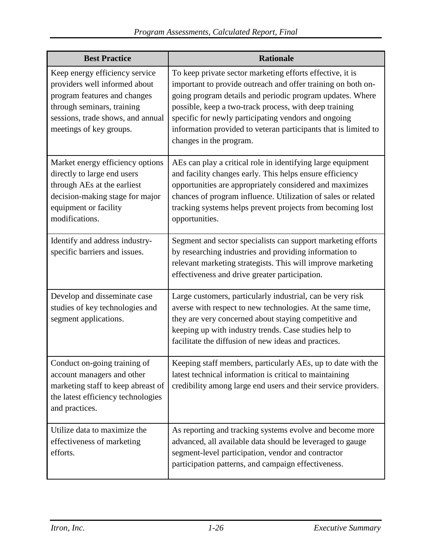| <b>Best Practice</b>                                                                                                                                                                          | <b>Rationale</b>                                                                                                                                                                                                                                                                                                                                                                                       |
|-----------------------------------------------------------------------------------------------------------------------------------------------------------------------------------------------|--------------------------------------------------------------------------------------------------------------------------------------------------------------------------------------------------------------------------------------------------------------------------------------------------------------------------------------------------------------------------------------------------------|
| Keep energy efficiency service<br>providers well informed about<br>program features and changes<br>through seminars, training<br>sessions, trade shows, and annual<br>meetings of key groups. | To keep private sector marketing efforts effective, it is<br>important to provide outreach and offer training on both on-<br>going program details and periodic program updates. Where<br>possible, keep a two-track process, with deep training<br>specific for newly participating vendors and ongoing<br>information provided to veteran participants that is limited to<br>changes in the program. |
| Market energy efficiency options<br>directly to large end users<br>through AEs at the earliest<br>decision-making stage for major<br>equipment or facility<br>modifications.                  | AEs can play a critical role in identifying large equipment<br>and facility changes early. This helps ensure efficiency<br>opportunities are appropriately considered and maximizes<br>chances of program influence. Utilization of sales or related<br>tracking systems helps prevent projects from becoming lost<br>opportunities.                                                                   |
| Identify and address industry-<br>specific barriers and issues.                                                                                                                               | Segment and sector specialists can support marketing efforts<br>by researching industries and providing information to<br>relevant marketing strategists. This will improve marketing<br>effectiveness and drive greater participation.                                                                                                                                                                |
| Develop and disseminate case<br>studies of key technologies and<br>segment applications.                                                                                                      | Large customers, particularly industrial, can be very risk<br>averse with respect to new technologies. At the same time,<br>they are very concerned about staying competitive and<br>keeping up with industry trends. Case studies help to<br>facilitate the diffusion of new ideas and practices.                                                                                                     |
| Conduct on-going training of<br>account managers and other<br>marketing staff to keep abreast of<br>the latest efficiency technologies<br>and practices.                                      | Keeping staff members, particularly AEs, up to date with the<br>latest technical information is critical to maintaining<br>credibility among large end users and their service providers.                                                                                                                                                                                                              |
| Utilize data to maximize the<br>effectiveness of marketing<br>efforts.                                                                                                                        | As reporting and tracking systems evolve and become more<br>advanced, all available data should be leveraged to gauge<br>segment-level participation, vendor and contractor<br>participation patterns, and campaign effectiveness.                                                                                                                                                                     |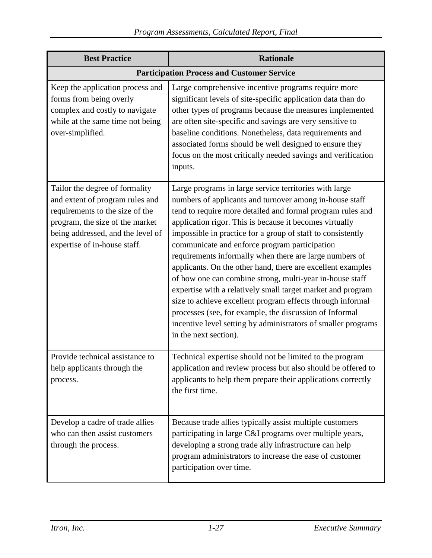| <b>Best Practice</b>                                                                                                                                                                                         | <b>Rationale</b>                                                                                                                                                                                                                                                                                                                                                                                                                                                                                                                                                                                                                                                                                                                                                                                                                   |  |  |
|--------------------------------------------------------------------------------------------------------------------------------------------------------------------------------------------------------------|------------------------------------------------------------------------------------------------------------------------------------------------------------------------------------------------------------------------------------------------------------------------------------------------------------------------------------------------------------------------------------------------------------------------------------------------------------------------------------------------------------------------------------------------------------------------------------------------------------------------------------------------------------------------------------------------------------------------------------------------------------------------------------------------------------------------------------|--|--|
| <b>Participation Process and Customer Service</b>                                                                                                                                                            |                                                                                                                                                                                                                                                                                                                                                                                                                                                                                                                                                                                                                                                                                                                                                                                                                                    |  |  |
| Keep the application process and<br>forms from being overly<br>complex and costly to navigate<br>while at the same time not being<br>over-simplified.                                                        | Large comprehensive incentive programs require more<br>significant levels of site-specific application data than do<br>other types of programs because the measures implemented<br>are often site-specific and savings are very sensitive to<br>baseline conditions. Nonetheless, data requirements and<br>associated forms should be well designed to ensure they<br>focus on the most critically needed savings and verification<br>inputs.                                                                                                                                                                                                                                                                                                                                                                                      |  |  |
| Tailor the degree of formality<br>and extent of program rules and<br>requirements to the size of the<br>program, the size of the market<br>being addressed, and the level of<br>expertise of in-house staff. | Large programs in large service territories with large<br>numbers of applicants and turnover among in-house staff<br>tend to require more detailed and formal program rules and<br>application rigor. This is because it becomes virtually<br>impossible in practice for a group of staff to consistently<br>communicate and enforce program participation<br>requirements informally when there are large numbers of<br>applicants. On the other hand, there are excellent examples<br>of how one can combine strong, multi-year in-house staff<br>expertise with a relatively small target market and program<br>size to achieve excellent program effects through informal<br>processes (see, for example, the discussion of Informal<br>incentive level setting by administrators of smaller programs<br>in the next section). |  |  |
| Provide technical assistance to<br>help applicants through the<br>process.                                                                                                                                   | Technical expertise should not be limited to the program<br>application and review process but also should be offered to<br>applicants to help them prepare their applications correctly<br>the first time.                                                                                                                                                                                                                                                                                                                                                                                                                                                                                                                                                                                                                        |  |  |
| Develop a cadre of trade allies<br>who can then assist customers<br>through the process.                                                                                                                     | Because trade allies typically assist multiple customers<br>participating in large C&I programs over multiple years,<br>developing a strong trade ally infrastructure can help<br>program administrators to increase the ease of customer<br>participation over time.                                                                                                                                                                                                                                                                                                                                                                                                                                                                                                                                                              |  |  |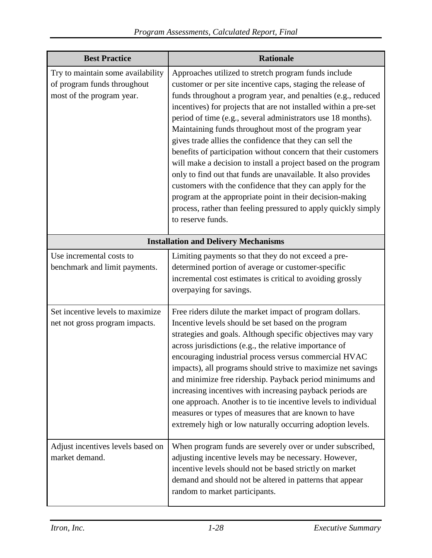| <b>Best Practice</b>                                                                          | <b>Rationale</b>                                                                                                                                                                                                                                                                                                                                                                                                                                                                                                                                                                                                                                                                                                                                                                                                                                                    |  |  |
|-----------------------------------------------------------------------------------------------|---------------------------------------------------------------------------------------------------------------------------------------------------------------------------------------------------------------------------------------------------------------------------------------------------------------------------------------------------------------------------------------------------------------------------------------------------------------------------------------------------------------------------------------------------------------------------------------------------------------------------------------------------------------------------------------------------------------------------------------------------------------------------------------------------------------------------------------------------------------------|--|--|
| Try to maintain some availability<br>of program funds throughout<br>most of the program year. | Approaches utilized to stretch program funds include<br>customer or per site incentive caps, staging the release of<br>funds throughout a program year, and penalties (e.g., reduced<br>incentives) for projects that are not installed within a pre-set<br>period of time (e.g., several administrators use 18 months).<br>Maintaining funds throughout most of the program year<br>gives trade allies the confidence that they can sell the<br>benefits of participation without concern that their customers<br>will make a decision to install a project based on the program<br>only to find out that funds are unavailable. It also provides<br>customers with the confidence that they can apply for the<br>program at the appropriate point in their decision-making<br>process, rather than feeling pressured to apply quickly simply<br>to reserve funds. |  |  |
| <b>Installation and Delivery Mechanisms</b>                                                   |                                                                                                                                                                                                                                                                                                                                                                                                                                                                                                                                                                                                                                                                                                                                                                                                                                                                     |  |  |
| Use incremental costs to<br>benchmark and limit payments.                                     | Limiting payments so that they do not exceed a pre-<br>determined portion of average or customer-specific<br>incremental cost estimates is critical to avoiding grossly<br>overpaying for savings.                                                                                                                                                                                                                                                                                                                                                                                                                                                                                                                                                                                                                                                                  |  |  |
| Set incentive levels to maximize<br>net not gross program impacts.                            | Free riders dilute the market impact of program dollars.<br>Incentive levels should be set based on the program<br>strategies and goals. Although specific objectives may vary<br>across jurisdictions (e.g., the relative importance of<br>encouraging industrial process versus commercial HVAC<br>impacts), all programs should strive to maximize net savings<br>and minimize free ridership. Payback period minimums and<br>increasing incentives with increasing payback periods are<br>one approach. Another is to tie incentive levels to individual<br>measures or types of measures that are known to have<br>extremely high or low naturally occurring adoption levels.                                                                                                                                                                                  |  |  |
| Adjust incentives levels based on<br>market demand.                                           | When program funds are severely over or under subscribed,<br>adjusting incentive levels may be necessary. However,<br>incentive levels should not be based strictly on market<br>demand and should not be altered in patterns that appear<br>random to market participants.                                                                                                                                                                                                                                                                                                                                                                                                                                                                                                                                                                                         |  |  |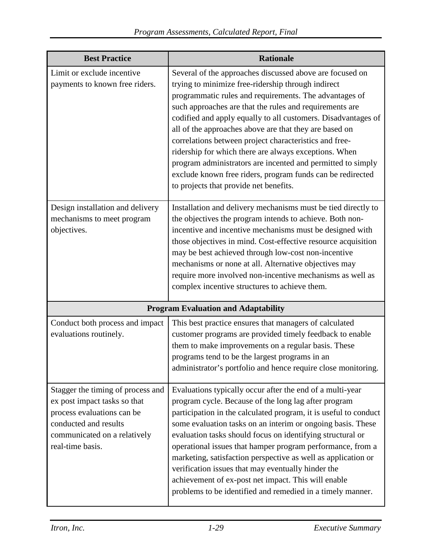| <b>Best Practice</b>                                                                                                                                                         | <b>Rationale</b>                                                                                                                                                                                                                                                                                                                                                                                                                                                                                                                                                                                                                                         |
|------------------------------------------------------------------------------------------------------------------------------------------------------------------------------|----------------------------------------------------------------------------------------------------------------------------------------------------------------------------------------------------------------------------------------------------------------------------------------------------------------------------------------------------------------------------------------------------------------------------------------------------------------------------------------------------------------------------------------------------------------------------------------------------------------------------------------------------------|
| Limit or exclude incentive<br>payments to known free riders.                                                                                                                 | Several of the approaches discussed above are focused on<br>trying to minimize free-ridership through indirect<br>programmatic rules and requirements. The advantages of<br>such approaches are that the rules and requirements are<br>codified and apply equally to all customers. Disadvantages of<br>all of the approaches above are that they are based on<br>correlations between project characteristics and free-<br>ridership for which there are always exceptions. When<br>program administrators are incented and permitted to simply<br>exclude known free riders, program funds can be redirected<br>to projects that provide net benefits. |
| Design installation and delivery<br>mechanisms to meet program<br>objectives.                                                                                                | Installation and delivery mechanisms must be tied directly to<br>the objectives the program intends to achieve. Both non-<br>incentive and incentive mechanisms must be designed with<br>those objectives in mind. Cost-effective resource acquisition<br>may be best achieved through low-cost non-incentive<br>mechanisms or none at all. Alternative objectives may<br>require more involved non-incentive mechanisms as well as<br>complex incentive structures to achieve them.                                                                                                                                                                     |
|                                                                                                                                                                              | <b>Program Evaluation and Adaptability</b>                                                                                                                                                                                                                                                                                                                                                                                                                                                                                                                                                                                                               |
| Conduct both process and impact<br>evaluations routinely.                                                                                                                    | This best practice ensures that managers of calculated<br>customer programs are provided timely feedback to enable<br>them to make improvements on a regular basis. These<br>programs tend to be the largest programs in an<br>administrator's portfolio and hence require close monitoring.                                                                                                                                                                                                                                                                                                                                                             |
| Stagger the timing of process and<br>ex post impact tasks so that<br>process evaluations can be<br>conducted and results<br>communicated on a relatively<br>real-time basis. | Evaluations typically occur after the end of a multi-year<br>program cycle. Because of the long lag after program<br>participation in the calculated program, it is useful to conduct<br>some evaluation tasks on an interim or ongoing basis. These<br>evaluation tasks should focus on identifying structural or<br>operational issues that hamper program performance, from a<br>marketing, satisfaction perspective as well as application or<br>verification issues that may eventually hinder the<br>achievement of ex-post net impact. This will enable<br>problems to be identified and remedied in a timely manner.                             |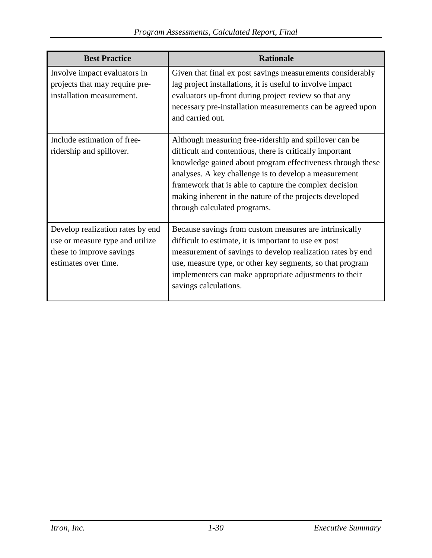| <b>Best Practice</b>                                                                                                    | <b>Rationale</b>                                                                                                                                                                                                                                                                                                                                                                               |
|-------------------------------------------------------------------------------------------------------------------------|------------------------------------------------------------------------------------------------------------------------------------------------------------------------------------------------------------------------------------------------------------------------------------------------------------------------------------------------------------------------------------------------|
| Involve impact evaluators in<br>projects that may require pre-<br>installation measurement.                             | Given that final ex post savings measurements considerably<br>lag project installations, it is useful to involve impact<br>evaluators up-front during project review so that any<br>necessary pre-installation measurements can be agreed upon<br>and carried out.                                                                                                                             |
| Include estimation of free-<br>ridership and spillover.                                                                 | Although measuring free-ridership and spillover can be<br>difficult and contentious, there is critically important<br>knowledge gained about program effectiveness through these<br>analyses. A key challenge is to develop a measurement<br>framework that is able to capture the complex decision<br>making inherent in the nature of the projects developed<br>through calculated programs. |
| Develop realization rates by end<br>use or measure type and utilize<br>these to improve savings<br>estimates over time. | Because savings from custom measures are intrinsically<br>difficult to estimate, it is important to use ex post<br>measurement of savings to develop realization rates by end<br>use, measure type, or other key segments, so that program<br>implementers can make appropriate adjustments to their<br>savings calculations.                                                                  |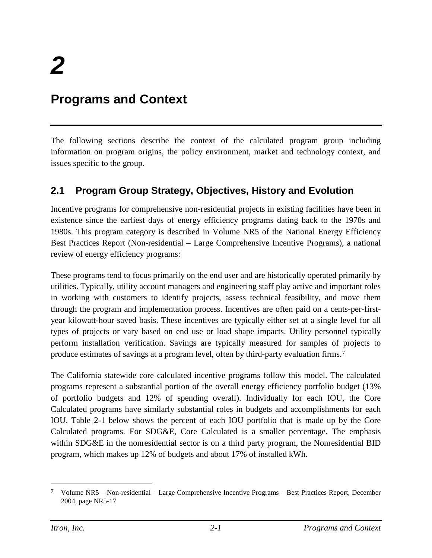# <span id="page-33-0"></span>**Programs and Context**

The following sections describe the context of the calculated program group including information on program origins, the policy environment, market and technology context, and issues specific to the group.

# <span id="page-33-1"></span>**2.1 Program Group Strategy, Objectives, History and Evolution**

Incentive programs for comprehensive non-residential projects in existing facilities have been in existence since the earliest days of energy efficiency programs dating back to the 1970s and 1980s. This program category is described in Volume NR5 of the National Energy Efficiency Best Practices Report (Non-residential – Large Comprehensive Incentive Programs), a national review of energy efficiency programs:

These programs tend to focus primarily on the end user and are historically operated primarily by utilities. Typically, utility account managers and engineering staff play active and important roles in working with customers to identify projects, assess technical feasibility, and move them through the program and implementation process. Incentives are often paid on a cents-per-firstyear kilowatt-hour saved basis. These incentives are typically either set at a single level for all types of projects or vary based on end use or load shape impacts. Utility personnel typically perform installation verification. Savings are typically measured for samples of projects to produce estimates of savings at a program level, often by third-party evaluation firms.[7](#page-33-2)

The California statewide core calculated incentive programs follow this model. The calculated programs represent a substantial portion of the overall energy efficiency portfolio budget (13% of portfolio budgets and 12% of spending overall). Individually for each IOU, the Core Calculated programs have similarly substantial roles in budgets and accomplishments for each IOU. [Table 2-1](#page-34-0) below shows the percent of each IOU portfolio that is made up by the Core Calculated programs. For SDG&E, Core Calculated is a smaller percentage. The emphasis within SDG&E in the nonresidential sector is on a third party program, the Nonresidential BID program, which makes up 12% of budgets and about 17% of installed kWh.

<span id="page-33-2"></span> <sup>7</sup> Volume NR5 – Non-residential – Large Comprehensive Incentive Programs – Best Practices Report, December 2004, page NR5-17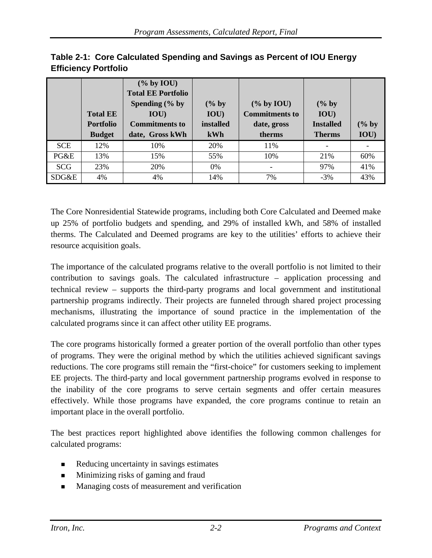|            |                  | $(\%$ by IOU)             |           |                       |                  |       |
|------------|------------------|---------------------------|-----------|-----------------------|------------------|-------|
|            |                  | <b>Total EE Portfolio</b> |           |                       |                  |       |
|            |                  | Spending $(\%$ by         | $(\%$ by  | $(\%$ by IOU)         | $(\%$ by         |       |
|            | <b>Total EE</b>  | IOU)                      | IOU)      | <b>Commitments to</b> | IOU)             |       |
|            | <b>Portfolio</b> | <b>Commitments to</b>     | installed | date, gross           | <b>Installed</b> | (% by |
|            | <b>Budget</b>    | date, Gross kWh           | kWh       | therms                | <b>Therms</b>    | IOU)  |
| <b>SCE</b> | 12%              | 10%                       | 20%       | 11%                   |                  |       |
| PG&E       | 13%              | 15%                       | 55%       | 10%                   | 21%              | 60%   |
| <b>SCG</b> | 23%              | 20%                       | $0\%$     | ۰                     | 97%              | 41%   |
| SDG&E      | 4%               | 4%                        | 14%       | 7%                    | $-3%$            | 43%   |

<span id="page-34-0"></span>

|                             | Table 2-1: Core Calculated Spending and Savings as Percent of IOU Energy |
|-----------------------------|--------------------------------------------------------------------------|
| <b>Efficiency Portfolio</b> |                                                                          |

The Core Nonresidential Statewide programs, including both Core Calculated and Deemed make up 25% of portfolio budgets and spending, and 29% of installed kWh, and 58% of installed therms. The Calculated and Deemed programs are key to the utilities' efforts to achieve their resource acquisition goals.

The importance of the calculated programs relative to the overall portfolio is not limited to their contribution to savings goals. The calculated infrastructure – application processing and technical review – supports the third-party programs and local government and institutional partnership programs indirectly. Their projects are funneled through shared project processing mechanisms, illustrating the importance of sound practice in the implementation of the calculated programs since it can affect other utility EE programs.

The core programs historically formed a greater portion of the overall portfolio than other types of programs. They were the original method by which the utilities achieved significant savings reductions. The core programs still remain the "first-choice" for customers seeking to implement EE projects. The third-party and local government partnership programs evolved in response to the inability of the core programs to serve certain segments and offer certain measures effectively. While those programs have expanded, the core programs continue to retain an important place in the overall portfolio.

The best practices report highlighted above identifies the following common challenges for calculated programs:

- Reducing uncertainty in savings estimates
- **Minimizing risks of gaming and fraud**
- **Managing costs of measurement and verification**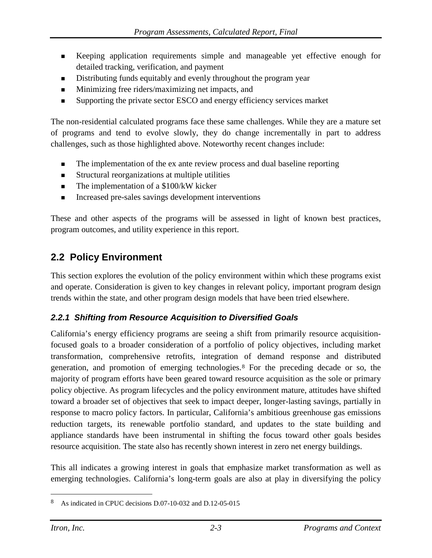- Keeping application requirements simple and manageable yet effective enough for detailed tracking, verification, and payment
- Distributing funds equitably and evenly throughout the program year
- Minimizing free riders/maximizing net impacts, and
- Supporting the private sector ESCO and energy efficiency services market

The non-residential calculated programs face these same challenges. While they are a mature set of programs and tend to evolve slowly, they do change incrementally in part to address challenges, such as those highlighted above. Noteworthy recent changes include:

- The implementation of the ex ante review process and dual baseline reporting
- Structural reorganizations at multiple utilities
- $\blacksquare$  The implementation of a \$100/kW kicker
- **Increased pre-sales savings development interventions**

These and other aspects of the programs will be assessed in light of known best practices, program outcomes, and utility experience in this report.

## <span id="page-35-0"></span>**2.2 Policy Environment**

This section explores the evolution of the policy environment within which these programs exist and operate. Consideration is given to key changes in relevant policy, important program design trends within the state, and other program design models that have been tried elsewhere.

### <span id="page-35-1"></span>*2.2.1 Shifting from Resource Acquisition to Diversified Goals*

California's energy efficiency programs are seeing a shift from primarily resource acquisitionfocused goals to a broader consideration of a portfolio of policy objectives, including market transformation, comprehensive retrofits, integration of demand response and distributed generation, and promotion of emerging technologies.[8](#page-35-2) For the preceding decade or so, the majority of program efforts have been geared toward resource acquisition as the sole or primary policy objective. As program lifecycles and the policy environment mature, attitudes have shifted toward a broader set of objectives that seek to impact deeper, longer-lasting savings, partially in response to macro policy factors. In particular, California's ambitious greenhouse gas emissions reduction targets, its renewable portfolio standard, and updates to the state building and appliance standards have been instrumental in shifting the focus toward other goals besides resource acquisition. The state also has recently shown interest in zero net energy buildings.

This all indicates a growing interest in goals that emphasize market transformation as well as emerging technologies. California's long-term goals are also at play in diversifying the policy

<span id="page-35-2"></span>As indicated in CPUC decisions D.07-10-032 and D.12-05-015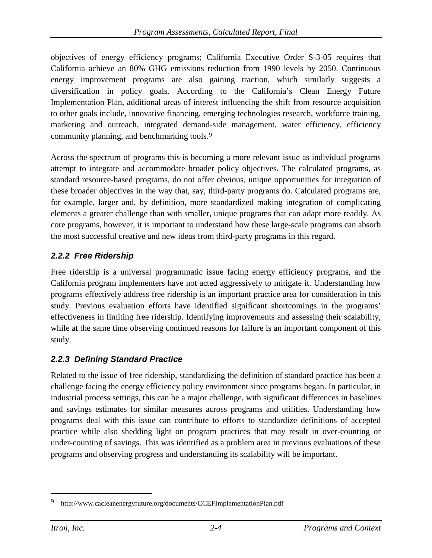objectives of energy efficiency programs; California Executive Order S-3-05 requires that California achieve an 80% GHG emissions reduction from 1990 levels by 2050. Continuous energy improvement programs are also gaining traction, which similarly suggests a diversification in policy goals. According to the California's Clean Energy Future Implementation Plan, additional areas of interest influencing the shift from resource acquisition to other goals include, innovative financing, emerging technologies research, workforce training, marketing and outreach, integrated demand-side management, water efficiency, efficiency community planning, and benchmarking tools.[9](#page-36-0)

Across the spectrum of programs this is becoming a more relevant issue as individual programs attempt to integrate and accommodate broader policy objectives. The calculated programs, as standard resource-based programs, do not offer obvious, unique opportunities for integration of these broader objectives in the way that, say, third-party programs do. Calculated programs are, for example, larger and, by definition, more standardized making integration of complicating elements a greater challenge than with smaller, unique programs that can adapt more readily. As core programs, however, it is important to understand how these large-scale programs can absorb the most successful creative and new ideas from third-party programs in this regard.

# *2.2.2 Free Ridership*

Free ridership is a universal programmatic issue facing energy efficiency programs, and the California program implementers have not acted aggressively to mitigate it. Understanding how programs effectively address free ridership is an important practice area for consideration in this study. Previous evaluation efforts have identified significant shortcomings in the programs' effectiveness in limiting free ridership. Identifying improvements and assessing their scalability, while at the same time observing continued reasons for failure is an important component of this study.

## *2.2.3 Defining Standard Practice*

Related to the issue of free ridership, standardizing the definition of standard practice has been a challenge facing the energy efficiency policy environment since programs began. In particular, in industrial process settings, this can be a major challenge, with significant differences in baselines and savings estimates for similar measures across programs and utilities. Understanding how programs deal with this issue can contribute to efforts to standardize definitions of accepted practice while also shedding light on program practices that may result in over-counting or under-counting of savings. This was identified as a problem area in previous evaluations of these programs and observing progress and understanding its scalability will be important.

<span id="page-36-0"></span> <sup>9</sup> <http://www.cacleanenergyfuture.org/documents/CCEFImplementationPlan.pdf>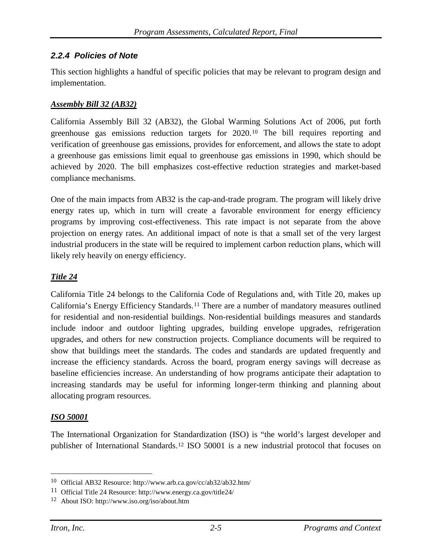#### *2.2.4 Policies of Note*

This section highlights a handful of specific policies that may be relevant to program design and implementation.

#### *Assembly Bill 32 (AB32)*

California Assembly Bill 32 (AB32), the Global Warming Solutions Act of 2006, put forth greenhouse gas emissions reduction targets for 2020.[10](#page-37-0) The bill requires reporting and verification of greenhouse gas emissions, provides for enforcement, and allows the state to adopt a greenhouse gas emissions limit equal to greenhouse gas emissions in 1990, which should be achieved by 2020. The bill emphasizes cost-effective reduction strategies and market-based compliance mechanisms.

One of the main impacts from AB32 is the cap-and-trade program. The program will likely drive energy rates up, which in turn will create a favorable environment for energy efficiency programs by improving cost-effectiveness. This rate impact is not separate from the above projection on energy rates. An additional impact of note is that a small set of the very largest industrial producers in the state will be required to implement carbon reduction plans, which will likely rely heavily on energy efficiency.

#### *Title 24*

California Title 24 belongs to the California Code of Regulations and, with Title 20, makes up California's Energy Efficiency Standards.[11](#page-37-1) There are a number of mandatory measures outlined for residential and non-residential buildings. Non-residential buildings measures and standards include indoor and outdoor lighting upgrades, building envelope upgrades, refrigeration upgrades, and others for new construction projects. Compliance documents will be required to show that buildings meet the standards. The codes and standards are updated frequently and increase the efficiency standards. Across the board, program energy savings will decrease as baseline efficiencies increase. An understanding of how programs anticipate their adaptation to increasing standards may be useful for informing longer-term thinking and planning about allocating program resources.

#### *ISO 50001*

The International Organization for Standardization (ISO) is "the world's largest developer and publisher of International Standards.[12](#page-37-2) ISO 50001 is a new industrial protocol that focuses on

<span id="page-37-0"></span> <sup>10</sup> Official AB32 Resource:<http://www.arb.ca.gov/cc/ab32/ab32.htm/>

<span id="page-37-1"></span><sup>11</sup> Official Title 24 Resource:<http://www.energy.ca.gov/title24/>

<span id="page-37-2"></span><sup>12</sup> About ISO:<http://www.iso.org/iso/about.htm>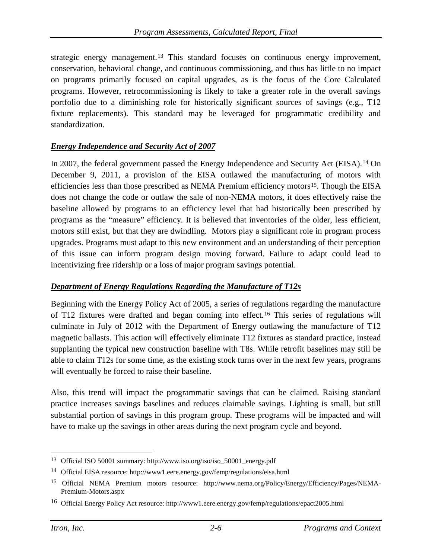strategic energy management.[13](#page-38-0) This standard focuses on continuous energy improvement, conservation, behavioral change, and continuous commissioning, and thus has little to no impact on programs primarily focused on capital upgrades, as is the focus of the Core Calculated programs. However, retrocommissioning is likely to take a greater role in the overall savings portfolio due to a diminishing role for historically significant sources of savings (e.g., T12 fixture replacements). This standard may be leveraged for programmatic credibility and standardization.

#### *Energy Independence and Security Act of 2007*

In 2007, the federal government passed the Energy Independence and Security Act (EISA).[14](#page-38-1) On December 9, 2011, a provision of the EISA outlawed the manufacturing of motors with efficiencies less than those prescribed as NEMA Premium efficiency motors<sup>[15](#page-38-2)</sup>. Though the EISA does not change the code or outlaw the sale of non-NEMA motors, it does effectively raise the baseline allowed by programs to an efficiency level that had historically been prescribed by programs as the "measure" efficiency. It is believed that inventories of the older, less efficient, motors still exist, but that they are dwindling. Motors play a significant role in program process upgrades. Programs must adapt to this new environment and an understanding of their perception of this issue can inform program design moving forward. Failure to adapt could lead to incentivizing free ridership or a loss of major program savings potential.

#### *Department of Energy Regulations Regarding the Manufacture of T12s*

Beginning with the Energy Policy Act of 2005, a series of regulations regarding the manufacture of T12 fixtures were drafted and began coming into effect.[16](#page-38-3) This series of regulations will culminate in July of 2012 with the Department of Energy outlawing the manufacture of T12 magnetic ballasts. This action will effectively eliminate T12 fixtures as standard practice, instead supplanting the typical new construction baseline with T8s. While retrofit baselines may still be able to claim T12s for some time, as the existing stock turns over in the next few years, programs will eventually be forced to raise their baseline.

Also, this trend will impact the programmatic savings that can be claimed. Raising standard practice increases savings baselines and reduces claimable savings. Lighting is small, but still substantial portion of savings in this program group. These programs will be impacted and will have to make up the savings in other areas during the next program cycle and beyond.

<span id="page-38-0"></span> <sup>13</sup> Official ISO 50001 summary[: http://www.iso.org/iso/iso\\_50001\\_energy.pdf](http://www.iso.org/iso/iso_50001_energy.pdf)

<span id="page-38-1"></span><sup>14</sup> Official EISA resource:<http://www1.eere.energy.gov/femp/regulations/eisa.html>

<span id="page-38-2"></span><sup>15</sup> Official NEMA Premium motors resource: [http://www.nema.org/Policy/Energy/Efficiency/Pages/NEMA-](http://www.nema.org/Policy/Energy/Efficiency/Pages/NEMA-Premium-Motors.aspx)[Premium-Motors.aspx](http://www.nema.org/Policy/Energy/Efficiency/Pages/NEMA-Premium-Motors.aspx)

<span id="page-38-3"></span><sup>16</sup> Official Energy Policy Act resource[: http://www1.eere.energy.gov/femp/regulations/epact2005.html](http://www1.eere.energy.gov/femp/regulations/epact2005.html)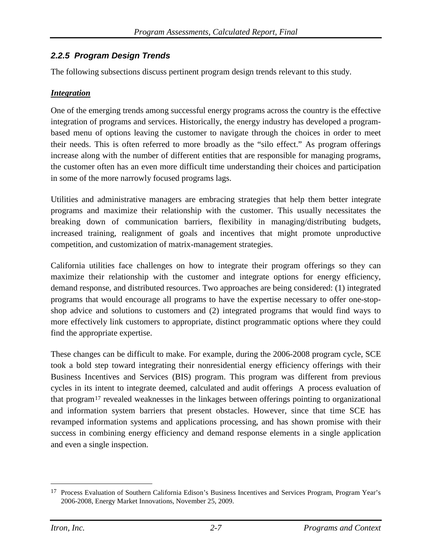## *2.2.5 Program Design Trends*

The following subsections discuss pertinent program design trends relevant to this study.

#### *Integration*

One of the emerging trends among successful energy programs across the country is the effective integration of programs and services. Historically, the energy industry has developed a programbased menu of options leaving the customer to navigate through the choices in order to meet their needs. This is often referred to more broadly as the "silo effect." As program offerings increase along with the number of different entities that are responsible for managing programs, the customer often has an even more difficult time understanding their choices and participation in some of the more narrowly focused programs lags.

Utilities and administrative managers are embracing strategies that help them better integrate programs and maximize their relationship with the customer. This usually necessitates the breaking down of communication barriers, flexibility in managing/distributing budgets, increased training, realignment of goals and incentives that might promote unproductive competition, and customization of matrix-management strategies.

California utilities face challenges on how to integrate their program offerings so they can maximize their relationship with the customer and integrate options for energy efficiency, demand response, and distributed resources. Two approaches are being considered: (1) integrated programs that would encourage all programs to have the expertise necessary to offer one-stopshop advice and solutions to customers and (2) integrated programs that would find ways to more effectively link customers to appropriate, distinct programmatic options where they could find the appropriate expertise.

These changes can be difficult to make. For example, during the 2006-2008 program cycle, SCE took a bold step toward integrating their nonresidential energy efficiency offerings with their Business Incentives and Services (BIS) program. This program was different from previous cycles in its intent to integrate deemed, calculated and audit offerings A process evaluation of that program[17](#page-39-0) revealed weaknesses in the linkages between offerings pointing to organizational and information system barriers that present obstacles. However, since that time SCE has revamped information systems and applications processing, and has shown promise with their success in combining energy efficiency and demand response elements in a single application and even a single inspection.

<span id="page-39-0"></span> <sup>17</sup> Process Evaluation of Southern California Edison's Business Incentives and Services Program, Program Year's 2006-2008, Energy Market Innovations, November 25, 2009.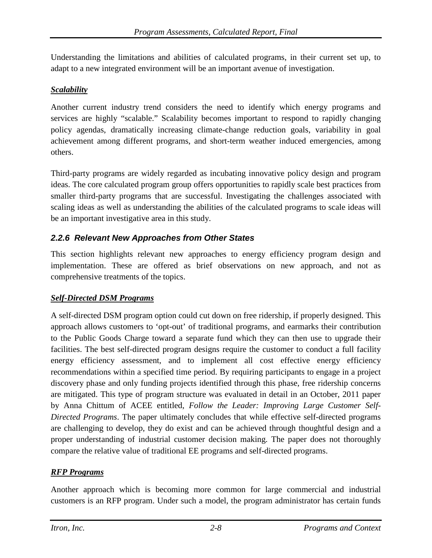Understanding the limitations and abilities of calculated programs, in their current set up, to adapt to a new integrated environment will be an important avenue of investigation.

#### *Scalability*

Another current industry trend considers the need to identify which energy programs and services are highly "scalable." Scalability becomes important to respond to rapidly changing policy agendas, dramatically increasing climate-change reduction goals, variability in goal achievement among different programs, and short-term weather induced emergencies, among others.

Third-party programs are widely regarded as incubating innovative policy design and program ideas. The core calculated program group offers opportunities to rapidly scale best practices from smaller third-party programs that are successful. Investigating the challenges associated with scaling ideas as well as understanding the abilities of the calculated programs to scale ideas will be an important investigative area in this study.

## *2.2.6 Relevant New Approaches from Other States*

This section highlights relevant new approaches to energy efficiency program design and implementation. These are offered as brief observations on new approach, and not as comprehensive treatments of the topics.

## *Self-Directed DSM Programs*

A self-directed DSM program option could cut down on free ridership, if properly designed. This approach allows customers to 'opt-out' of traditional programs, and earmarks their contribution to the Public Goods Charge toward a separate fund which they can then use to upgrade their facilities. The best self-directed program designs require the customer to conduct a full facility energy efficiency assessment, and to implement all cost effective energy efficiency recommendations within a specified time period. By requiring participants to engage in a project discovery phase and only funding projects identified through this phase, free ridership concerns are mitigated. This type of program structure was evaluated in detail in an October, 2011 paper by Anna Chittum of ACEE entitled, *Follow the Leader: Improving Large Customer Self-Directed Programs*. The paper ultimately concludes that while effective self-directed programs are challenging to develop, they do exist and can be achieved through thoughtful design and a proper understanding of industrial customer decision making. The paper does not thoroughly compare the relative value of traditional EE programs and self-directed programs.

#### *RFP Programs*

Another approach which is becoming more common for large commercial and industrial customers is an RFP program. Under such a model, the program administrator has certain funds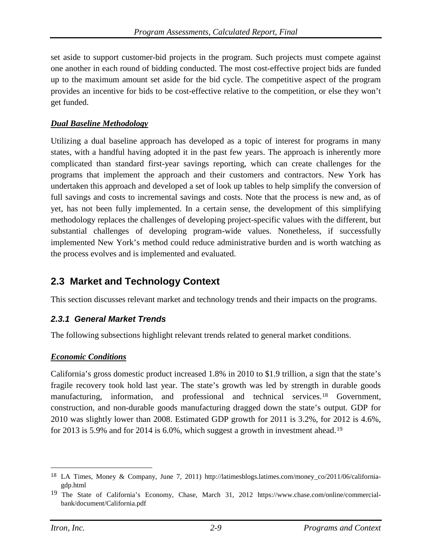set aside to support customer-bid projects in the program. Such projects must compete against one another in each round of bidding conducted. The most cost-effective project bids are funded up to the maximum amount set aside for the bid cycle. The competitive aspect of the program provides an incentive for bids to be cost-effective relative to the competition, or else they won't get funded.

#### *Dual Baseline Methodology*

Utilizing a dual baseline approach has developed as a topic of interest for programs in many states, with a handful having adopted it in the past few years. The approach is inherently more complicated than standard first-year savings reporting, which can create challenges for the programs that implement the approach and their customers and contractors. New York has undertaken this approach and developed a set of look up tables to help simplify the conversion of full savings and costs to incremental savings and costs. Note that the process is new and, as of yet, has not been fully implemented. In a certain sense, the development of this simplifying methodology replaces the challenges of developing project-specific values with the different, but substantial challenges of developing program-wide values. Nonetheless, if successfully implemented New York's method could reduce administrative burden and is worth watching as the process evolves and is implemented and evaluated.

# **2.3 Market and Technology Context**

This section discusses relevant market and technology trends and their impacts on the programs.

## *2.3.1 General Market Trends*

The following subsections highlight relevant trends related to general market conditions.

#### *Economic Conditions*

California's gross domestic product increased 1.8% in 2010 to \$1.9 trillion, a sign that the state's fragile recovery took hold last year. The state's growth was led by strength in durable goods manufacturing, information, and professional and technical services.[18](#page-41-0) Government, construction, and non-durable goods manufacturing dragged down the state's output. GDP for 2010 was slightly lower than 2008. Estimated GDP growth for 2011 is 3.2%, for 2012 is 4.6%, for 2013 is 5.9% and for 2014 is 6.0%, which suggest a growth in investment ahead.[19](#page-41-1)

<span id="page-41-0"></span> <sup>18</sup> LA Times, Money & Company, June 7, 2011) [http://latimesblogs.latimes.com/money\\_co/2011/06/california](http://latimesblogs.latimes.com/money_co/2011/06/california-gdp.html)[gdp.html](http://latimesblogs.latimes.com/money_co/2011/06/california-gdp.html)

<span id="page-41-1"></span><sup>19</sup> The State of California's Economy, Chase, March 31, 2012 [https://www.chase.com/online/commercial](https://www.chase.com/online/commercial-bank/document/California.pdf)[bank/document/California.pdf](https://www.chase.com/online/commercial-bank/document/California.pdf)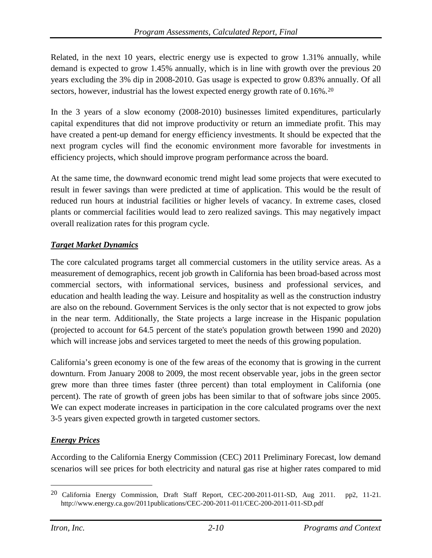Related, in the next 10 years, electric energy use is expected to grow 1.31% annually, while demand is expected to grow 1.45% annually, which is in line with growth over the previous 20 years excluding the 3% dip in 2008-2010. Gas usage is expected to grow 0.83% annually. Of all sectors, however, industrial has the lowest expected energy growth rate of 0.16%.<sup>[20](#page-42-0)</sup>

In the 3 years of a slow economy (2008-2010) businesses limited expenditures, particularly capital expenditures that did not improve productivity or return an immediate profit. This may have created a pent-up demand for energy efficiency investments. It should be expected that the next program cycles will find the economic environment more favorable for investments in efficiency projects, which should improve program performance across the board.

At the same time, the downward economic trend might lead some projects that were executed to result in fewer savings than were predicted at time of application. This would be the result of reduced run hours at industrial facilities or higher levels of vacancy. In extreme cases, closed plants or commercial facilities would lead to zero realized savings. This may negatively impact overall realization rates for this program cycle.

#### *Target Market Dynamics*

The core calculated programs target all commercial customers in the utility service areas. As a measurement of demographics, recent job growth in California has been broad-based across most commercial sectors, with informational services, business and professional services, and education and health leading the way. Leisure and hospitality as well as the construction industry are also on the rebound. Government Services is the only sector that is not expected to grow jobs in the near term. Additionally, the State projects a large increase in the Hispanic population (projected to account for 64.5 percent of the state's population growth between 1990 and 2020) which will increase jobs and services targeted to meet the needs of this growing population.

California's green economy is one of the few areas of the economy that is growing in the current downturn. From January 2008 to 2009, the most recent observable year, jobs in the green sector grew more than three times faster (three percent) than total employment in California (one percent). The rate of growth of green jobs has been similar to that of software jobs since 2005. We can expect moderate increases in participation in the core calculated programs over the next 3-5 years given expected growth in targeted customer sectors.

#### *Energy Prices*

According to the California Energy Commission (CEC) 2011 Preliminary Forecast, low demand scenarios will see prices for both electricity and natural gas rise at higher rates compared to mid

<span id="page-42-0"></span> <sup>20</sup> California Energy Commission, Draft Staff Report, CEC-200-2011-011-SD, Aug 2011. pp2, 11-21. <http://www.energy.ca.gov/2011publications/CEC-200-2011-011/CEC-200-2011-011-SD.pdf>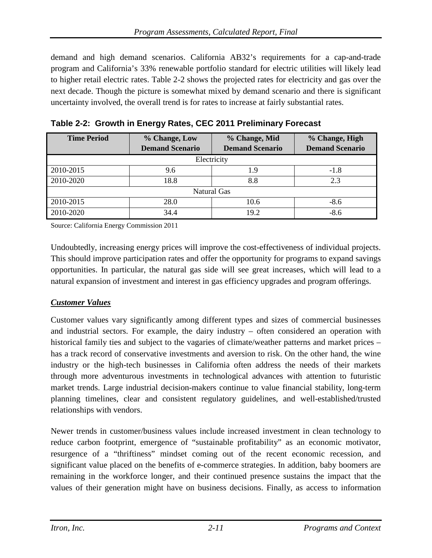demand and high demand scenarios. California AB32's requirements for a cap-and-trade program and California's 33% renewable portfolio standard for electric utilities will likely lead to higher retail electric rates. [Table 2-2](#page-43-0) shows the projected rates for electricity and gas over the next decade. Though the picture is somewhat mixed by demand scenario and there is significant uncertainty involved, the overall trend is for rates to increase at fairly substantial rates.

| <b>Time Period</b> | % Change, Low          | % Change, Mid          | % Change, High         |
|--------------------|------------------------|------------------------|------------------------|
|                    | <b>Demand Scenario</b> | <b>Demand Scenario</b> | <b>Demand Scenario</b> |
| Electricity        |                        |                        |                        |
| 2010-2015          | 9.6                    | 1.9                    | $-1.8$                 |
| 2010-2020          | 18.8                   | 8.8                    | 2.3                    |
| <b>Natural Gas</b> |                        |                        |                        |
| 2010-2015          | 28.0                   | 10.6                   | $-8.6$                 |
| 2010-2020          | 34.4                   | 19.2                   | $-8.6$                 |

<span id="page-43-0"></span>**Table 2-2: Growth in Energy Rates, CEC 2011 Preliminary Forecast**

Source: California Energy Commission 2011

Undoubtedly, increasing energy prices will improve the cost-effectiveness of individual projects. This should improve participation rates and offer the opportunity for programs to expand savings opportunities. In particular, the natural gas side will see great increases, which will lead to a natural expansion of investment and interest in gas efficiency upgrades and program offerings.

## *Customer Values*

Customer values vary significantly among different types and sizes of commercial businesses and industrial sectors. For example, the dairy industry – often considered an operation with historical family ties and subject to the vagaries of climate/weather patterns and market prices – has a track record of conservative investments and aversion to risk. On the other hand, the wine industry or the high-tech businesses in California often address the needs of their markets through more adventurous investments in technological advances with attention to futuristic market trends. Large industrial decision-makers continue to value financial stability, long-term planning timelines, clear and consistent regulatory guidelines, and well-established/trusted relationships with vendors.

Newer trends in customer/business values include increased investment in clean technology to reduce carbon footprint, emergence of "sustainable profitability" as an economic motivator, resurgence of a "thriftiness" mindset coming out of the recent economic recession, and significant value placed on the benefits of e-commerce strategies. In addition, baby boomers are remaining in the workforce longer, and their continued presence sustains the impact that the values of their generation might have on business decisions. Finally, as access to information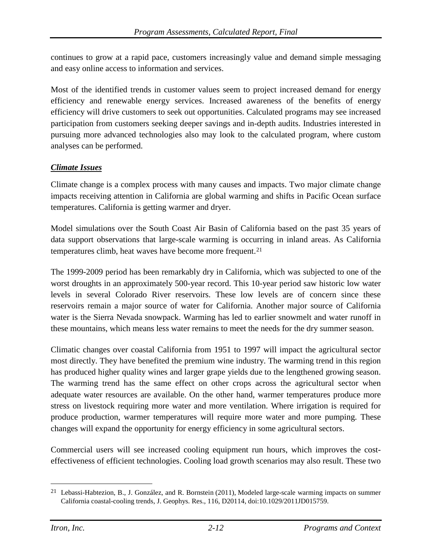continues to grow at a rapid pace, customers increasingly value and demand simple messaging and easy online access to information and services.

Most of the identified trends in customer values seem to project increased demand for energy efficiency and renewable energy services. Increased awareness of the benefits of energy efficiency will drive customers to seek out opportunities. Calculated programs may see increased participation from customers seeking deeper savings and in-depth audits. Industries interested in pursuing more advanced technologies also may look to the calculated program, where custom analyses can be performed.

#### *Climate Issues*

Climate change is a complex process with many causes and impacts. Two major climate change impacts receiving attention in California are global warming and shifts in Pacific Ocean surface temperatures. California is getting warmer and dryer.

Model simulations over the South Coast Air Basin of California based on the past 35 years of data support observations that large-scale warming is occurring in inland areas. As California temperatures climb, heat waves have become more frequent.[21](#page-44-0)

The 1999-2009 period has been remarkably dry in California, which was subjected to one of the worst droughts in an approximately 500-year record. This 10-year period saw historic low water levels in several Colorado River reservoirs. These low levels are of concern since these reservoirs remain a major source of water for California. Another major source of California water is the Sierra Nevada snowpack. Warming has led to earlier snowmelt and water runoff in these mountains, which means less water remains to meet the needs for the dry summer season.

Climatic changes over coastal California from 1951 to 1997 will impact the agricultural sector most directly. They have benefited the premium wine industry. The warming trend in this region has produced higher quality wines and larger grape yields due to the lengthened growing season. The warming trend has the same effect on other crops across the agricultural sector when adequate water resources are available. On the other hand, warmer temperatures produce more stress on livestock requiring more water and more ventilation. Where irrigation is required for produce production, warmer temperatures will require more water and more pumping. These changes will expand the opportunity for energy efficiency in some agricultural sectors.

Commercial users will see increased cooling equipment run hours, which improves the costeffectiveness of efficient technologies. Cooling load growth scenarios may also result. These two

<span id="page-44-0"></span> <sup>21</sup> Lebassi-Habtezion, B., J. González, and R. Bornstein (2011), Modeled large-scale warming impacts on summer California coastal-cooling trends, J. Geophys. Res., 116, D20114, doi:10.1029/2011JD015759.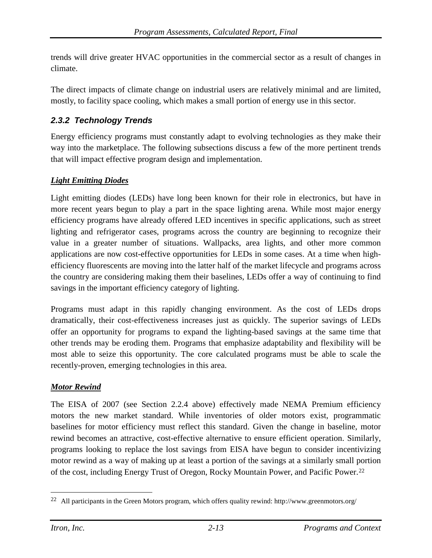trends will drive greater HVAC opportunities in the commercial sector as a result of changes in climate.

The direct impacts of climate change on industrial users are relatively minimal and are limited, mostly, to facility space cooling, which makes a small portion of energy use in this sector.

## *2.3.2 Technology Trends*

Energy efficiency programs must constantly adapt to evolving technologies as they make their way into the marketplace. The following subsections discuss a few of the more pertinent trends that will impact effective program design and implementation.

#### *Light Emitting Diodes*

Light emitting diodes (LEDs) have long been known for their role in electronics, but have in more recent years begun to play a part in the space lighting arena. While most major energy efficiency programs have already offered LED incentives in specific applications, such as street lighting and refrigerator cases, programs across the country are beginning to recognize their value in a greater number of situations. Wallpacks, area lights, and other more common applications are now cost-effective opportunities for LEDs in some cases. At a time when highefficiency fluorescents are moving into the latter half of the market lifecycle and programs across the country are considering making them their baselines, LEDs offer a way of continuing to find savings in the important efficiency category of lighting.

Programs must adapt in this rapidly changing environment. As the cost of LEDs drops dramatically, their cost-effectiveness increases just as quickly. The superior savings of LEDs offer an opportunity for programs to expand the lighting-based savings at the same time that other trends may be eroding them. Programs that emphasize adaptability and flexibility will be most able to seize this opportunity. The core calculated programs must be able to scale the recently-proven, emerging technologies in this area.

#### *Motor Rewind*

The EISA of 2007 (see Section 2.2.4 above) effectively made NEMA Premium efficiency motors the new market standard. While inventories of older motors exist, programmatic baselines for motor efficiency must reflect this standard. Given the change in baseline, motor rewind becomes an attractive, cost-effective alternative to ensure efficient operation. Similarly, programs looking to replace the lost savings from EISA have begun to consider incentivizing motor rewind as a way of making up at least a portion of the savings at a similarly small portion of the cost, including Energy Trust of Oregon, Rocky Mountain Power, and Pacific Power.[22](#page-45-0)

<span id="page-45-0"></span><sup>&</sup>lt;sup>22</sup> All participants in the Green Motors program, which offers quality rewind:<http://www.greenmotors.org/>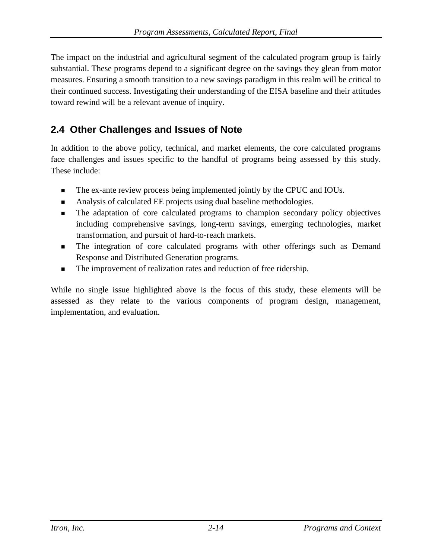The impact on the industrial and agricultural segment of the calculated program group is fairly substantial. These programs depend to a significant degree on the savings they glean from motor measures. Ensuring a smooth transition to a new savings paradigm in this realm will be critical to their continued success. Investigating their understanding of the EISA baseline and their attitudes toward rewind will be a relevant avenue of inquiry.

# **2.4 Other Challenges and Issues of Note**

In addition to the above policy, technical, and market elements, the core calculated programs face challenges and issues specific to the handful of programs being assessed by this study. These include:

- The ex-ante review process being implemented jointly by the CPUC and IOUs.
- Analysis of calculated EE projects using dual baseline methodologies.
- The adaptation of core calculated programs to champion secondary policy objectives including comprehensive savings, long-term savings, emerging technologies, market transformation, and pursuit of hard-to-reach markets.
- **The integration of core calculated programs with other offerings such as Demand** Response and Distributed Generation programs.
- The improvement of realization rates and reduction of free ridership.

While no single issue highlighted above is the focus of this study, these elements will be assessed as they relate to the various components of program design, management, implementation, and evaluation.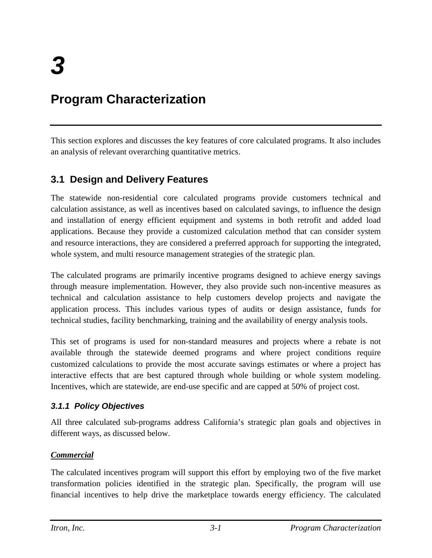# **Program Characterization**

This section explores and discusses the key features of core calculated programs. It also includes an analysis of relevant overarching quantitative metrics.

# **3.1 Design and Delivery Features**

The statewide non-residential core calculated programs provide customers technical and calculation assistance, as well as incentives based on calculated savings, to influence the design and installation of energy efficient equipment and systems in both retrofit and added load applications. Because they provide a customized calculation method that can consider system and resource interactions, they are considered a preferred approach for supporting the integrated, whole system, and multi resource management strategies of the strategic plan.

The calculated programs are primarily incentive programs designed to achieve energy savings through measure implementation. However, they also provide such non-incentive measures as technical and calculation assistance to help customers develop projects and navigate the application process. This includes various types of audits or design assistance, funds for technical studies, facility benchmarking, training and the availability of energy analysis tools.

This set of programs is used for non-standard measures and projects where a rebate is not available through the statewide deemed programs and where project conditions require customized calculations to provide the most accurate savings estimates or where a project has interactive effects that are best captured through whole building or whole system modeling. Incentives, which are statewide, are end-use specific and are capped at 50% of project cost.

## *3.1.1 Policy Objectives*

All three calculated sub-programs address California's strategic plan goals and objectives in different ways, as discussed below.

## *Commercial*

The calculated incentives program will support this effort by employing two of the five market transformation policies identified in the strategic plan. Specifically, the program will use financial incentives to help drive the marketplace towards energy efficiency. The calculated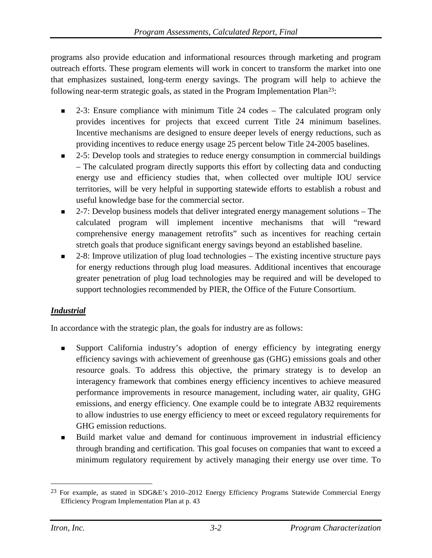programs also provide education and informational resources through marketing and program outreach efforts. These program elements will work in concert to transform the market into one that emphasizes sustained, long-term energy savings. The program will help to achieve the following near-term strategic goals, as stated in the Program Implementation Pla[n23:](#page-48-0)

- 2-3: Ensure compliance with minimum Title 24 codes The calculated program only provides incentives for projects that exceed current Title 24 minimum baselines. Incentive mechanisms are designed to ensure deeper levels of energy reductions, such as providing incentives to reduce energy usage 25 percent below Title 24-2005 baselines.
- 2-5: Develop tools and strategies to reduce energy consumption in commercial buildings – The calculated program directly supports this effort by collecting data and conducting energy use and efficiency studies that, when collected over multiple IOU service territories, will be very helpful in supporting statewide efforts to establish a robust and useful knowledge base for the commercial sector.
- $\Box$  2-7: Develop business models that deliver integrated energy management solutions The calculated program will implement incentive mechanisms that will "reward comprehensive energy management retrofits" such as incentives for reaching certain stretch goals that produce significant energy savings beyond an established baseline.
- 2-8: Improve utilization of plug load technologies The existing incentive structure pays for energy reductions through plug load measures. Additional incentives that encourage greater penetration of plug load technologies may be required and will be developed to support technologies recommended by PIER, the Office of the Future Consortium.

## *Industrial*

In accordance with the strategic plan, the goals for industry are as follows:

- Support California industry's adoption of energy efficiency by integrating energy efficiency savings with achievement of greenhouse gas (GHG) emissions goals and other resource goals. To address this objective, the primary strategy is to develop an interagency framework that combines energy efficiency incentives to achieve measured performance improvements in resource management, including water, air quality, GHG emissions, and energy efficiency. One example could be to integrate AB32 requirements to allow industries to use energy efficiency to meet or exceed regulatory requirements for GHG emission reductions.
- Build market value and demand for continuous improvement in industrial efficiency through branding and certification. This goal focuses on companies that want to exceed a minimum regulatory requirement by actively managing their energy use over time. To

<span id="page-48-0"></span> <sup>23</sup> For example, as stated in SDG&E's 2010–2012 Energy Efficiency Programs Statewide Commercial Energy Efficiency Program Implementation Plan at p. 43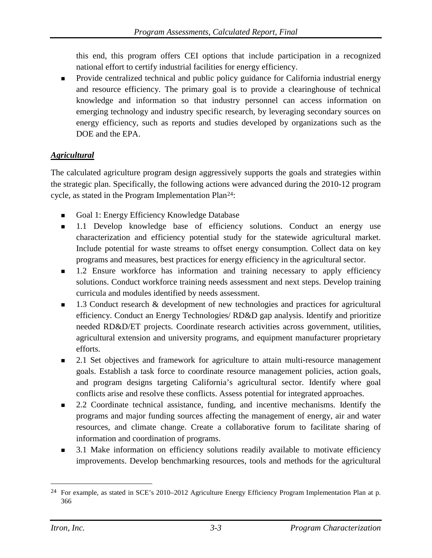this end, this program offers CEI options that include participation in a recognized national effort to certify industrial facilities for energy efficiency.

 Provide centralized technical and public policy guidance for California industrial energy and resource efficiency. The primary goal is to provide a clearinghouse of technical knowledge and information so that industry personnel can access information on emerging technology and industry specific research, by leveraging secondary sources on energy efficiency, such as reports and studies developed by organizations such as the DOE and the EPA.

## *Agricultural*

The calculated agriculture program design aggressively supports the goals and strategies within the strategic plan. Specifically, the following actions were advanced during the 2010-12 program cycle, as stated in the Program Implementation Plan[24](#page-49-0):

- Goal 1: Energy Efficiency Knowledge Database
- 1.1 Develop knowledge base of efficiency solutions. Conduct an energy use characterization and efficiency potential study for the statewide agricultural market. Include potential for waste streams to offset energy consumption. Collect data on key programs and measures, best practices for energy efficiency in the agricultural sector.
- **1.2 Ensure workforce has information and training necessary to apply efficiency** solutions. Conduct workforce training needs assessment and next steps. Develop training curricula and modules identified by needs assessment.
- 1.3 Conduct research & development of new technologies and practices for agricultural efficiency. Conduct an Energy Technologies/ RD&D gap analysis. Identify and prioritize needed RD&D/ET projects. Coordinate research activities across government, utilities, agricultural extension and university programs, and equipment manufacturer proprietary efforts.
- 2.1 Set objectives and framework for agriculture to attain multi-resource management goals. Establish a task force to coordinate resource management policies, action goals, and program designs targeting California's agricultural sector. Identify where goal conflicts arise and resolve these conflicts. Assess potential for integrated approaches.
- 2.2 Coordinate technical assistance, funding, and incentive mechanisms. Identify the programs and major funding sources affecting the management of energy, air and water resources, and climate change. Create a collaborative forum to facilitate sharing of information and coordination of programs.
- **3.1 Make information on efficiency solutions readily available to motivate efficiency** improvements. Develop benchmarking resources, tools and methods for the agricultural

<span id="page-49-0"></span><sup>&</sup>lt;sup>24</sup> For example, as stated in SCE's 2010–2012 Agriculture Energy Efficiency Program Implementation Plan at p. 366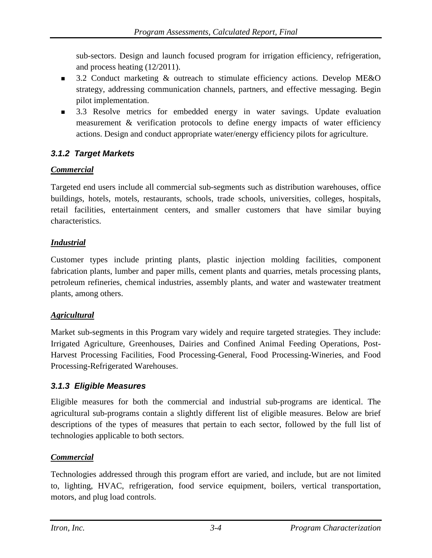sub-sectors. Design and launch focused program for irrigation efficiency, refrigeration, and process heating (12/2011).

- **3.2 Conduct marketing & outreach to stimulate efficiency actions. Develop ME&O** strategy, addressing communication channels, partners, and effective messaging. Begin pilot implementation.
- 3.3 Resolve metrics for embedded energy in water savings. Update evaluation measurement & verification protocols to define energy impacts of water efficiency actions. Design and conduct appropriate water/energy efficiency pilots for agriculture.

## *3.1.2 Target Markets*

## *Commercial*

Targeted end users include all commercial sub-segments such as distribution warehouses, office buildings, hotels, motels, restaurants, schools, trade schools, universities, colleges, hospitals, retail facilities, entertainment centers, and smaller customers that have similar buying characteristics.

#### *Industrial*

Customer types include printing plants, plastic injection molding facilities, component fabrication plants, lumber and paper mills, cement plants and quarries, metals processing plants, petroleum refineries, chemical industries, assembly plants, and water and wastewater treatment plants, among others.

## *Agricultural*

Market sub-segments in this Program vary widely and require targeted strategies. They include: Irrigated Agriculture, Greenhouses, Dairies and Confined Animal Feeding Operations, Post-Harvest Processing Facilities, Food Processing-General, Food Processing-Wineries, and Food Processing-Refrigerated Warehouses.

## *3.1.3 Eligible Measures*

Eligible measures for both the commercial and industrial sub-programs are identical. The agricultural sub-programs contain a slightly different list of eligible measures. Below are brief descriptions of the types of measures that pertain to each sector, followed by the full list of technologies applicable to both sectors.

## *Commercial*

Technologies addressed through this program effort are varied, and include, but are not limited to, lighting, HVAC, refrigeration, food service equipment, boilers, vertical transportation, motors, and plug load controls.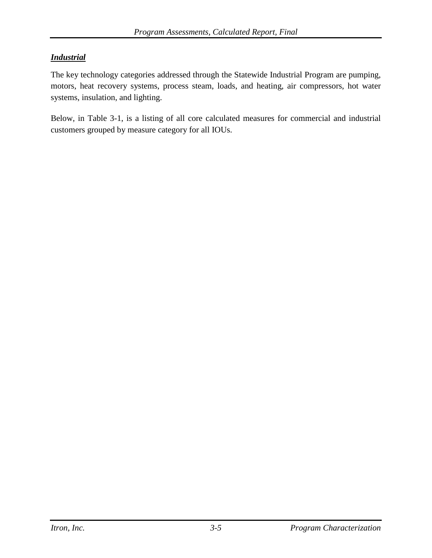#### *Industrial*

The key technology categories addressed through the Statewide Industrial Program are pumping, motors, heat recovery systems, process steam, loads, and heating, air compressors, hot water systems, insulation, and lighting.

Below, in [Table 3-1,](#page-52-0) is a listing of all core calculated measures for commercial and industrial customers grouped by measure category for all IOUs.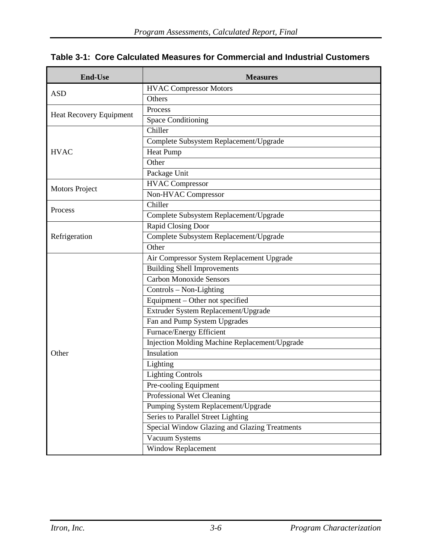<span id="page-52-0"></span>

|  |  |  |  | Table 3-1: Core Calculated Measures for Commercial and Industrial Customers |
|--|--|--|--|-----------------------------------------------------------------------------|
|--|--|--|--|-----------------------------------------------------------------------------|

| <b>End-Use</b>                 | <b>Measures</b>                               |
|--------------------------------|-----------------------------------------------|
|                                | <b>HVAC Compressor Motors</b>                 |
| <b>ASD</b>                     | Others                                        |
|                                | Process                                       |
| <b>Heat Recovery Equipment</b> | <b>Space Conditioning</b>                     |
|                                | Chiller                                       |
|                                | Complete Subsystem Replacement/Upgrade        |
| <b>HVAC</b>                    | <b>Heat Pump</b>                              |
|                                | Other                                         |
|                                | Package Unit                                  |
|                                | <b>HVAC Compressor</b>                        |
| <b>Motors Project</b>          | Non-HVAC Compressor                           |
| Process                        | Chiller                                       |
|                                | Complete Subsystem Replacement/Upgrade        |
|                                | Rapid Closing Door                            |
| Refrigeration                  | Complete Subsystem Replacement/Upgrade        |
|                                | Other                                         |
|                                | Air Compressor System Replacement Upgrade     |
|                                | <b>Building Shell Improvements</b>            |
|                                | <b>Carbon Monoxide Sensors</b>                |
|                                | Controls - Non-Lighting                       |
|                                | Equipment - Other not specified               |
|                                | Extruder System Replacement/Upgrade           |
|                                | Fan and Pump System Upgrades                  |
|                                | Furnace/Energy Efficient                      |
|                                | Injection Molding Machine Replacement/Upgrade |
| Other                          | Insulation                                    |
|                                | Lighting                                      |
|                                | <b>Lighting Controls</b>                      |
|                                | Pre-cooling Equipment                         |
|                                | Professional Wet Cleaning                     |
|                                | Pumping System Replacement/Upgrade            |
|                                | Series to Parallel Street Lighting            |
|                                | Special Window Glazing and Glazing Treatments |
|                                | Vacuum Systems                                |
|                                | <b>Window Replacement</b>                     |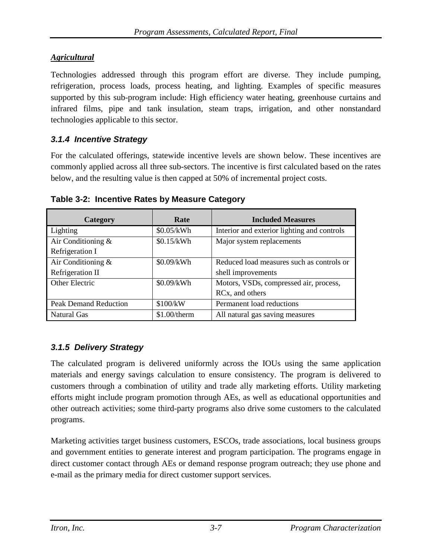## *Agricultural*

Technologies addressed through this program effort are diverse. They include pumping, refrigeration, process loads, process heating, and lighting. Examples of specific measures supported by this sub-program include: High efficiency water heating, greenhouse curtains and infrared films, pipe and tank insulation, steam traps, irrigation, and other nonstandard technologies applicable to this sector.

## *3.1.4 Incentive Strategy*

For the calculated offerings, statewide incentive levels are shown below. These incentives are commonly applied across all three sub-sectors. The incentive is first calculated based on the rates below, and the resulting value is then capped at 50% of incremental project costs.

| Category              | Rate         | <b>Included Measures</b>                    |
|-----------------------|--------------|---------------------------------------------|
| Lighting              | \$0.05/kWh   | Interior and exterior lighting and controls |
| Air Conditioning $\&$ | \$0.15/kWh   | Major system replacements                   |
| Refrigeration I       |              |                                             |
| Air Conditioning $\&$ | \$0.09/kWh   | Reduced load measures such as controls or   |
| Refrigeration II      |              | shell improvements                          |
| Other Electric        | \$0.09/kWh   | Motors, VSDs, compressed air, process,      |
|                       |              | RC <sub>x</sub> , and others                |
| Peak Demand Reduction | \$100/kW     | Permanent load reductions                   |
| Natural Gas           | \$1.00/therm | All natural gas saving measures             |

**Table 3-2: Incentive Rates by Measure Category**

# *3.1.5 Delivery Strategy*

The calculated program is delivered uniformly across the IOUs using the same application materials and energy savings calculation to ensure consistency. The program is delivered to customers through a combination of utility and trade ally marketing efforts. Utility marketing efforts might include program promotion through AEs, as well as educational opportunities and other outreach activities; some third-party programs also drive some customers to the calculated programs.

Marketing activities target business customers, ESCOs, trade associations, local business groups and government entities to generate interest and program participation. The programs engage in direct customer contact through AEs or demand response program outreach; they use phone and e-mail as the primary media for direct customer support services.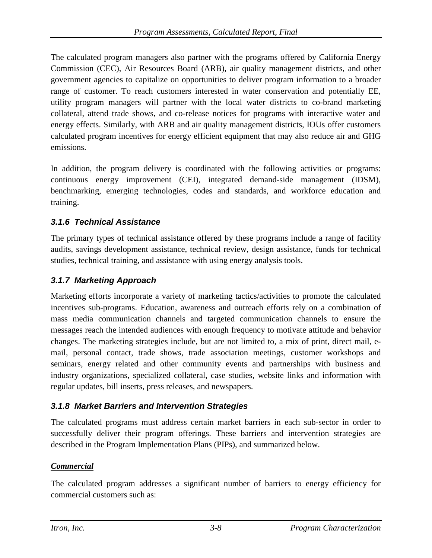The calculated program managers also partner with the programs offered by California Energy Commission (CEC), Air Resources Board (ARB), air quality management districts, and other government agencies to capitalize on opportunities to deliver program information to a broader range of customer. To reach customers interested in water conservation and potentially EE, utility program managers will partner with the local water districts to co-brand marketing collateral, attend trade shows, and co-release notices for programs with interactive water and energy effects. Similarly, with ARB and air quality management districts, IOUs offer customers calculated program incentives for energy efficient equipment that may also reduce air and GHG emissions.

In addition, the program delivery is coordinated with the following activities or programs: continuous energy improvement (CEI), integrated demand-side management (IDSM), benchmarking, emerging technologies, codes and standards, and workforce education and training.

## *3.1.6 Technical Assistance*

The primary types of technical assistance offered by these programs include a range of facility audits, savings development assistance, technical review, design assistance, funds for technical studies, technical training, and assistance with using energy analysis tools.

## *3.1.7 Marketing Approach*

Marketing efforts incorporate a variety of marketing tactics/activities to promote the calculated incentives sub-programs. Education, awareness and outreach efforts rely on a combination of mass media communication channels and targeted communication channels to ensure the messages reach the intended audiences with enough frequency to motivate attitude and behavior changes. The marketing strategies include, but are not limited to, a mix of print, direct mail, email, personal contact, trade shows, trade association meetings, customer workshops and seminars, energy related and other community events and partnerships with business and industry organizations, specialized collateral, case studies, website links and information with regular updates, bill inserts, press releases, and newspapers.

## *3.1.8 Market Barriers and Intervention Strategies*

The calculated programs must address certain market barriers in each sub-sector in order to successfully deliver their program offerings. These barriers and intervention strategies are described in the Program Implementation Plans (PIPs), and summarized below.

#### *Commercial*

The calculated program addresses a significant number of barriers to energy efficiency for commercial customers such as: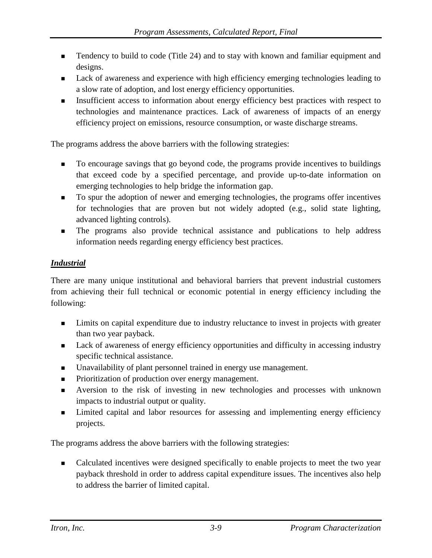- Tendency to build to code (Title 24) and to stay with known and familiar equipment and designs.
- **Lack of awareness and experience with high efficiency emerging technologies leading to** a slow rate of adoption, and lost energy efficiency opportunities.
- Insufficient access to information about energy efficiency best practices with respect to technologies and maintenance practices. Lack of awareness of impacts of an energy efficiency project on emissions, resource consumption, or waste discharge streams.

The programs address the above barriers with the following strategies:

- To encourage savings that go beyond code, the programs provide incentives to buildings that exceed code by a specified percentage, and provide up-to-date information on emerging technologies to help bridge the information gap.
- To spur the adoption of newer and emerging technologies, the programs offer incentives for technologies that are proven but not widely adopted (e.g., solid state lighting, advanced lighting controls).
- The programs also provide technical assistance and publications to help address information needs regarding energy efficiency best practices.

## *Industrial*

There are many unique institutional and behavioral barriers that prevent industrial customers from achieving their full technical or economic potential in energy efficiency including the following:

- **EXECUTE:** Limits on capital expenditure due to industry reluctance to invest in projects with greater than two year payback.
- **Lack of awareness of energy efficiency opportunities and difficulty in accessing industry** specific technical assistance.
- Unavailability of plant personnel trained in energy use management.
- **Prioritization of production over energy management.**
- Aversion to the risk of investing in new technologies and processes with unknown impacts to industrial output or quality.
- **Exercise 1** Limited capital and labor resources for assessing and implementing energy efficiency projects.

The programs address the above barriers with the following strategies:

 Calculated incentives were designed specifically to enable projects to meet the two year payback threshold in order to address capital expenditure issues. The incentives also help to address the barrier of limited capital.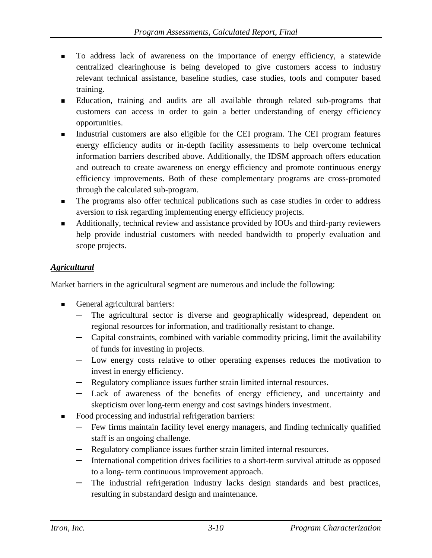- To address lack of awareness on the importance of energy efficiency, a statewide centralized clearinghouse is being developed to give customers access to industry relevant technical assistance, baseline studies, case studies, tools and computer based training.
- Education, training and audits are all available through related sub-programs that customers can access in order to gain a better understanding of energy efficiency opportunities.
- Industrial customers are also eligible for the CEI program. The CEI program features energy efficiency audits or in-depth facility assessments to help overcome technical information barriers described above. Additionally, the IDSM approach offers education and outreach to create awareness on energy efficiency and promote continuous energy efficiency improvements. Both of these complementary programs are cross-promoted through the calculated sub-program.
- The programs also offer technical publications such as case studies in order to address aversion to risk regarding implementing energy efficiency projects.
- Additionally, technical review and assistance provided by IOUs and third-party reviewers help provide industrial customers with needed bandwidth to properly evaluation and scope projects.

#### *Agricultural*

Market barriers in the agricultural segment are numerous and include the following:

- General agricultural barriers:
	- **─** The agricultural sector is diverse and geographically widespread, dependent on regional resources for information, and traditionally resistant to change.
	- **─** Capital constraints, combined with variable commodity pricing, limit the availability of funds for investing in projects.
	- **─** Low energy costs relative to other operating expenses reduces the motivation to invest in energy efficiency.
	- **─** Regulatory compliance issues further strain limited internal resources.
	- **─** Lack of awareness of the benefits of energy efficiency, and uncertainty and skepticism over long-term energy and cost savings hinders investment.
- Food processing and industrial refrigeration barriers:
	- **─** Few firms maintain facility level energy managers, and finding technically qualified staff is an ongoing challenge.
	- **─** Regulatory compliance issues further strain limited internal resources.
	- **─** International competition drives facilities to a short-term survival attitude as opposed to a long- term continuous improvement approach.
	- **─** The industrial refrigeration industry lacks design standards and best practices, resulting in substandard design and maintenance.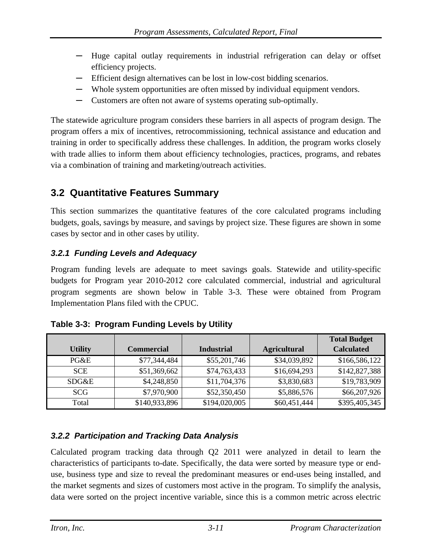- **─** Huge capital outlay requirements in industrial refrigeration can delay or offset efficiency projects.
- **─** Efficient design alternatives can be lost in low-cost bidding scenarios.
- **─** Whole system opportunities are often missed by individual equipment vendors.
- Customers are often not aware of systems operating sub-optimally.

The statewide agriculture program considers these barriers in all aspects of program design. The program offers a mix of incentives, retrocommissioning, technical assistance and education and training in order to specifically address these challenges. In addition, the program works closely with trade allies to inform them about efficiency technologies, practices, programs, and rebates via a combination of training and marketing/outreach activities.

# **3.2 Quantitative Features Summary**

This section summarizes the quantitative features of the core calculated programs including budgets, goals, savings by measure, and savings by project size. These figures are shown in some cases by sector and in other cases by utility.

# *3.2.1 Funding Levels and Adequacy*

Program funding levels are adequate to meet savings goals. Statewide and utility-specific budgets for Program year 2010-2012 core calculated commercial, industrial and agricultural program segments are shown below in [Table 3-3.](#page-57-0) These were obtained from Program Implementation Plans filed with the CPUC.

|                |                   |                   |                     | <b>Total Budget</b> |
|----------------|-------------------|-------------------|---------------------|---------------------|
| <b>Utility</b> | <b>Commercial</b> | <b>Industrial</b> | <b>Agricultural</b> | <b>Calculated</b>   |
| $P G \& E$     | \$77,344,484      | \$55,201,746      | \$34,039,892        | \$166,586,122       |
| <b>SCE</b>     | \$51,369,662      | \$74,763,433      | \$16,694,293        | \$142,827,388       |
| SDG&E          | \$4,248,850       | \$11,704,376      | \$3,830,683         | \$19,783,909        |
| <b>SCG</b>     | \$7,970,900       | \$52,350,450      | \$5,886,576         | \$66,207,926        |
| Total          | \$140,933,896     | \$194,020,005     | \$60,451,444        | \$395,405,345       |

<span id="page-57-0"></span>

| Table 3-3: Program Funding Levels by Utility |  |  |  |  |  |
|----------------------------------------------|--|--|--|--|--|
|----------------------------------------------|--|--|--|--|--|

## *3.2.2 Participation and Tracking Data Analysis*

Calculated program tracking data through Q2 2011 were analyzed in detail to learn the characteristics of participants to-date. Specifically, the data were sorted by measure type or enduse, business type and size to reveal the predominant measures or end-uses being installed, and the market segments and sizes of customers most active in the program. To simplify the analysis, data were sorted on the project incentive variable, since this is a common metric across electric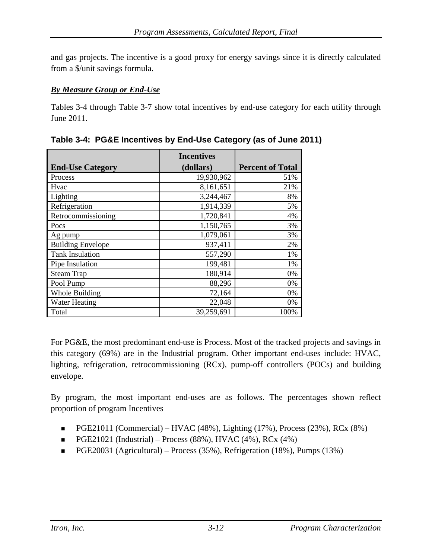and gas projects. The incentive is a good proxy for energy savings since it is directly calculated from a \$/unit savings formula.

#### *By Measure Group or End*-*Use*

[Tables 3-4](#page-58-0) through [Table 3-7](#page-60-0) show total incentives by end-use category for each utility through June 2011.

|                          | <b>Incentives</b> |                         |
|--------------------------|-------------------|-------------------------|
| <b>End-Use Category</b>  | (dollars)         | <b>Percent of Total</b> |
| Process                  | 19,930,962        | 51%                     |
| Hvac                     | 8,161,651         | 21%                     |
| Lighting                 | 3,244,467         | 8%                      |
| Refrigeration            | 1,914,339         | 5%                      |
| Retrocommissioning       | 1,720,841         | 4%                      |
| Pocs                     | 1,150,765         | 3%                      |
| Ag pump                  | 1,079,061         | 3%                      |
| <b>Building Envelope</b> | 937,411           | 2%                      |
| <b>Tank Insulation</b>   | 557,290           | 1%                      |
| Pipe Insulation          | 199,481           | 1%                      |
| <b>Steam Trap</b>        | 180,914           | 0%                      |
| Pool Pump                | 88,296            | 0%                      |
| Whole Building           | 72,164            | 0%                      |
| <b>Water Heating</b>     | 22,048            | 0%                      |
| Total                    | 39,259,691        | 100%                    |

<span id="page-58-0"></span>**Table 3-4: PG&E Incentives by End-Use Category (as of June 2011)**

For PG&E, the most predominant end-use is Process. Most of the tracked projects and savings in this category (69%) are in the Industrial program. Other important end-uses include: HVAC, lighting, refrigeration, retrocommissioning (RCx), pump-off controllers (POCs) and building envelope.

By program, the most important end-uses are as follows. The percentages shown reflect proportion of program Incentives

- **PGE21011 (Commercial)** HVAC (48%), Lighting (17%), Process (23%), RCx (8%)
- **•** PGE21021 (Industrial) Process (88%), HVAC (4%), RCx (4%)
- **PGE20031** (Agricultural) Process (35%), Refrigeration (18%), Pumps (13%)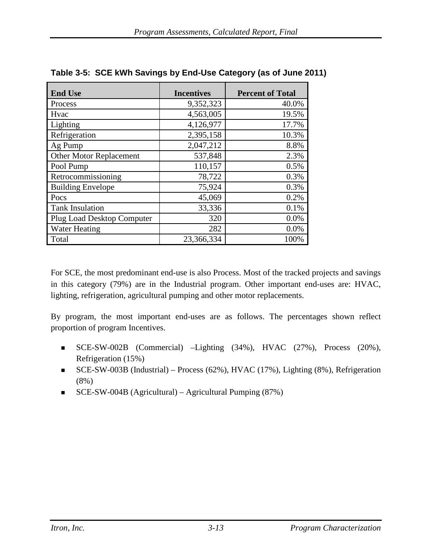| <b>End Use</b>                    | <b>Incentives</b> | <b>Percent of Total</b> |
|-----------------------------------|-------------------|-------------------------|
| Process                           | 9,352,323         | 40.0%                   |
| Hvac                              | 4,563,005         | 19.5%                   |
| Lighting                          | 4,126,977         | 17.7%                   |
| Refrigeration                     | 2,395,158         | 10.3%                   |
| Ag Pump                           | 2,047,212         | 8.8%                    |
| Other Motor Replacement           | 537,848           | 2.3%                    |
| Pool Pump                         | 110,157           | 0.5%                    |
| Retrocommissioning                | 78,722            | 0.3%                    |
| <b>Building Envelope</b>          | 75,924            | 0.3%                    |
| Pocs                              | 45,069            | 0.2%                    |
| <b>Tank Insulation</b>            | 33,336            | 0.1%                    |
| <b>Plug Load Desktop Computer</b> | 320               | 0.0%                    |
| <b>Water Heating</b>              | 282               | 0.0%                    |
| Total                             | 23,366,334        | 100%                    |

| Table 3-5: SCE kWh Savings by End-Use Category (as of June 2011) |  |
|------------------------------------------------------------------|--|
|                                                                  |  |

For SCE, the most predominant end-use is also Process. Most of the tracked projects and savings in this category (79%) are in the Industrial program. Other important end-uses are: HVAC, lighting, refrigeration, agricultural pumping and other motor replacements.

By program, the most important end-uses are as follows. The percentages shown reflect proportion of program Incentives.

- SCE-SW-002B (Commercial) –Lighting (34%), HVAC (27%), Process (20%), Refrigeration (15%)
- SCE-SW-003B (Industrial) Process (62%), HVAC (17%), Lighting (8%), Refrigeration (8%)
- $\blacksquare$  SCE-SW-004B (Agricultural) Agricultural Pumping (87%)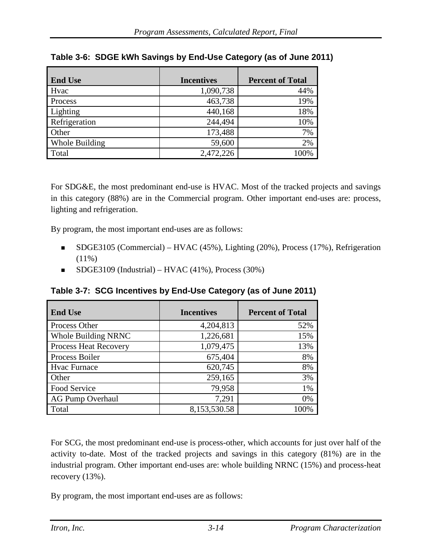| <b>End Use</b> | <b>Incentives</b> | <b>Percent of Total</b> |
|----------------|-------------------|-------------------------|
| Hvac           | 1,090,738         | 44%                     |
| Process        | 463,738           | 19%                     |
| Lighting       | 440,168           | 18%                     |
| Refrigeration  | 244,494           | 10%                     |
| Other          | 173,488           | 7%                      |
| Whole Building | 59,600            | 2%                      |
| Total          | 2,472,226         | 100%                    |

## **Table 3-6: SDGE kWh Savings by End-Use Category (as of June 2011)**

For SDG&E, the most predominant end-use is HVAC. Most of the tracked projects and savings in this category (88%) are in the Commercial program. Other important end-uses are: process, lighting and refrigeration.

By program, the most important end-uses are as follows:

- SDGE3105 (Commercial) HVAC (45%), Lighting (20%), Process (17%), Refrigeration  $(11\%)$
- SDGE3109 (Industrial) HVAC (41%), Process (30%)

<span id="page-60-0"></span>**Table 3-7: SCG Incentives by End-Use Category (as of June 2011)**

| <b>End Use</b>               | <b>Incentives</b> | <b>Percent of Total</b> |
|------------------------------|-------------------|-------------------------|
| Process Other                | 4,204,813         | 52%                     |
| <b>Whole Building NRNC</b>   | 1,226,681         | 15%                     |
| <b>Process Heat Recovery</b> | 1,079,475         | 13%                     |
| Process Boiler               | 675,404           | 8%                      |
| Hvac Furnace                 | 620,745           | 8%                      |
| Other                        | 259,165           | 3%                      |
| Food Service                 | 79,958            | 1%                      |
| <b>AG Pump Overhaul</b>      | 7,291             | 0%                      |
| Total                        | 8,153,530.58      | 100%                    |

For SCG, the most predominant end-use is process-other, which accounts for just over half of the activity to-date. Most of the tracked projects and savings in this category (81%) are in the industrial program. Other important end-uses are: whole building NRNC (15%) and process-heat recovery (13%).

By program, the most important end-uses are as follows: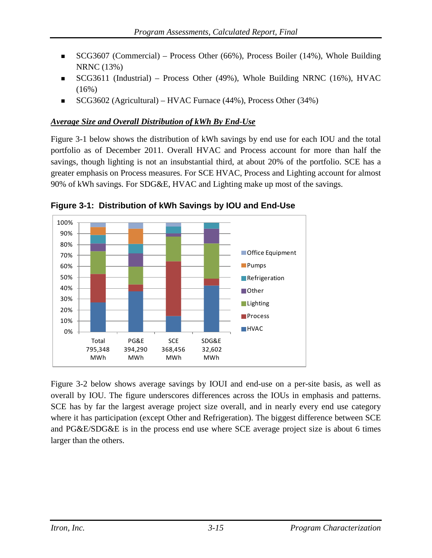- SCG3607 (Commercial) Process Other (66%), Process Boiler (14%), Whole Building NRNC (13%)
- SCG3611 (Industrial) Process Other (49%), Whole Building NRNC (16%), HVAC  $(16%)$
- SCG3602 (Agricultural) HVAC Furnace (44%), Process Other (34%)

#### *Average Size and Overall Distribution of kWh By End*-*Use*

[Figure 3-1](#page-61-0) below shows the distribution of kWh savings by end use for each IOU and the total portfolio as of December 2011. Overall HVAC and Process account for more than half the savings, though lighting is not an insubstantial third, at about 20% of the portfolio. SCE has a greater emphasis on Process measures. For SCE HVAC, Process and Lighting account for almost 90% of kWh savings. For SDG&E, HVAC and Lighting make up most of the savings.



<span id="page-61-0"></span>

[Figure 3-2](#page-62-0) below shows average savings by IOUI and end-use on a per-site basis, as well as overall by IOU. The figure underscores differences across the IOUs in emphasis and patterns. SCE has by far the largest average project size overall, and in nearly every end use category where it has participation (except Other and Refrigeration). The biggest difference between SCE and PG&E/SDG&E is in the process end use where SCE average project size is about 6 times larger than the others.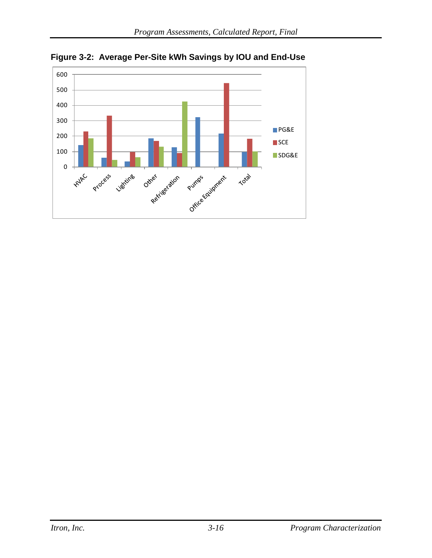

<span id="page-62-0"></span>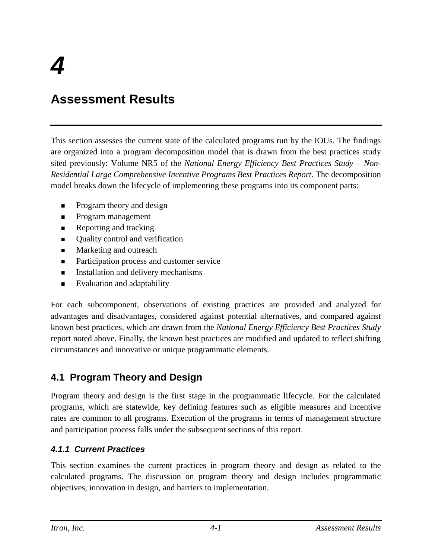# **Assessment Results**

This section assesses the current state of the calculated programs run by the IOUs. The findings are organized into a program decomposition model that is drawn from the best practices study sited previously: Volume NR5 of the *National Energy Efficiency Best Practices Study – Non-Residential Large Comprehensive Incentive Programs Best Practices Report.* The decomposition model breaks down the lifecycle of implementing these programs into its component parts:

- Program theory and design
- **Program management**
- **Reporting and tracking**
- Quality control and verification
- **Marketing and outreach**
- Participation process and customer service
- **Installation and delivery mechanisms**
- **Evaluation and adaptability**

For each subcomponent, observations of existing practices are provided and analyzed for advantages and disadvantages, considered against potential alternatives, and compared against known best practices, which are drawn from the *National Energy Efficiency Best Practices Study*  report noted above. Finally, the known best practices are modified and updated to reflect shifting circumstances and innovative or unique programmatic elements.

# **4.1 Program Theory and Design**

Program theory and design is the first stage in the programmatic lifecycle. For the calculated programs, which are statewide, key defining features such as eligible measures and incentive rates are common to all programs. Execution of the programs in terms of management structure and participation process falls under the subsequent sections of this report.

## *4.1.1 Current Practices*

This section examines the current practices in program theory and design as related to the calculated programs. The discussion on program theory and design includes programmatic objectives, innovation in design, and barriers to implementation.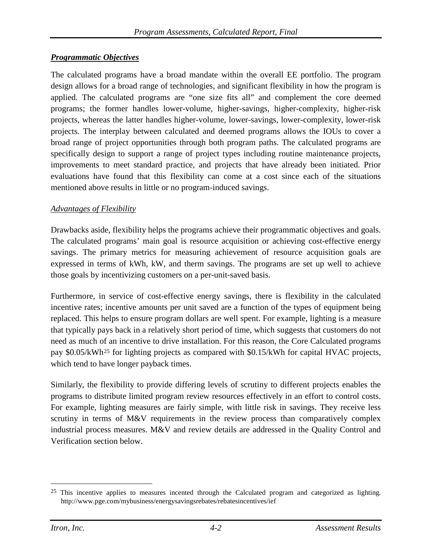#### *Programmatic Objectives*

The calculated programs have a broad mandate within the overall EE portfolio. The program design allows for a broad range of technologies, and significant flexibility in how the program is applied. The calculated programs are "one size fits all" and complement the core deemed programs; the former handles lower-volume, higher-savings, higher-complexity, higher-risk projects, whereas the latter handles higher-volume, lower-savings, lower-complexity, lower-risk projects. The interplay between calculated and deemed programs allows the IOUs to cover a broad range of project opportunities through both program paths. The calculated programs are specifically design to support a range of project types including routine maintenance projects, improvements to meet standard practice, and projects that have already been initiated. Prior evaluations have found that this flexibility can come at a cost since each of the situations mentioned above results in little or no program-induced savings.

#### *Advantages of Flexibility*

Drawbacks aside, flexibility helps the programs achieve their programmatic objectives and goals. The calculated programs' main goal is resource acquisition or achieving cost-effective energy savings. The primary metrics for measuring achievement of resource acquisition goals are expressed in terms of kWh, kW, and therm savings. The programs are set up well to achieve those goals by incentivizing customers on a per-unit-saved basis.

Furthermore, in service of cost-effective energy savings, there is flexibility in the calculated incentive rates; incentive amounts per unit saved are a function of the types of equipment being replaced. This helps to ensure program dollars are well spent. For example, lighting is a measure that typically pays back in a relatively short period of time, which suggests that customers do not need as much of an incentive to drive installation. For this reason, the Core Calculated programs pay \$0.05/kWh<sup>[25](#page-64-0)</sup> for lighting projects as compared with \$0.15/kWh for capital HVAC projects, which tend to have longer payback times.

Similarly, the flexibility to provide differing levels of scrutiny to different projects enables the programs to distribute limited program review resources effectively in an effort to control costs. For example, lighting measures are fairly simple, with little risk in savings. They receive less scrutiny in terms of M&V requirements in the review process than comparatively complex industrial process measures. M&V and review details are addressed in the Quality Control and Verification section below.

<span id="page-64-0"></span><sup>&</sup>lt;sup>25</sup> This incentive applies to measures incented through the Calculated program and categorized as lighting. http://www.pge.com/mybusiness/energysavingsrebates/rebatesincentives/ief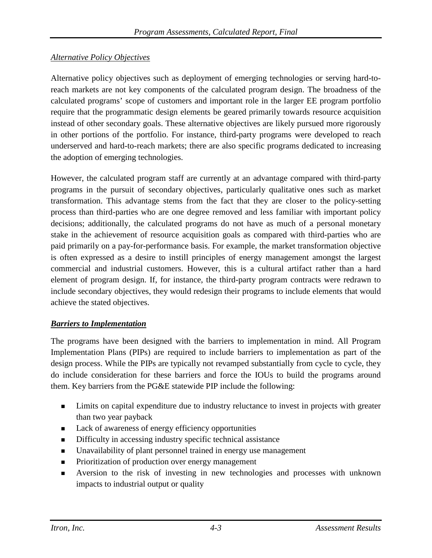#### *Alternative Policy Objectives*

Alternative policy objectives such as deployment of emerging technologies or serving hard-toreach markets are not key components of the calculated program design. The broadness of the calculated programs' scope of customers and important role in the larger EE program portfolio require that the programmatic design elements be geared primarily towards resource acquisition instead of other secondary goals. These alternative objectives are likely pursued more rigorously in other portions of the portfolio. For instance, third-party programs were developed to reach underserved and hard-to-reach markets; there are also specific programs dedicated to increasing the adoption of emerging technologies.

However, the calculated program staff are currently at an advantage compared with third-party programs in the pursuit of secondary objectives, particularly qualitative ones such as market transformation. This advantage stems from the fact that they are closer to the policy-setting process than third-parties who are one degree removed and less familiar with important policy decisions; additionally, the calculated programs do not have as much of a personal monetary stake in the achievement of resource acquisition goals as compared with third-parties who are paid primarily on a pay-for-performance basis. For example, the market transformation objective is often expressed as a desire to instill principles of energy management amongst the largest commercial and industrial customers. However, this is a cultural artifact rather than a hard element of program design. If, for instance, the third-party program contracts were redrawn to include secondary objectives, they would redesign their programs to include elements that would achieve the stated objectives.

#### *Barriers to Implementation*

The programs have been designed with the barriers to implementation in mind. All Program Implementation Plans (PIPs) are required to include barriers to implementation as part of the design process. While the PIPs are typically not revamped substantially from cycle to cycle, they do include consideration for these barriers and force the IOUs to build the programs around them. Key barriers from the PG&E statewide PIP include the following:

- Limits on capital expenditure due to industry reluctance to invest in projects with greater than two year payback
- Lack of awareness of energy efficiency opportunities
- Difficulty in accessing industry specific technical assistance
- Unavailability of plant personnel trained in energy use management
- **Prioritization of production over energy management**
- Aversion to the risk of investing in new technologies and processes with unknown impacts to industrial output or quality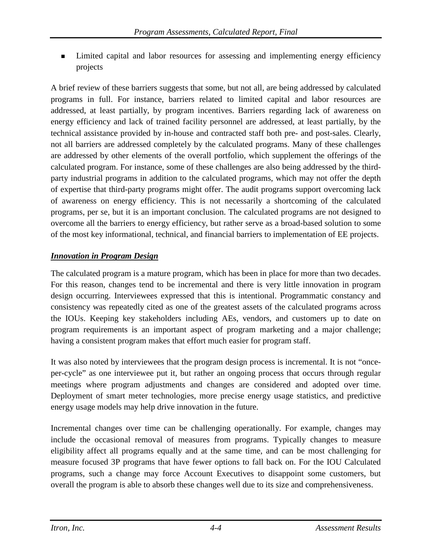Limited capital and labor resources for assessing and implementing energy efficiency projects

A brief review of these barriers suggests that some, but not all, are being addressed by calculated programs in full. For instance, barriers related to limited capital and labor resources are addressed, at least partially, by program incentives. Barriers regarding lack of awareness on energy efficiency and lack of trained facility personnel are addressed, at least partially, by the technical assistance provided by in-house and contracted staff both pre- and post-sales. Clearly, not all barriers are addressed completely by the calculated programs. Many of these challenges are addressed by other elements of the overall portfolio, which supplement the offerings of the calculated program. For instance, some of these challenges are also being addressed by the thirdparty industrial programs in addition to the calculated programs, which may not offer the depth of expertise that third-party programs might offer. The audit programs support overcoming lack of awareness on energy efficiency. This is not necessarily a shortcoming of the calculated programs, per se, but it is an important conclusion. The calculated programs are not designed to overcome all the barriers to energy efficiency, but rather serve as a broad-based solution to some of the most key informational, technical, and financial barriers to implementation of EE projects.

#### *Innovation in Program Design*

The calculated program is a mature program, which has been in place for more than two decades. For this reason, changes tend to be incremental and there is very little innovation in program design occurring. Interviewees expressed that this is intentional. Programmatic constancy and consistency was repeatedly cited as one of the greatest assets of the calculated programs across the IOUs. Keeping key stakeholders including AEs, vendors, and customers up to date on program requirements is an important aspect of program marketing and a major challenge; having a consistent program makes that effort much easier for program staff.

It was also noted by interviewees that the program design process is incremental. It is not "onceper-cycle" as one interviewee put it, but rather an ongoing process that occurs through regular meetings where program adjustments and changes are considered and adopted over time. Deployment of smart meter technologies, more precise energy usage statistics, and predictive energy usage models may help drive innovation in the future.

Incremental changes over time can be challenging operationally. For example, changes may include the occasional removal of measures from programs. Typically changes to measure eligibility affect all programs equally and at the same time, and can be most challenging for measure focused 3P programs that have fewer options to fall back on. For the IOU Calculated programs, such a change may force Account Executives to disappoint some customers, but overall the program is able to absorb these changes well due to its size and comprehensiveness.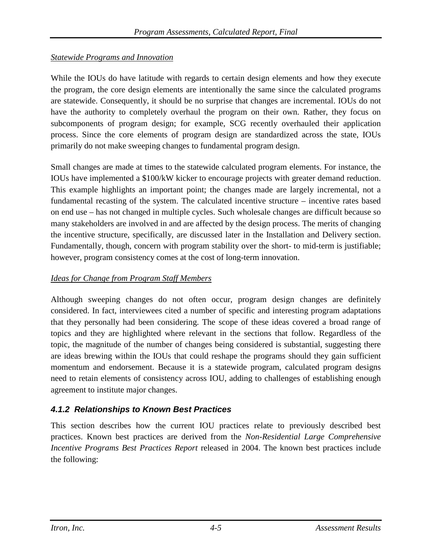## *Statewide Programs and Innovation*

While the IOUs do have latitude with regards to certain design elements and how they execute the program, the core design elements are intentionally the same since the calculated programs are statewide. Consequently, it should be no surprise that changes are incremental. IOUs do not have the authority to completely overhaul the program on their own. Rather, they focus on subcomponents of program design; for example, SCG recently overhauled their application process. Since the core elements of program design are standardized across the state, IOUs primarily do not make sweeping changes to fundamental program design.

Small changes are made at times to the statewide calculated program elements. For instance, the IOUs have implemented a \$100/kW kicker to encourage projects with greater demand reduction. This example highlights an important point; the changes made are largely incremental, not a fundamental recasting of the system. The calculated incentive structure – incentive rates based on end use – has not changed in multiple cycles. Such wholesale changes are difficult because so many stakeholders are involved in and are affected by the design process. The merits of changing the incentive structure, specifically, are discussed later in the Installation and Delivery section. Fundamentally, though, concern with program stability over the short- to mid-term is justifiable; however, program consistency comes at the cost of long-term innovation.

#### *Ideas for Change from Program Staff Members*

Although sweeping changes do not often occur, program design changes are definitely considered. In fact, interviewees cited a number of specific and interesting program adaptations that they personally had been considering. The scope of these ideas covered a broad range of topics and they are highlighted where relevant in the sections that follow. Regardless of the topic, the magnitude of the number of changes being considered is substantial, suggesting there are ideas brewing within the IOUs that could reshape the programs should they gain sufficient momentum and endorsement. Because it is a statewide program, calculated program designs need to retain elements of consistency across IOU, adding to challenges of establishing enough agreement to institute major changes.

## *4.1.2 Relationships to Known Best Practices*

This section describes how the current IOU practices relate to previously described best practices. Known best practices are derived from the *Non-Residential Large Comprehensive Incentive Programs Best Practices Report* released in 2004. The known best practices include the following: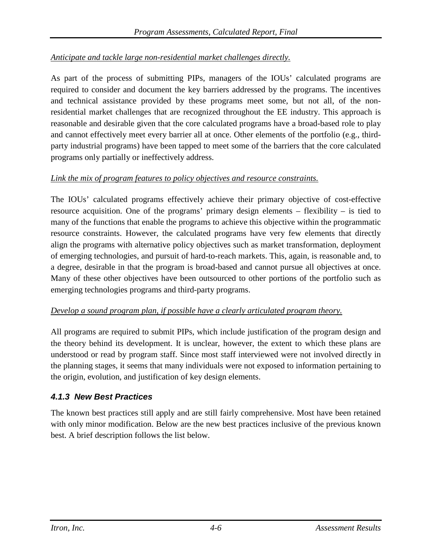## *Anticipate and tackle large non-residential market challenges directly.*

As part of the process of submitting PIPs, managers of the IOUs' calculated programs are required to consider and document the key barriers addressed by the programs. The incentives and technical assistance provided by these programs meet some, but not all, of the nonresidential market challenges that are recognized throughout the EE industry. This approach is reasonable and desirable given that the core calculated programs have a broad-based role to play and cannot effectively meet every barrier all at once. Other elements of the portfolio (e.g., thirdparty industrial programs) have been tapped to meet some of the barriers that the core calculated programs only partially or ineffectively address.

#### *Link the mix of program features to policy objectives and resource constraints.*

The IOUs' calculated programs effectively achieve their primary objective of cost-effective resource acquisition. One of the programs' primary design elements – flexibility – is tied to many of the functions that enable the programs to achieve this objective within the programmatic resource constraints. However, the calculated programs have very few elements that directly align the programs with alternative policy objectives such as market transformation, deployment of emerging technologies, and pursuit of hard-to-reach markets. This, again, is reasonable and, to a degree, desirable in that the program is broad-based and cannot pursue all objectives at once. Many of these other objectives have been outsourced to other portions of the portfolio such as emerging technologies programs and third-party programs.

## *Develop a sound program plan, if possible have a clearly articulated program theory.*

All programs are required to submit PIPs, which include justification of the program design and the theory behind its development. It is unclear, however, the extent to which these plans are understood or read by program staff. Since most staff interviewed were not involved directly in the planning stages, it seems that many individuals were not exposed to information pertaining to the origin, evolution, and justification of key design elements.

## *4.1.3 New Best Practices*

The known best practices still apply and are still fairly comprehensive. Most have been retained with only minor modification. Below are the new best practices inclusive of the previous known best. A brief description follows the list below.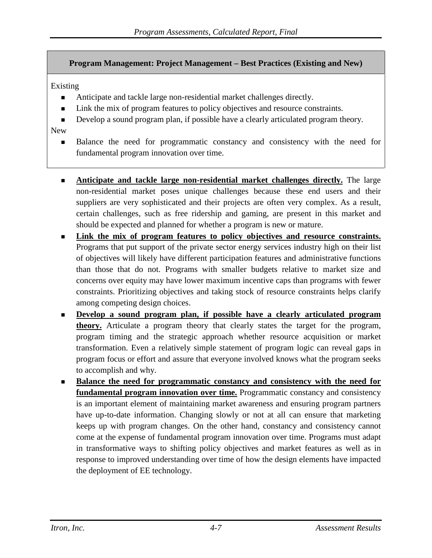#### **Program Management: Project Management – Best Practices (Existing and New)**

#### Existing

- Anticipate and tackle large non-residential market challenges directly.
- Link the mix of program features to policy objectives and resource constraints.
- Develop a sound program plan, if possible have a clearly articulated program theory.

#### New

- **Balance the need for programmatic constancy and consistency with the need for** fundamental program innovation over time.
- **Anticipate and tackle large non-residential market challenges directly.** The large non-residential market poses unique challenges because these end users and their suppliers are very sophisticated and their projects are often very complex. As a result, certain challenges, such as free ridership and gaming, are present in this market and should be expected and planned for whether a program is new or mature.
- **Link the mix of program features to policy objectives and resource constraints.** Programs that put support of the private sector energy services industry high on their list of objectives will likely have different participation features and administrative functions than those that do not. Programs with smaller budgets relative to market size and concerns over equity may have lower maximum incentive caps than programs with fewer constraints. Prioritizing objectives and taking stock of resource constraints helps clarify among competing design choices.
- **Develop a sound program plan, if possible have a clearly articulated program theory.** Articulate a program theory that clearly states the target for the program, program timing and the strategic approach whether resource acquisition or market transformation. Even a relatively simple statement of program logic can reveal gaps in program focus or effort and assure that everyone involved knows what the program seeks to accomplish and why.
- **Balance the need for programmatic constancy and consistency with the need for fundamental program innovation over time.** Programmatic constancy and consistency is an important element of maintaining market awareness and ensuring program partners have up-to-date information. Changing slowly or not at all can ensure that marketing keeps up with program changes. On the other hand, constancy and consistency cannot come at the expense of fundamental program innovation over time. Programs must adapt in transformative ways to shifting policy objectives and market features as well as in response to improved understanding over time of how the design elements have impacted the deployment of EE technology.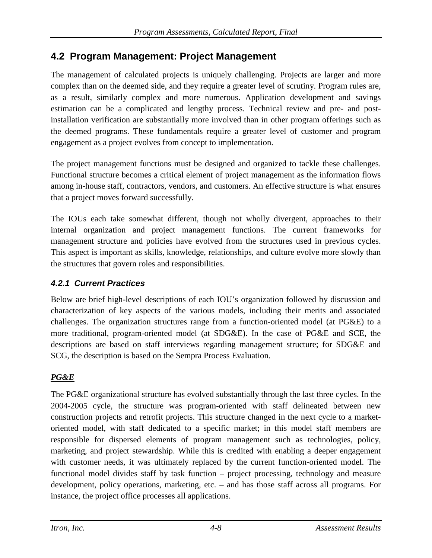# **4.2 Program Management: Project Management**

The management of calculated projects is uniquely challenging. Projects are larger and more complex than on the deemed side, and they require a greater level of scrutiny. Program rules are, as a result, similarly complex and more numerous. Application development and savings estimation can be a complicated and lengthy process. Technical review and pre- and postinstallation verification are substantially more involved than in other program offerings such as the deemed programs. These fundamentals require a greater level of customer and program engagement as a project evolves from concept to implementation.

The project management functions must be designed and organized to tackle these challenges. Functional structure becomes a critical element of project management as the information flows among in-house staff, contractors, vendors, and customers. An effective structure is what ensures that a project moves forward successfully.

The IOUs each take somewhat different, though not wholly divergent, approaches to their internal organization and project management functions. The current frameworks for management structure and policies have evolved from the structures used in previous cycles. This aspect is important as skills, knowledge, relationships, and culture evolve more slowly than the structures that govern roles and responsibilities.

## *4.2.1 Current Practices*

Below are brief high-level descriptions of each IOU's organization followed by discussion and characterization of key aspects of the various models, including their merits and associated challenges. The organization structures range from a function-oriented model (at PG&E) to a more traditional, program-oriented model (at SDG&E). In the case of PG&E and SCE, the descriptions are based on staff interviews regarding management structure; for SDG&E and SCG, the description is based on the Sempra Process Evaluation.

# *PG&E*

The PG&E organizational structure has evolved substantially through the last three cycles. In the 2004-2005 cycle, the structure was program-oriented with staff delineated between new construction projects and retrofit projects. This structure changed in the next cycle to a marketoriented model, with staff dedicated to a specific market; in this model staff members are responsible for dispersed elements of program management such as technologies, policy, marketing, and project stewardship. While this is credited with enabling a deeper engagement with customer needs, it was ultimately replaced by the current function-oriented model. The functional model divides staff by task function – project processing, technology and measure development, policy operations, marketing, etc. – and has those staff across all programs. For instance, the project office processes all applications.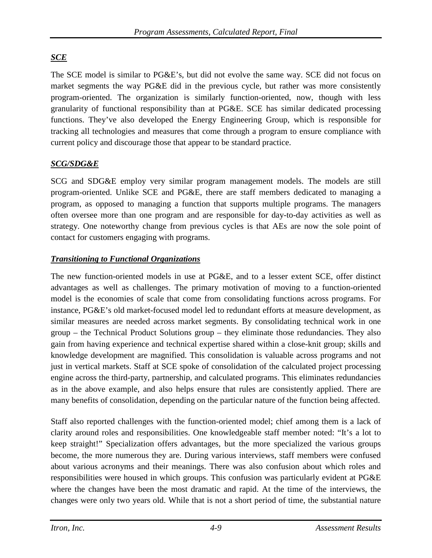# *SCE*

The SCE model is similar to PG&E's, but did not evolve the same way. SCE did not focus on market segments the way PG&E did in the previous cycle, but rather was more consistently program-oriented. The organization is similarly function-oriented, now, though with less granularity of functional responsibility than at PG&E. SCE has similar dedicated processing functions. They've also developed the Energy Engineering Group, which is responsible for tracking all technologies and measures that come through a program to ensure compliance with current policy and discourage those that appear to be standard practice.

#### *SCG/SDG&E*

SCG and SDG&E employ very similar program management models. The models are still program-oriented. Unlike SCE and PG&E, there are staff members dedicated to managing a program, as opposed to managing a function that supports multiple programs. The managers often oversee more than one program and are responsible for day-to-day activities as well as strategy. One noteworthy change from previous cycles is that AEs are now the sole point of contact for customers engaging with programs.

## *Transitioning to Functional Organizations*

The new function-oriented models in use at PG&E, and to a lesser extent SCE, offer distinct advantages as well as challenges. The primary motivation of moving to a function-oriented model is the economies of scale that come from consolidating functions across programs. For instance, PG&E's old market-focused model led to redundant efforts at measure development, as similar measures are needed across market segments. By consolidating technical work in one group – the Technical Product Solutions group – they eliminate those redundancies. They also gain from having experience and technical expertise shared within a close-knit group; skills and knowledge development are magnified. This consolidation is valuable across programs and not just in vertical markets. Staff at SCE spoke of consolidation of the calculated project processing engine across the third-party, partnership, and calculated programs. This eliminates redundancies as in the above example, and also helps ensure that rules are consistently applied. There are many benefits of consolidation, depending on the particular nature of the function being affected.

Staff also reported challenges with the function-oriented model; chief among them is a lack of clarity around roles and responsibilities. One knowledgeable staff member noted: "It's a lot to keep straight!" Specialization offers advantages, but the more specialized the various groups become, the more numerous they are. During various interviews, staff members were confused about various acronyms and their meanings. There was also confusion about which roles and responsibilities were housed in which groups. This confusion was particularly evident at PG&E where the changes have been the most dramatic and rapid. At the time of the interviews, the changes were only two years old. While that is not a short period of time, the substantial nature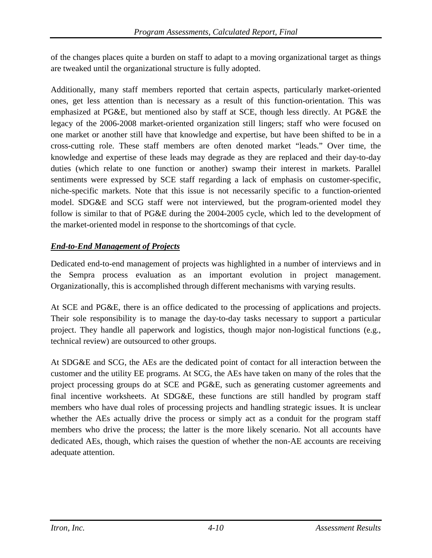of the changes places quite a burden on staff to adapt to a moving organizational target as things are tweaked until the organizational structure is fully adopted.

Additionally, many staff members reported that certain aspects, particularly market-oriented ones, get less attention than is necessary as a result of this function-orientation. This was emphasized at PG&E, but mentioned also by staff at SCE, though less directly. At PG&E the legacy of the 2006-2008 market-oriented organization still lingers; staff who were focused on one market or another still have that knowledge and expertise, but have been shifted to be in a cross-cutting role. These staff members are often denoted market "leads." Over time, the knowledge and expertise of these leads may degrade as they are replaced and their day-to-day duties (which relate to one function or another) swamp their interest in markets. Parallel sentiments were expressed by SCE staff regarding a lack of emphasis on customer-specific, niche-specific markets. Note that this issue is not necessarily specific to a function-oriented model. SDG&E and SCG staff were not interviewed, but the program-oriented model they follow is similar to that of PG&E during the 2004-2005 cycle, which led to the development of the market-oriented model in response to the shortcomings of that cycle.

### *End-to-End Management of Projects*

Dedicated end-to-end management of projects was highlighted in a number of interviews and in the Sempra process evaluation as an important evolution in project management. Organizationally, this is accomplished through different mechanisms with varying results.

At SCE and PG&E, there is an office dedicated to the processing of applications and projects. Their sole responsibility is to manage the day-to-day tasks necessary to support a particular project. They handle all paperwork and logistics, though major non-logistical functions (e.g., technical review) are outsourced to other groups.

At SDG&E and SCG, the AEs are the dedicated point of contact for all interaction between the customer and the utility EE programs. At SCG, the AEs have taken on many of the roles that the project processing groups do at SCE and PG&E, such as generating customer agreements and final incentive worksheets. At SDG&E, these functions are still handled by program staff members who have dual roles of processing projects and handling strategic issues. It is unclear whether the AEs actually drive the process or simply act as a conduit for the program staff members who drive the process; the latter is the more likely scenario. Not all accounts have dedicated AEs, though, which raises the question of whether the non-AE accounts are receiving adequate attention.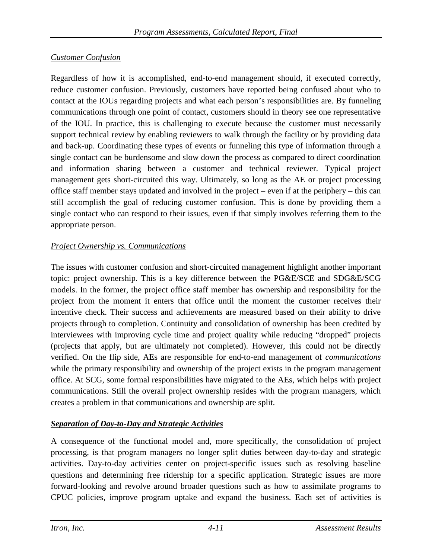### *Customer Confusion*

Regardless of how it is accomplished, end-to-end management should, if executed correctly, reduce customer confusion. Previously, customers have reported being confused about who to contact at the IOUs regarding projects and what each person's responsibilities are. By funneling communications through one point of contact, customers should in theory see one representative of the IOU. In practice, this is challenging to execute because the customer must necessarily support technical review by enabling reviewers to walk through the facility or by providing data and back-up. Coordinating these types of events or funneling this type of information through a single contact can be burdensome and slow down the process as compared to direct coordination and information sharing between a customer and technical reviewer. Typical project management gets short-circuited this way. Ultimately, so long as the AE or project processing office staff member stays updated and involved in the project – even if at the periphery – this can still accomplish the goal of reducing customer confusion. This is done by providing them a single contact who can respond to their issues, even if that simply involves referring them to the appropriate person.

### *Project Ownership vs. Communications*

The issues with customer confusion and short-circuited management highlight another important topic: project ownership. This is a key difference between the PG&E/SCE and SDG&E/SCG models. In the former, the project office staff member has ownership and responsibility for the project from the moment it enters that office until the moment the customer receives their incentive check. Their success and achievements are measured based on their ability to drive projects through to completion. Continuity and consolidation of ownership has been credited by interviewees with improving cycle time and project quality while reducing "dropped" projects (projects that apply, but are ultimately not completed). However, this could not be directly verified. On the flip side, AEs are responsible for end-to-end management of *communications* while the primary responsibility and ownership of the project exists in the program management office. At SCG, some formal responsibilities have migrated to the AEs, which helps with project communications. Still the overall project ownership resides with the program managers, which creates a problem in that communications and ownership are split.

## *Separation of Day-to-Day and Strategic Activities*

A consequence of the functional model and, more specifically, the consolidation of project processing, is that program managers no longer split duties between day-to-day and strategic activities. Day-to-day activities center on project-specific issues such as resolving baseline questions and determining free ridership for a specific application. Strategic issues are more forward-looking and revolve around broader questions such as how to assimilate programs to CPUC policies, improve program uptake and expand the business. Each set of activities is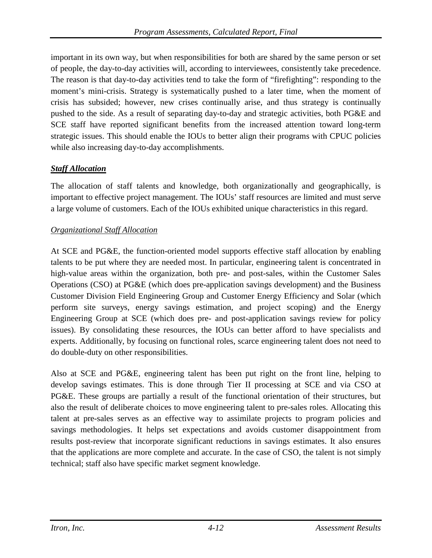important in its own way, but when responsibilities for both are shared by the same person or set of people, the day-to-day activities will, according to interviewees, consistently take precedence. The reason is that day-to-day activities tend to take the form of "firefighting": responding to the moment's mini-crisis. Strategy is systematically pushed to a later time, when the moment of crisis has subsided; however, new crises continually arise, and thus strategy is continually pushed to the side. As a result of separating day-to-day and strategic activities, both PG&E and SCE staff have reported significant benefits from the increased attention toward long-term strategic issues. This should enable the IOUs to better align their programs with CPUC policies while also increasing day-to-day accomplishments.

### *Staff Allocation*

The allocation of staff talents and knowledge, both organizationally and geographically, is important to effective project management. The IOUs' staff resources are limited and must serve a large volume of customers. Each of the IOUs exhibited unique characteristics in this regard.

#### *Organizational Staff Allocation*

At SCE and PG&E, the function-oriented model supports effective staff allocation by enabling talents to be put where they are needed most. In particular, engineering talent is concentrated in high-value areas within the organization, both pre- and post-sales, within the Customer Sales Operations (CSO) at PG&E (which does pre-application savings development) and the Business Customer Division Field Engineering Group and Customer Energy Efficiency and Solar (which perform site surveys, energy savings estimation, and project scoping) and the Energy Engineering Group at SCE (which does pre- and post-application savings review for policy issues). By consolidating these resources, the IOUs can better afford to have specialists and experts. Additionally, by focusing on functional roles, scarce engineering talent does not need to do double-duty on other responsibilities.

Also at SCE and PG&E, engineering talent has been put right on the front line, helping to develop savings estimates. This is done through Tier II processing at SCE and via CSO at PG&E. These groups are partially a result of the functional orientation of their structures, but also the result of deliberate choices to move engineering talent to pre-sales roles. Allocating this talent at pre-sales serves as an effective way to assimilate projects to program policies and savings methodologies. It helps set expectations and avoids customer disappointment from results post-review that incorporate significant reductions in savings estimates. It also ensures that the applications are more complete and accurate. In the case of CSO, the talent is not simply technical; staff also have specific market segment knowledge.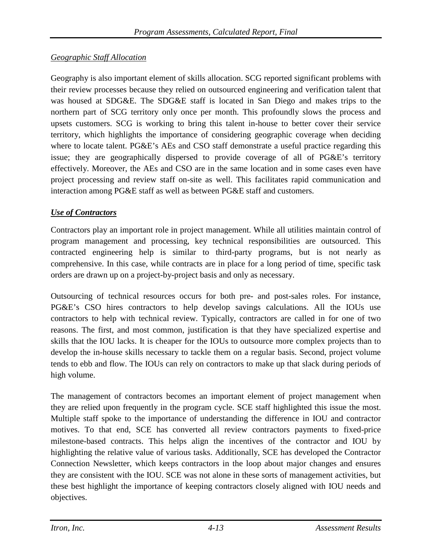### *Geographic Staff Allocation*

Geography is also important element of skills allocation. SCG reported significant problems with their review processes because they relied on outsourced engineering and verification talent that was housed at SDG&E. The SDG&E staff is located in San Diego and makes trips to the northern part of SCG territory only once per month. This profoundly slows the process and upsets customers. SCG is working to bring this talent in-house to better cover their service territory, which highlights the importance of considering geographic coverage when deciding where to locate talent. PG&E's AEs and CSO staff demonstrate a useful practice regarding this issue; they are geographically dispersed to provide coverage of all of PG&E's territory effectively. Moreover, the AEs and CSO are in the same location and in some cases even have project processing and review staff on-site as well. This facilitates rapid communication and interaction among PG&E staff as well as between PG&E staff and customers.

#### *Use of Contractors*

Contractors play an important role in project management. While all utilities maintain control of program management and processing, key technical responsibilities are outsourced. This contracted engineering help is similar to third-party programs, but is not nearly as comprehensive. In this case, while contracts are in place for a long period of time, specific task orders are drawn up on a project-by-project basis and only as necessary.

Outsourcing of technical resources occurs for both pre- and post-sales roles. For instance, PG&E's CSO hires contractors to help develop savings calculations. All the IOUs use contractors to help with technical review. Typically, contractors are called in for one of two reasons. The first, and most common, justification is that they have specialized expertise and skills that the IOU lacks. It is cheaper for the IOUs to outsource more complex projects than to develop the in-house skills necessary to tackle them on a regular basis. Second, project volume tends to ebb and flow. The IOUs can rely on contractors to make up that slack during periods of high volume.

The management of contractors becomes an important element of project management when they are relied upon frequently in the program cycle. SCE staff highlighted this issue the most. Multiple staff spoke to the importance of understanding the difference in IOU and contractor motives. To that end, SCE has converted all review contractors payments to fixed-price milestone-based contracts. This helps align the incentives of the contractor and IOU by highlighting the relative value of various tasks. Additionally, SCE has developed the Contractor Connection Newsletter, which keeps contractors in the loop about major changes and ensures they are consistent with the IOU. SCE was not alone in these sorts of management activities, but these best highlight the importance of keeping contractors closely aligned with IOU needs and objectives.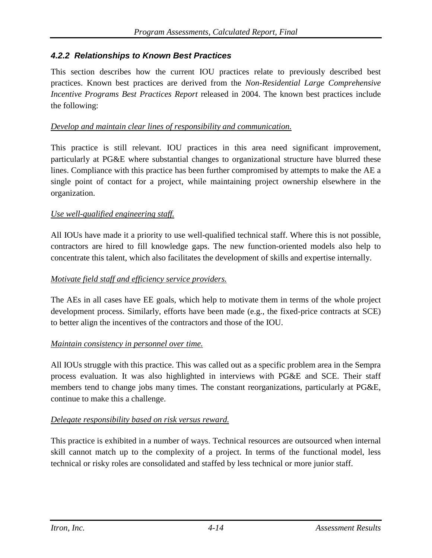### *4.2.2 Relationships to Known Best Practices*

This section describes how the current IOU practices relate to previously described best practices. Known best practices are derived from the *Non-Residential Large Comprehensive Incentive Programs Best Practices Report* released in 2004. The known best practices include the following:

#### *Develop and maintain clear lines of responsibility and communication.*

This practice is still relevant. IOU practices in this area need significant improvement, particularly at PG&E where substantial changes to organizational structure have blurred these lines. Compliance with this practice has been further compromised by attempts to make the AE a single point of contact for a project, while maintaining project ownership elsewhere in the organization.

#### *Use well-qualified engineering staff.*

All IOUs have made it a priority to use well-qualified technical staff. Where this is not possible, contractors are hired to fill knowledge gaps. The new function-oriented models also help to concentrate this talent, which also facilitates the development of skills and expertise internally.

#### *Motivate field staff and efficiency service providers.*

The AEs in all cases have EE goals, which help to motivate them in terms of the whole project development process. Similarly, efforts have been made (e.g., the fixed-price contracts at SCE) to better align the incentives of the contractors and those of the IOU.

#### *Maintain consistency in personnel over time.*

All IOUs struggle with this practice. This was called out as a specific problem area in the Sempra process evaluation. It was also highlighted in interviews with PG&E and SCE. Their staff members tend to change jobs many times. The constant reorganizations, particularly at PG&E, continue to make this a challenge.

#### *Delegate responsibility based on risk versus reward.*

This practice is exhibited in a number of ways. Technical resources are outsourced when internal skill cannot match up to the complexity of a project. In terms of the functional model, less technical or risky roles are consolidated and staffed by less technical or more junior staff.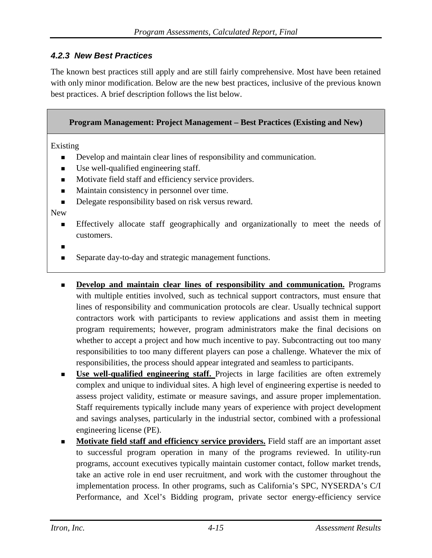### *4.2.3 New Best Practices*

The known best practices still apply and are still fairly comprehensive. Most have been retained with only minor modification. Below are the new best practices, inclusive of the previous known best practices. A brief description follows the list below.

#### **Program Management: Project Management – Best Practices (Existing and New)**

Existing

- Develop and maintain clear lines of responsibility and communication.
- Use well-qualified engineering staff.
- Motivate field staff and efficiency service providers.
- **Maintain consistency in personnel over time.**
- Delegate responsibility based on risk versus reward.

New

 Effectively allocate staff geographically and organizationally to meet the needs of customers.

Ξ

- Separate day-to-day and strategic management functions.
- **Develop and maintain clear lines of responsibility and communication.** Programs with multiple entities involved, such as technical support contractors, must ensure that lines of responsibility and communication protocols are clear. Usually technical support contractors work with participants to review applications and assist them in meeting program requirements; however, program administrators make the final decisions on whether to accept a project and how much incentive to pay. Subcontracting out too many responsibilities to too many different players can pose a challenge. Whatever the mix of responsibilities, the process should appear integrated and seamless to participants.
- **Use well-qualified engineering staff.** Projects in large facilities are often extremely complex and unique to individual sites. A high level of engineering expertise is needed to assess project validity, estimate or measure savings, and assure proper implementation. Staff requirements typically include many years of experience with project development and savings analyses, particularly in the industrial sector, combined with a professional engineering license (PE).
- **Motivate field staff and efficiency service providers.** Field staff are an important asset to successful program operation in many of the programs reviewed. In utility-run programs, account executives typically maintain customer contact, follow market trends, take an active role in end user recruitment, and work with the customer throughout the implementation process. In other programs, such as California's SPC, NYSERDA's C/I Performance, and Xcel's Bidding program, private sector energy-efficiency service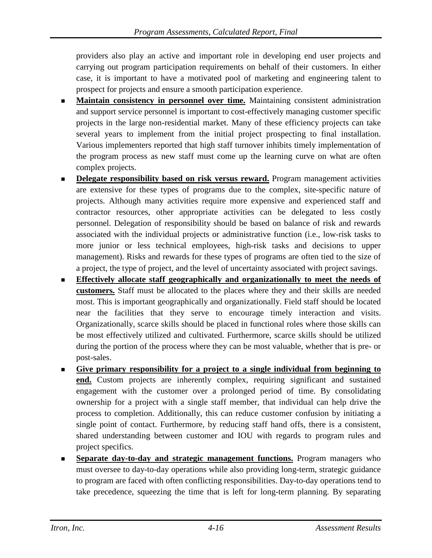providers also play an active and important role in developing end user projects and carrying out program participation requirements on behalf of their customers. In either case, it is important to have a motivated pool of marketing and engineering talent to prospect for projects and ensure a smooth participation experience.

- **Maintain consistency in personnel over time.** Maintaining consistent administration and support service personnel is important to cost-effectively managing customer specific projects in the large non-residential market. Many of these efficiency projects can take several years to implement from the initial project prospecting to final installation. Various implementers reported that high staff turnover inhibits timely implementation of the program process as new staff must come up the learning curve on what are often complex projects.
- **Delegate responsibility based on risk versus reward.** Program management activities are extensive for these types of programs due to the complex, site-specific nature of projects. Although many activities require more expensive and experienced staff and contractor resources, other appropriate activities can be delegated to less costly personnel. Delegation of responsibility should be based on balance of risk and rewards associated with the individual projects or administrative function (i.e., low-risk tasks to more junior or less technical employees, high-risk tasks and decisions to upper management). Risks and rewards for these types of programs are often tied to the size of a project, the type of project, and the level of uncertainty associated with project savings.
- **Effectively allocate staff geographically and organizationally to meet the needs of customers.** Staff must be allocated to the places where they and their skills are needed most. This is important geographically and organizationally. Field staff should be located near the facilities that they serve to encourage timely interaction and visits. Organizationally, scarce skills should be placed in functional roles where those skills can be most effectively utilized and cultivated. Furthermore, scarce skills should be utilized during the portion of the process where they can be most valuable, whether that is pre- or post-sales.
- **Give primary responsibility for a project to a single individual from beginning to end.** Custom projects are inherently complex, requiring significant and sustained engagement with the customer over a prolonged period of time. By consolidating ownership for a project with a single staff member, that individual can help drive the process to completion. Additionally, this can reduce customer confusion by initiating a single point of contact. Furthermore, by reducing staff hand offs, there is a consistent, shared understanding between customer and IOU with regards to program rules and project specifics.
- **Separate day-to-day and strategic management functions.** Program managers who must oversee to day-to-day operations while also providing long-term, strategic guidance to program are faced with often conflicting responsibilities. Day-to-day operations tend to take precedence, squeezing the time that is left for long-term planning. By separating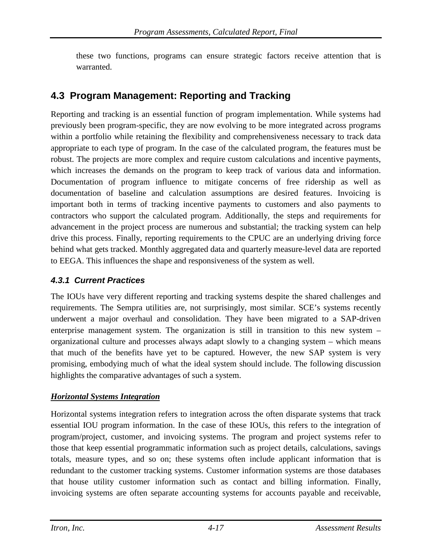these two functions, programs can ensure strategic factors receive attention that is warranted.

# **4.3 Program Management: Reporting and Tracking**

Reporting and tracking is an essential function of program implementation. While systems had previously been program-specific, they are now evolving to be more integrated across programs within a portfolio while retaining the flexibility and comprehensiveness necessary to track data appropriate to each type of program. In the case of the calculated program, the features must be robust. The projects are more complex and require custom calculations and incentive payments, which increases the demands on the program to keep track of various data and information. Documentation of program influence to mitigate concerns of free ridership as well as documentation of baseline and calculation assumptions are desired features. Invoicing is important both in terms of tracking incentive payments to customers and also payments to contractors who support the calculated program. Additionally, the steps and requirements for advancement in the project process are numerous and substantial; the tracking system can help drive this process. Finally, reporting requirements to the CPUC are an underlying driving force behind what gets tracked. Monthly aggregated data and quarterly measure-level data are reported to EEGA. This influences the shape and responsiveness of the system as well.

### *4.3.1 Current Practices*

The IOUs have very different reporting and tracking systems despite the shared challenges and requirements. The Sempra utilities are, not surprisingly, most similar. SCE's systems recently underwent a major overhaul and consolidation. They have been migrated to a SAP-driven enterprise management system. The organization is still in transition to this new system – organizational culture and processes always adapt slowly to a changing system – which means that much of the benefits have yet to be captured. However, the new SAP system is very promising, embodying much of what the ideal system should include. The following discussion highlights the comparative advantages of such a system.

### *Horizontal Systems Integration*

Horizontal systems integration refers to integration across the often disparate systems that track essential IOU program information. In the case of these IOUs, this refers to the integration of program/project, customer, and invoicing systems. The program and project systems refer to those that keep essential programmatic information such as project details, calculations, savings totals, measure types, and so on; these systems often include applicant information that is redundant to the customer tracking systems. Customer information systems are those databases that house utility customer information such as contact and billing information. Finally, invoicing systems are often separate accounting systems for accounts payable and receivable,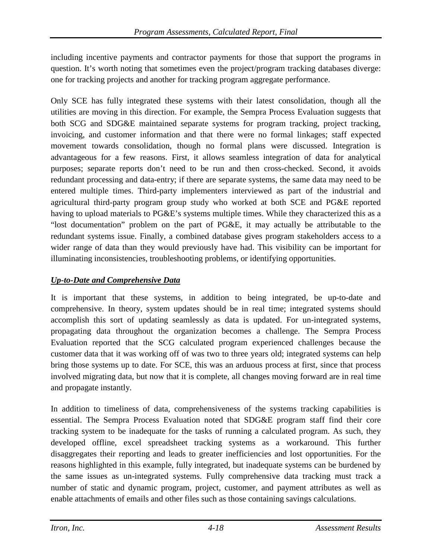including incentive payments and contractor payments for those that support the programs in question. It's worth noting that sometimes even the project/program tracking databases diverge: one for tracking projects and another for tracking program aggregate performance.

Only SCE has fully integrated these systems with their latest consolidation, though all the utilities are moving in this direction. For example, the Sempra Process Evaluation suggests that both SCG and SDG&E maintained separate systems for program tracking, project tracking, invoicing, and customer information and that there were no formal linkages; staff expected movement towards consolidation, though no formal plans were discussed. Integration is advantageous for a few reasons. First, it allows seamless integration of data for analytical purposes; separate reports don't need to be run and then cross-checked. Second, it avoids redundant processing and data-entry; if there are separate systems, the same data may need to be entered multiple times. Third-party implementers interviewed as part of the industrial and agricultural third-party program group study who worked at both SCE and PG&E reported having to upload materials to PG&E's systems multiple times. While they characterized this as a "lost documentation" problem on the part of PG&E, it may actually be attributable to the redundant systems issue. Finally, a combined database gives program stakeholders access to a wider range of data than they would previously have had. This visibility can be important for illuminating inconsistencies, troubleshooting problems, or identifying opportunities.

### *Up-to-Date and Comprehensive Data*

It is important that these systems, in addition to being integrated, be up-to-date and comprehensive. In theory, system updates should be in real time; integrated systems should accomplish this sort of updating seamlessly as data is updated. For un-integrated systems, propagating data throughout the organization becomes a challenge. The Sempra Process Evaluation reported that the SCG calculated program experienced challenges because the customer data that it was working off of was two to three years old; integrated systems can help bring those systems up to date. For SCE, this was an arduous process at first, since that process involved migrating data, but now that it is complete, all changes moving forward are in real time and propagate instantly.

In addition to timeliness of data, comprehensiveness of the systems tracking capabilities is essential. The Sempra Process Evaluation noted that SDG&E program staff find their core tracking system to be inadequate for the tasks of running a calculated program. As such, they developed offline, excel spreadsheet tracking systems as a workaround. This further disaggregates their reporting and leads to greater inefficiencies and lost opportunities. For the reasons highlighted in this example, fully integrated, but inadequate systems can be burdened by the same issues as un-integrated systems. Fully comprehensive data tracking must track a number of static and dynamic program, project, customer, and payment attributes as well as enable attachments of emails and other files such as those containing savings calculations.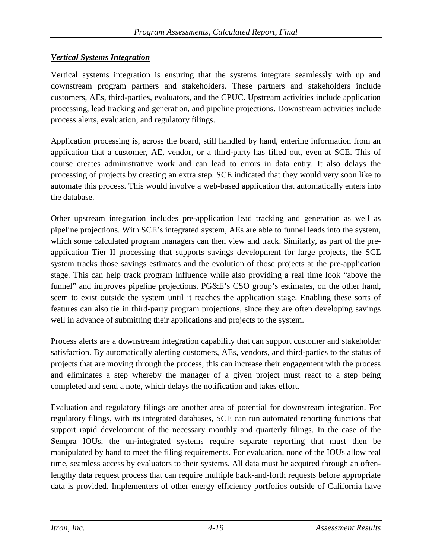#### *Vertical Systems Integration*

Vertical systems integration is ensuring that the systems integrate seamlessly with up and downstream program partners and stakeholders. These partners and stakeholders include customers, AEs, third-parties, evaluators, and the CPUC. Upstream activities include application processing, lead tracking and generation, and pipeline projections. Downstream activities include process alerts, evaluation, and regulatory filings.

Application processing is, across the board, still handled by hand, entering information from an application that a customer, AE, vendor, or a third-party has filled out, even at SCE. This of course creates administrative work and can lead to errors in data entry. It also delays the processing of projects by creating an extra step. SCE indicated that they would very soon like to automate this process. This would involve a web-based application that automatically enters into the database.

Other upstream integration includes pre-application lead tracking and generation as well as pipeline projections. With SCE's integrated system, AEs are able to funnel leads into the system, which some calculated program managers can then view and track. Similarly, as part of the preapplication Tier II processing that supports savings development for large projects, the SCE system tracks those savings estimates and the evolution of those projects at the pre-application stage. This can help track program influence while also providing a real time look "above the funnel" and improves pipeline projections. PG&E's CSO group's estimates, on the other hand, seem to exist outside the system until it reaches the application stage. Enabling these sorts of features can also tie in third-party program projections, since they are often developing savings well in advance of submitting their applications and projects to the system.

Process alerts are a downstream integration capability that can support customer and stakeholder satisfaction. By automatically alerting customers, AEs, vendors, and third-parties to the status of projects that are moving through the process, this can increase their engagement with the process and eliminates a step whereby the manager of a given project must react to a step being completed and send a note, which delays the notification and takes effort.

Evaluation and regulatory filings are another area of potential for downstream integration. For regulatory filings, with its integrated databases, SCE can run automated reporting functions that support rapid development of the necessary monthly and quarterly filings. In the case of the Sempra IOUs, the un-integrated systems require separate reporting that must then be manipulated by hand to meet the filing requirements. For evaluation, none of the IOUs allow real time, seamless access by evaluators to their systems. All data must be acquired through an oftenlengthy data request process that can require multiple back-and-forth requests before appropriate data is provided. Implementers of other energy efficiency portfolios outside of California have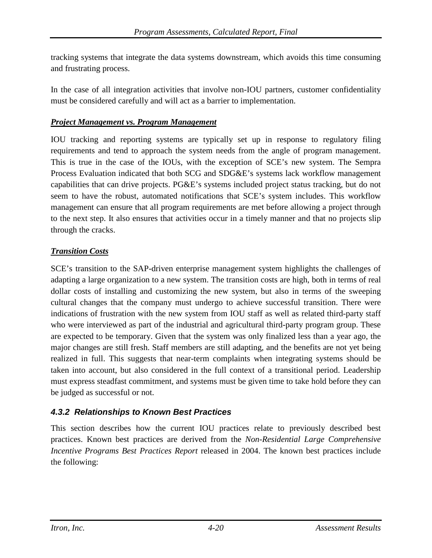tracking systems that integrate the data systems downstream, which avoids this time consuming and frustrating process.

In the case of all integration activities that involve non-IOU partners, customer confidentiality must be considered carefully and will act as a barrier to implementation.

#### *Project Management vs. Program Management*

IOU tracking and reporting systems are typically set up in response to regulatory filing requirements and tend to approach the system needs from the angle of program management. This is true in the case of the IOUs, with the exception of SCE's new system. The Sempra Process Evaluation indicated that both SCG and SDG&E's systems lack workflow management capabilities that can drive projects. PG&E's systems included project status tracking, but do not seem to have the robust, automated notifications that SCE's system includes. This workflow management can ensure that all program requirements are met before allowing a project through to the next step. It also ensures that activities occur in a timely manner and that no projects slip through the cracks.

#### *Transition Costs*

SCE's transition to the SAP-driven enterprise management system highlights the challenges of adapting a large organization to a new system. The transition costs are high, both in terms of real dollar costs of installing and customizing the new system, but also in terms of the sweeping cultural changes that the company must undergo to achieve successful transition. There were indications of frustration with the new system from IOU staff as well as related third-party staff who were interviewed as part of the industrial and agricultural third-party program group. These are expected to be temporary. Given that the system was only finalized less than a year ago, the major changes are still fresh. Staff members are still adapting, and the benefits are not yet being realized in full. This suggests that near-term complaints when integrating systems should be taken into account, but also considered in the full context of a transitional period. Leadership must express steadfast commitment, and systems must be given time to take hold before they can be judged as successful or not.

#### *4.3.2 Relationships to Known Best Practices*

This section describes how the current IOU practices relate to previously described best practices. Known best practices are derived from the *Non-Residential Large Comprehensive Incentive Programs Best Practices Report* released in 2004. The known best practices include the following: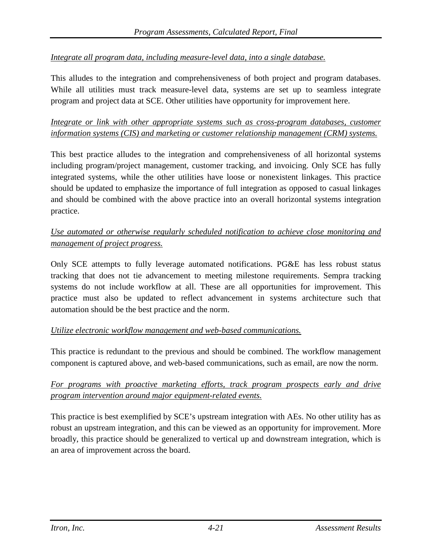#### *Integrate all program data, including measure-level data, into a single database.*

This alludes to the integration and comprehensiveness of both project and program databases. While all utilities must track measure-level data, systems are set up to seamless integrate program and project data at SCE. Other utilities have opportunity for improvement here.

#### *Integrate or link with other appropriate systems such as cross-program databases, customer information systems (CIS) and marketing or customer relationship management (CRM) systems.*

This best practice alludes to the integration and comprehensiveness of all horizontal systems including program/project management, customer tracking, and invoicing. Only SCE has fully integrated systems, while the other utilities have loose or nonexistent linkages. This practice should be updated to emphasize the importance of full integration as opposed to casual linkages and should be combined with the above practice into an overall horizontal systems integration practice.

### *Use automated or otherwise regularly scheduled notification to achieve close monitoring and management of project progress.*

Only SCE attempts to fully leverage automated notifications. PG&E has less robust status tracking that does not tie advancement to meeting milestone requirements. Sempra tracking systems do not include workflow at all. These are all opportunities for improvement. This practice must also be updated to reflect advancement in systems architecture such that automation should be the best practice and the norm.

#### *Utilize electronic workflow management and web-based communications.*

This practice is redundant to the previous and should be combined. The workflow management component is captured above, and web-based communications, such as email, are now the norm.

#### *For programs with proactive marketing efforts, track program prospects early and drive program intervention around major equipment-related events.*

This practice is best exemplified by SCE's upstream integration with AEs. No other utility has as robust an upstream integration, and this can be viewed as an opportunity for improvement. More broadly, this practice should be generalized to vertical up and downstream integration, which is an area of improvement across the board.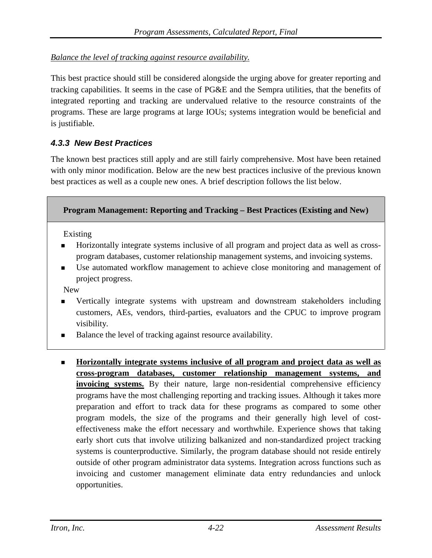### *Balance the level of tracking against resource availability.*

This best practice should still be considered alongside the urging above for greater reporting and tracking capabilities. It seems in the case of PG&E and the Sempra utilities, that the benefits of integrated reporting and tracking are undervalued relative to the resource constraints of the programs. These are large programs at large IOUs; systems integration would be beneficial and is justifiable.

### *4.3.3 New Best Practices*

The known best practices still apply and are still fairly comprehensive. Most have been retained with only minor modification. Below are the new best practices inclusive of the previous known best practices as well as a couple new ones. A brief description follows the list below.

#### **Program Management: Reporting and Tracking – Best Practices (Existing and New)**

Existing

- Horizontally integrate systems inclusive of all program and project data as well as crossprogram databases, customer relationship management systems, and invoicing systems.
- Use automated workflow management to achieve close monitoring and management of project progress.

New

- Vertically integrate systems with upstream and downstream stakeholders including customers, AEs, vendors, third-parties, evaluators and the CPUC to improve program visibility.
- Balance the level of tracking against resource availability.
- **Horizontally integrate systems inclusive of all program and project data as well as cross-program databases, customer relationship management systems, and invoicing systems.** By their nature, large non-residential comprehensive efficiency programs have the most challenging reporting and tracking issues. Although it takes more preparation and effort to track data for these programs as compared to some other program models, the size of the programs and their generally high level of costeffectiveness make the effort necessary and worthwhile. Experience shows that taking early short cuts that involve utilizing balkanized and non-standardized project tracking systems is counterproductive. Similarly, the program database should not reside entirely outside of other program administrator data systems. Integration across functions such as invoicing and customer management eliminate data entry redundancies and unlock opportunities.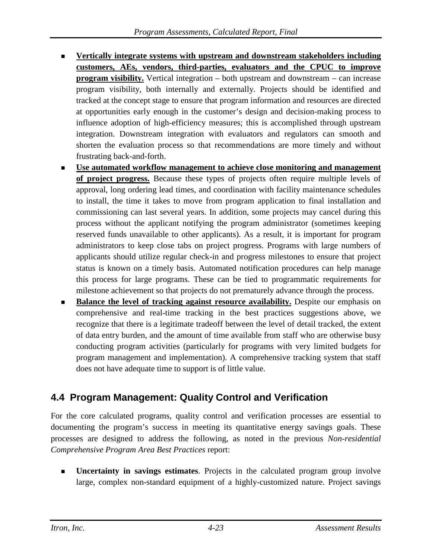- **Vertically integrate systems with upstream and downstream stakeholders including customers, AEs, vendors, third-parties, evaluators and the CPUC to improve program visibility.** Vertical integration – both upstream and downstream – can increase program visibility, both internally and externally. Projects should be identified and tracked at the concept stage to ensure that program information and resources are directed at opportunities early enough in the customer's design and decision-making process to influence adoption of high-efficiency measures; this is accomplished through upstream integration. Downstream integration with evaluators and regulators can smooth and shorten the evaluation process so that recommendations are more timely and without frustrating back-and-forth.
- **Use automated workflow management to achieve close monitoring and management of project progress.** Because these types of projects often require multiple levels of approval, long ordering lead times, and coordination with facility maintenance schedules to install, the time it takes to move from program application to final installation and commissioning can last several years. In addition, some projects may cancel during this process without the applicant notifying the program administrator (sometimes keeping reserved funds unavailable to other applicants). As a result, it is important for program administrators to keep close tabs on project progress. Programs with large numbers of applicants should utilize regular check-in and progress milestones to ensure that project status is known on a timely basis. Automated notification procedures can help manage this process for large programs. These can be tied to programmatic requirements for milestone achievement so that projects do not prematurely advance through the process.
- **Balance the level of tracking against resource availability.** Despite our emphasis on comprehensive and real-time tracking in the best practices suggestions above, we recognize that there is a legitimate tradeoff between the level of detail tracked, the extent of data entry burden, and the amount of time available from staff who are otherwise busy conducting program activities (particularly for programs with very limited budgets for program management and implementation). A comprehensive tracking system that staff does not have adequate time to support is of little value.

# **4.4 Program Management: Quality Control and Verification**

For the core calculated programs, quality control and verification processes are essential to documenting the program's success in meeting its quantitative energy savings goals. These processes are designed to address the following, as noted in the previous *Non-residential Comprehensive Program Area Best Practices* report:

 **Uncertainty in savings estimates**. Projects in the calculated program group involve large, complex non-standard equipment of a highly-customized nature. Project savings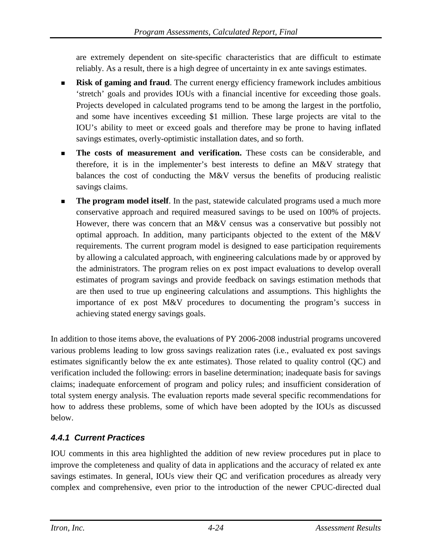are extremely dependent on site-specific characteristics that are difficult to estimate reliably. As a result, there is a high degree of uncertainty in ex ante savings estimates.

- **Risk of gaming and fraud**. The current energy efficiency framework includes ambitious 'stretch' goals and provides IOUs with a financial incentive for exceeding those goals. Projects developed in calculated programs tend to be among the largest in the portfolio, and some have incentives exceeding \$1 million. These large projects are vital to the IOU's ability to meet or exceed goals and therefore may be prone to having inflated savings estimates, overly-optimistic installation dates, and so forth.
- **The costs of measurement and verification.** These costs can be considerable, and therefore, it is in the implementer's best interests to define an M&V strategy that balances the cost of conducting the M&V versus the benefits of producing realistic savings claims.
- **The program model itself**. In the past, statewide calculated programs used a much more conservative approach and required measured savings to be used on 100% of projects. However, there was concern that an M&V census was a conservative but possibly not optimal approach. In addition, many participants objected to the extent of the M&V requirements. The current program model is designed to ease participation requirements by allowing a calculated approach, with engineering calculations made by or approved by the administrators. The program relies on ex post impact evaluations to develop overall estimates of program savings and provide feedback on savings estimation methods that are then used to true up engineering calculations and assumptions. This highlights the importance of ex post M&V procedures to documenting the program's success in achieving stated energy savings goals.

In addition to those items above, the evaluations of PY 2006-2008 industrial programs uncovered various problems leading to low gross savings realization rates (i.e., evaluated ex post savings estimates significantly below the ex ante estimates). Those related to quality control (QC) and verification included the following: errors in baseline determination; inadequate basis for savings claims; inadequate enforcement of program and policy rules; and insufficient consideration of total system energy analysis. The evaluation reports made several specific recommendations for how to address these problems, some of which have been adopted by the IOUs as discussed below.

## *4.4.1 Current Practices*

IOU comments in this area highlighted the addition of new review procedures put in place to improve the completeness and quality of data in applications and the accuracy of related ex ante savings estimates. In general, IOUs view their QC and verification procedures as already very complex and comprehensive, even prior to the introduction of the newer CPUC-directed dual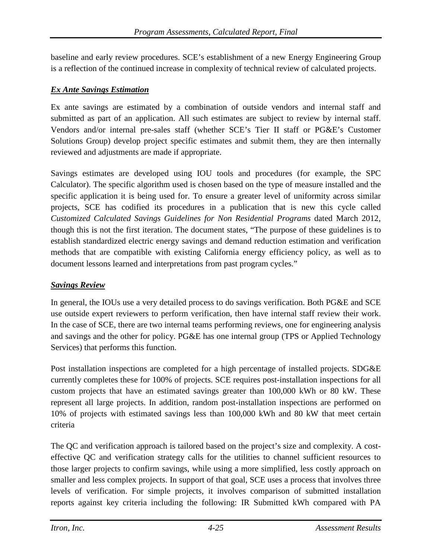baseline and early review procedures. SCE's establishment of a new Energy Engineering Group is a reflection of the continued increase in complexity of technical review of calculated projects.

#### *Ex Ante Savings Estimation*

Ex ante savings are estimated by a combination of outside vendors and internal staff and submitted as part of an application. All such estimates are subject to review by internal staff. Vendors and/or internal pre-sales staff (whether SCE's Tier II staff or PG&E's Customer Solutions Group) develop project specific estimates and submit them, they are then internally reviewed and adjustments are made if appropriate.

Savings estimates are developed using IOU tools and procedures (for example, the SPC Calculator). The specific algorithm used is chosen based on the type of measure installed and the specific application it is being used for. To ensure a greater level of uniformity across similar projects, SCE has codified its procedures in a publication that is new this cycle called *Customized Calculated Savings Guidelines for Non Residential Programs* dated March 2012, though this is not the first iteration. The document states, "The purpose of these guidelines is to establish standardized electric energy savings and demand reduction estimation and verification methods that are compatible with existing California energy efficiency policy, as well as to document lessons learned and interpretations from past program cycles."

#### *Savings Review*

In general, the IOUs use a very detailed process to do savings verification. Both PG&E and SCE use outside expert reviewers to perform verification, then have internal staff review their work. In the case of SCE, there are two internal teams performing reviews, one for engineering analysis and savings and the other for policy. PG&E has one internal group (TPS or Applied Technology Services) that performs this function.

Post installation inspections are completed for a high percentage of installed projects. SDG&E currently completes these for 100% of projects. SCE requires post-installation inspections for all custom projects that have an estimated savings greater than 100,000 kWh or 80 kW. These represent all large projects. In addition, random post-installation inspections are performed on 10% of projects with estimated savings less than 100,000 kWh and 80 kW that meet certain criteria

The QC and verification approach is tailored based on the project's size and complexity. A costeffective QC and verification strategy calls for the utilities to channel sufficient resources to those larger projects to confirm savings, while using a more simplified, less costly approach on smaller and less complex projects. In support of that goal, SCE uses a process that involves three levels of verification. For simple projects, it involves comparison of submitted installation reports against key criteria including the following: IR Submitted kWh compared with PA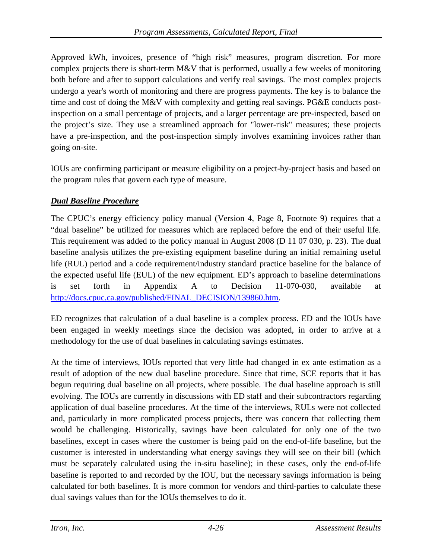Approved kWh, invoices, presence of "high risk" measures, program discretion. For more complex projects there is short-term M&V that is performed, usually a few weeks of monitoring both before and after to support calculations and verify real savings. The most complex projects undergo a year's worth of monitoring and there are progress payments. The key is to balance the time and cost of doing the M&V with complexity and getting real savings. PG&E conducts postinspection on a small percentage of projects, and a larger percentage are pre-inspected, based on the project's size. They use a streamlined approach for "lower-risk" measures; these projects have a pre-inspection, and the post-inspection simply involves examining invoices rather than going on-site.

IOUs are confirming participant or measure eligibility on a project-by-project basis and based on the program rules that govern each type of measure.

### *Dual Baseline Procedure*

The CPUC's energy efficiency policy manual (Version 4, Page 8, Footnote 9) requires that a "dual baseline" be utilized for measures which are replaced before the end of their useful life. This requirement was added to the policy manual in August 2008 (D 11 07 030, p. 23). The dual baseline analysis utilizes the pre-existing equipment baseline during an initial remaining useful life (RUL) period and a code requirement/industry standard practice baseline for the balance of the expected useful life (EUL) of the new equipment. ED's approach to baseline determinations is set forth in Appendix A to Decision 11-070-030, available at [http://docs.cpuc.ca.gov/published/FINAL\\_DECISION/139860.htm.](http://docs.cpuc.ca.gov/published/FINAL_DECISION/139860.htm)

ED recognizes that calculation of a dual baseline is a complex process. ED and the IOUs have been engaged in weekly meetings since the decision was adopted, in order to arrive at a methodology for the use of dual baselines in calculating savings estimates.

At the time of interviews, IOUs reported that very little had changed in ex ante estimation as a result of adoption of the new dual baseline procedure. Since that time, SCE reports that it has begun requiring dual baseline on all projects, where possible. The dual baseline approach is still evolving. The IOUs are currently in discussions with ED staff and their subcontractors regarding application of dual baseline procedures. At the time of the interviews, RULs were not collected and, particularly in more complicated process projects, there was concern that collecting them would be challenging. Historically, savings have been calculated for only one of the two baselines, except in cases where the customer is being paid on the end-of-life baseline, but the customer is interested in understanding what energy savings they will see on their bill (which must be separately calculated using the in-situ baseline); in these cases, only the end-of-life baseline is reported to and recorded by the IOU, but the necessary savings information is being calculated for both baselines. It is more common for vendors and third-parties to calculate these dual savings values than for the IOUs themselves to do it.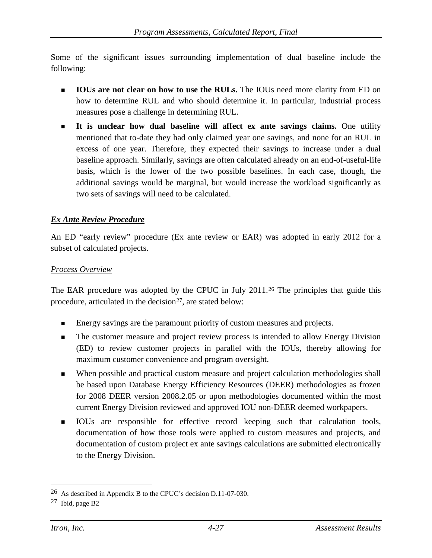Some of the significant issues surrounding implementation of dual baseline include the following:

- **IOUs are not clear on how to use the RULs.** The IOUs need more clarity from ED on how to determine RUL and who should determine it. In particular, industrial process measures pose a challenge in determining RUL.
- **It is unclear how dual baseline will affect ex ante savings claims.** One utility mentioned that to-date they had only claimed year one savings, and none for an RUL in excess of one year. Therefore, they expected their savings to increase under a dual baseline approach. Similarly, savings are often calculated already on an end-of-useful-life basis, which is the lower of the two possible baselines. In each case, though, the additional savings would be marginal, but would increase the workload significantly as two sets of savings will need to be calculated.

#### *Ex Ante Review Procedure*

An ED "early review" procedure (Ex ante review or EAR) was adopted in early 2012 for a subset of calculated projects.

#### *Process Overview*

The EAR procedure was adopted by the CPUC in July 2011.<sup>[26](#page-89-0)</sup> The principles that guide this procedure, articulated in the decision<sup>[27](#page-89-1)</sup>, are stated below:

- Energy savings are the paramount priority of custom measures and projects.
- The customer measure and project review process is intended to allow Energy Division (ED) to review customer projects in parallel with the IOUs, thereby allowing for maximum customer convenience and program oversight.
- When possible and practical custom measure and project calculation methodologies shall be based upon Database Energy Efficiency Resources (DEER) methodologies as frozen for 2008 DEER version 2008.2.05 or upon methodologies documented within the most current Energy Division reviewed and approved IOU non-DEER deemed workpapers.
- IOUs are responsible for effective record keeping such that calculation tools, documentation of how those tools were applied to custom measures and projects, and documentation of custom project ex ante savings calculations are submitted electronically to the Energy Division.

<span id="page-89-0"></span> <sup>26</sup> As described in Appendix B to the CPUC's decision D.11-07-030.

<span id="page-89-1"></span><sup>27</sup> Ibid, page B2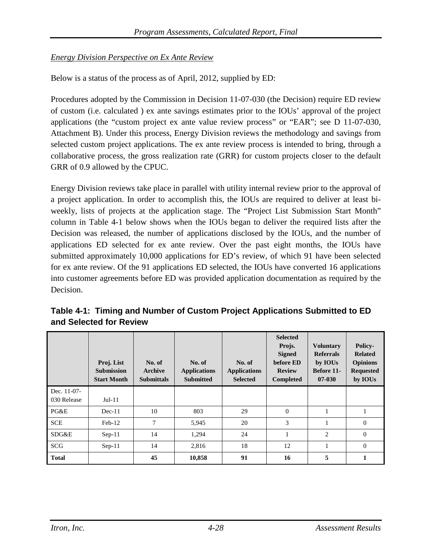#### *Energy Division Perspective on Ex Ante Review*

Below is a status of the process as of April, 2012, supplied by ED:

Procedures adopted by the Commission in Decision 11-07-030 (the Decision) require ED review of custom (i.e. calculated ) ex ante savings estimates prior to the IOUs' approval of the project applications (the "custom project ex ante value review process" or "EAR"; see D 11-07-030, Attachment B). Under this process, Energy Division reviews the methodology and savings from selected custom project applications. The ex ante review process is intended to bring, through a collaborative process, the gross realization rate (GRR) for custom projects closer to the default GRR of 0.9 allowed by the CPUC.

Energy Division reviews take place in parallel with utility internal review prior to the approval of a project application. In order to accomplish this, the IOUs are required to deliver at least biweekly, lists of projects at the application stage. The "Project List Submission Start Month" column in [Table 4-1](#page-90-0) below shows when the IOUs began to deliver the required lists after the Decision was released, the number of applications disclosed by the IOUs, and the number of applications ED selected for ex ante review. Over the past eight months, the IOUs have submitted approximately 10,000 applications for ED's review, of which 91 have been selected for ex ante review. Of the 91 applications ED selected, the IOUs have converted 16 applications into customer agreements before ED was provided application documentation as required by the Decision.

|                            | Proj. List<br><b>Submission</b><br><b>Start Month</b> | No. of<br>Archive<br><b>Submittals</b> | No. of<br><b>Applications</b><br><b>Submitted</b> | No. of<br><b>Applications</b><br><b>Selected</b> | <b>Selected</b><br>Projs.<br><b>Signed</b><br>before ED<br><b>Review</b><br><b>Completed</b> | <b>Voluntary</b><br><b>Referrals</b><br>by IOUs<br>Before 11-<br>$07 - 030$ | <b>Policy-</b><br><b>Related</b><br><b>Opinions</b><br><b>Requested</b><br>by IOUs |
|----------------------------|-------------------------------------------------------|----------------------------------------|---------------------------------------------------|--------------------------------------------------|----------------------------------------------------------------------------------------------|-----------------------------------------------------------------------------|------------------------------------------------------------------------------------|
| Dec. 11-07-<br>030 Release | $Jul-11$                                              |                                        |                                                   |                                                  |                                                                                              |                                                                             |                                                                                    |
| PG&E                       | $Dec-11$                                              | 10                                     | 803                                               | 29                                               | $\mathbf{0}$                                                                                 |                                                                             |                                                                                    |
| <b>SCE</b>                 | $Feb-12$                                              | 7                                      | 5,945                                             | 20                                               | 3                                                                                            | 1                                                                           | $\theta$                                                                           |
| SDG&E                      | $Sep-11$                                              | 14                                     | 1,294                                             | 24                                               |                                                                                              | 2                                                                           | $\Omega$                                                                           |
| <b>SCG</b>                 | $Sep-11$                                              | 14                                     | 2,816                                             | 18                                               | 12                                                                                           |                                                                             | $\theta$                                                                           |
| <b>Total</b>               |                                                       | 45                                     | 10,858                                            | 91                                               | 16                                                                                           | 5                                                                           | 1                                                                                  |

<span id="page-90-0"></span>**Table 4-1: Timing and Number of Custom Project Applications Submitted to ED and Selected for Review**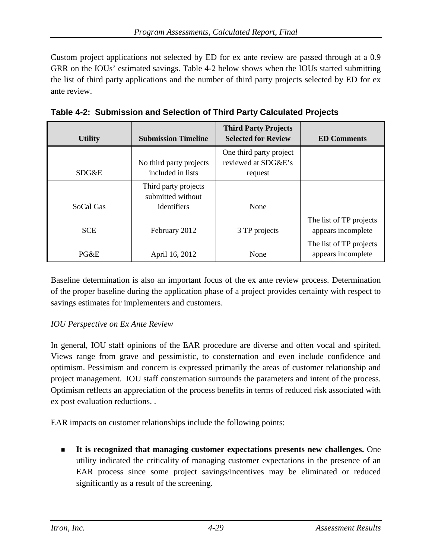Custom project applications not selected by ED for ex ante review are passed through at a 0.9 GRR on the IOUs' estimated savings. [Table 4-2](#page-91-0) below shows when the IOUs started submitting the list of third party applications and the number of third party projects selected by ED for ex ante review.

| <b>Utility</b> | <b>Submission Timeline</b>                               | <b>Third Party Projects</b><br><b>Selected for Review</b> | <b>ED Comments</b>                            |
|----------------|----------------------------------------------------------|-----------------------------------------------------------|-----------------------------------------------|
| SDG&E          | No third party projects<br>included in lists             | One third party project<br>reviewed at SDG&E's<br>request |                                               |
| SoCal Gas      | Third party projects<br>submitted without<br>identifiers | None                                                      |                                               |
| <b>SCE</b>     | February 2012                                            | 3 TP projects                                             | The list of TP projects<br>appears incomplete |
| PG&E           | April 16, 2012                                           | None                                                      | The list of TP projects<br>appears incomplete |

<span id="page-91-0"></span>**Table 4-2: Submission and Selection of Third Party Calculated Projects**

Baseline determination is also an important focus of the ex ante review process. Determination of the proper baseline during the application phase of a project provides certainty with respect to savings estimates for implementers and customers.

### *IOU Perspective on Ex Ante Review*

In general, IOU staff opinions of the EAR procedure are diverse and often vocal and spirited. Views range from grave and pessimistic, to consternation and even include confidence and optimism. Pessimism and concern is expressed primarily the areas of customer relationship and project management. IOU staff consternation surrounds the parameters and intent of the process. Optimism reflects an appreciation of the process benefits in terms of reduced risk associated with ex post evaluation reductions. .

EAR impacts on customer relationships include the following points:

 **It is recognized that managing customer expectations presents new challenges.** One utility indicated the criticality of managing customer expectations in the presence of an EAR process since some project savings/incentives may be eliminated or reduced significantly as a result of the screening.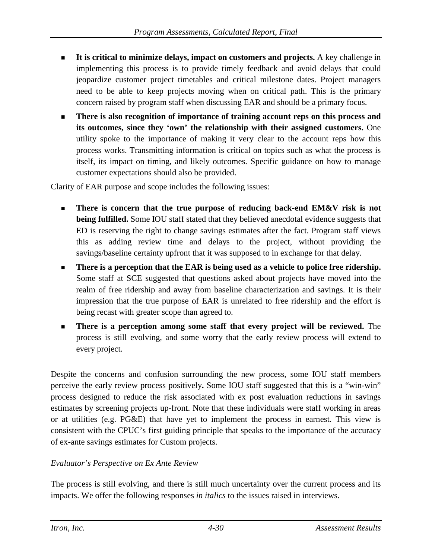- **It is critical to minimize delays, impact on customers and projects.** A key challenge in implementing this process is to provide timely feedback and avoid delays that could jeopardize customer project timetables and critical milestone dates. Project managers need to be able to keep projects moving when on critical path. This is the primary concern raised by program staff when discussing EAR and should be a primary focus.
- **There is also recognition of importance of training account reps on this process and its outcomes, since they 'own' the relationship with their assigned customers.** One utility spoke to the importance of making it very clear to the account reps how this process works. Transmitting information is critical on topics such as what the process is itself, its impact on timing, and likely outcomes. Specific guidance on how to manage customer expectations should also be provided.

Clarity of EAR purpose and scope includes the following issues:

- **There is concern that the true purpose of reducing back-end EM&V risk is not being fulfilled.** Some IOU staff stated that they believed anecdotal evidence suggests that ED is reserving the right to change savings estimates after the fact. Program staff views this as adding review time and delays to the project, without providing the savings/baseline certainty upfront that it was supposed to in exchange for that delay.
- **There is a perception that the EAR is being used as a vehicle to police free ridership.**  Some staff at SCE suggested that questions asked about projects have moved into the realm of free ridership and away from baseline characterization and savings. It is their impression that the true purpose of EAR is unrelated to free ridership and the effort is being recast with greater scope than agreed to.
- **There is a perception among some staff that every project will be reviewed.** The process is still evolving, and some worry that the early review process will extend to every project.

Despite the concerns and confusion surrounding the new process, some IOU staff members perceive the early review process positively**.** Some IOU staff suggested that this is a "win-win" process designed to reduce the risk associated with ex post evaluation reductions in savings estimates by screening projects up-front. Note that these individuals were staff working in areas or at utilities (e.g. PG&E) that have yet to implement the process in earnest. This view is consistent with the CPUC's first guiding principle that speaks to the importance of the accuracy of ex-ante savings estimates for Custom projects.

#### *Evaluator's Perspective on Ex Ante Review*

The process is still evolving, and there is still much uncertainty over the current process and its impacts. We offer the following responses *in italics* to the issues raised in interviews.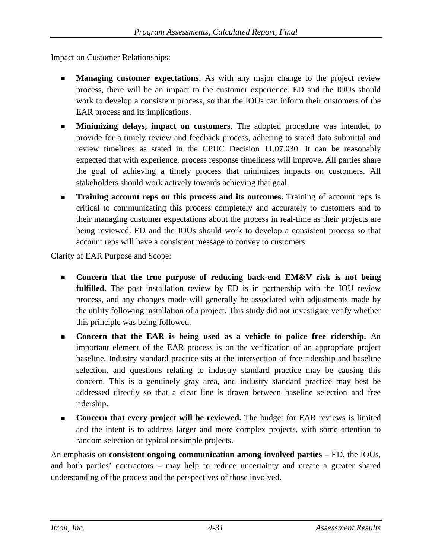Impact on Customer Relationships:

- **Managing customer expectations.** As with any major change to the project review process, there will be an impact to the customer experience. ED and the IOUs should work to develop a consistent process, so that the IOUs can inform their customers of the EAR process and its implications.
- **Minimizing delays, impact on customers**. The adopted procedure was intended to provide for a timely review and feedback process, adhering to stated data submittal and review timelines as stated in the CPUC Decision 11.07.030. It can be reasonably expected that with experience, process response timeliness will improve. All parties share the goal of achieving a timely process that minimizes impacts on customers. All stakeholders should work actively towards achieving that goal.
- **Training account reps on this process and its outcomes.** Training of account reps is critical to communicating this process completely and accurately to customers and to their managing customer expectations about the process in real-time as their projects are being reviewed. ED and the IOUs should work to develop a consistent process so that account reps will have a consistent message to convey to customers.

Clarity of EAR Purpose and Scope:

- **Concern that the true purpose of reducing back-end EM&V risk is not being fulfilled.** The post installation review by ED is in partnership with the IOU review process, and any changes made will generally be associated with adjustments made by the utility following installation of a project. This study did not investigate verify whether this principle was being followed.
- **Concern that the EAR is being used as a vehicle to police free ridership.** An important element of the EAR process is on the verification of an appropriate project baseline. Industry standard practice sits at the intersection of free ridership and baseline selection, and questions relating to industry standard practice may be causing this concern. This is a genuinely gray area, and industry standard practice may best be addressed directly so that a clear line is drawn between baseline selection and free ridership.
- **Concern that every project will be reviewed.** The budget for EAR reviews is limited and the intent is to address larger and more complex projects, with some attention to random selection of typical or simple projects.

An emphasis on **consistent ongoing communication among involved parties** – ED, the IOUs, and both parties' contractors – may help to reduce uncertainty and create a greater shared understanding of the process and the perspectives of those involved.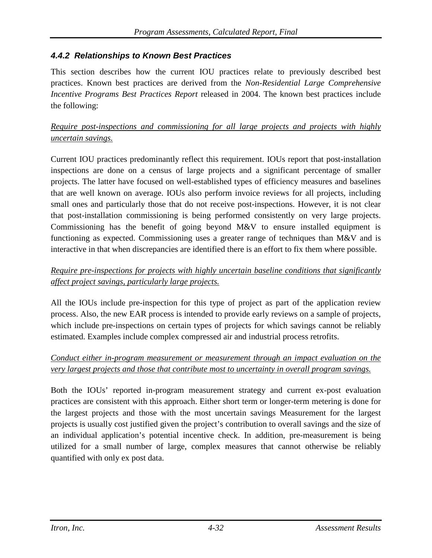### *4.4.2 Relationships to Known Best Practices*

This section describes how the current IOU practices relate to previously described best practices. Known best practices are derived from the *Non-Residential Large Comprehensive Incentive Programs Best Practices Report* released in 2004. The known best practices include the following:

### *Require post-inspections and commissioning for all large projects and projects with highly uncertain savings.*

Current IOU practices predominantly reflect this requirement. IOUs report that post-installation inspections are done on a census of large projects and a significant percentage of smaller projects. The latter have focused on well-established types of efficiency measures and baselines that are well known on average. IOUs also perform invoice reviews for all projects, including small ones and particularly those that do not receive post-inspections. However, it is not clear that post-installation commissioning is being performed consistently on very large projects. Commissioning has the benefit of going beyond M&V to ensure installed equipment is functioning as expected. Commissioning uses a greater range of techniques than M&V and is interactive in that when discrepancies are identified there is an effort to fix them where possible.

### *Require pre-inspections for projects with highly uncertain baseline conditions that significantly affect project savings, particularly large projects.*

All the IOUs include pre-inspection for this type of project as part of the application review process. Also, the new EAR process is intended to provide early reviews on a sample of projects, which include pre-inspections on certain types of projects for which savings cannot be reliably estimated. Examples include complex compressed air and industrial process retrofits.

### *Conduct either in-program measurement or measurement through an impact evaluation on the very largest projects and those that contribute most to uncertainty in overall program savings.*

Both the IOUs' reported in-program measurement strategy and current ex-post evaluation practices are consistent with this approach. Either short term or longer-term metering is done for the largest projects and those with the most uncertain savings Measurement for the largest projects is usually cost justified given the project's contribution to overall savings and the size of an individual application's potential incentive check. In addition, pre-measurement is being utilized for a small number of large, complex measures that cannot otherwise be reliably quantified with only ex post data.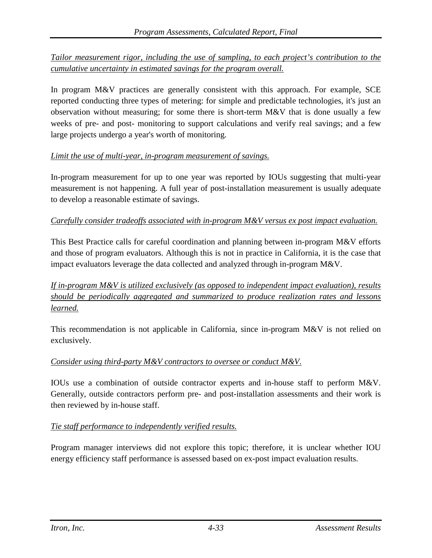*Tailor measurement rigor, including the use of sampling, to each project's contribution to the cumulative uncertainty in estimated savings for the program overall.*

In program M&V practices are generally consistent with this approach. For example, SCE reported conducting three types of metering: for simple and predictable technologies, it's just an observation without measuring; for some there is short-term M&V that is done usually a few weeks of pre- and post- monitoring to support calculations and verify real savings; and a few large projects undergo a year's worth of monitoring.

#### *Limit the use of multi-year, in-program measurement of savings.*

In-program measurement for up to one year was reported by IOUs suggesting that multi-year measurement is not happening. A full year of post-installation measurement is usually adequate to develop a reasonable estimate of savings.

#### *Carefully consider tradeoffs associated with in-program M&V versus ex post impact evaluation.*

This Best Practice calls for careful coordination and planning between in-program M&V efforts and those of program evaluators. Although this is not in practice in California, it is the case that impact evaluators leverage the data collected and analyzed through in-program M&V.

*If in-program M&V is utilized exclusively (as opposed to independent impact evaluation), results should be periodically aggregated and summarized to produce realization rates and lessons learned.*

This recommendation is not applicable in California, since in-program M&V is not relied on exclusively.

#### *Consider using third-party M&V contractors to oversee or conduct M&V.*

IOUs use a combination of outside contractor experts and in-house staff to perform M&V. Generally, outside contractors perform pre- and post-installation assessments and their work is then reviewed by in-house staff.

#### *Tie staff performance to independently verified results.*

Program manager interviews did not explore this topic; therefore, it is unclear whether IOU energy efficiency staff performance is assessed based on ex-post impact evaluation results.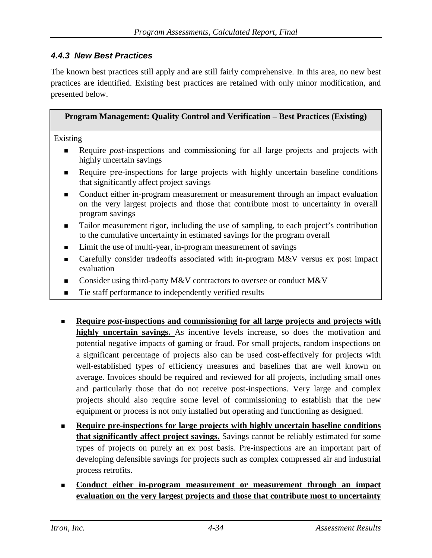### *4.4.3 New Best Practices*

The known best practices still apply and are still fairly comprehensive. In this area, no new best practices are identified. Existing best practices are retained with only minor modification, and presented below.

| <b>Program Management: Quality Control and Verification – Best Practices (Existing)</b>                                                                                                                         |
|-----------------------------------------------------------------------------------------------------------------------------------------------------------------------------------------------------------------|
| Existing                                                                                                                                                                                                        |
| Require <i>post</i> -inspections and commissioning for all large projects and projects with<br>$\blacksquare$<br>highly uncertain savings                                                                       |
| Require pre-inspections for large projects with highly uncertain baseline conditions<br>$\blacksquare$<br>that significantly affect project savings                                                             |
| Conduct either in-program measurement or measurement through an impact evaluation<br>$\blacksquare$<br>on the very largest projects and those that contribute most to uncertainty in overall<br>program savings |
| Tailor measurement rigor, including the use of sampling, to each project's contribution<br>$\blacksquare$<br>to the cumulative uncertainty in estimated savings for the program overall                         |
| Limit the use of multi-year, in-program measurement of savings<br>$\blacksquare$                                                                                                                                |

- Carefully consider tradeoffs associated with in-program M&V versus ex post impact evaluation
- Consider using third-party M&V contractors to oversee or conduct M&V
- Tie staff performance to independently verified results
- **Require** *post***-inspections and commissioning for all large projects and projects with highly uncertain savings.** As incentive levels increase, so does the motivation and potential negative impacts of gaming or fraud. For small projects, random inspections on a significant percentage of projects also can be used cost-effectively for projects with well-established types of efficiency measures and baselines that are well known on average. Invoices should be required and reviewed for all projects, including small ones and particularly those that do not receive post-inspections. Very large and complex projects should also require some level of commissioning to establish that the new equipment or process is not only installed but operating and functioning as designed.
- **Require pre-inspections for large projects with highly uncertain baseline conditions that significantly affect project savings.** Savings cannot be reliably estimated for some types of projects on purely an ex post basis. Pre-inspections are an important part of developing defensible savings for projects such as complex compressed air and industrial process retrofits.
- **Conduct either in-program measurement or measurement through an impact evaluation on the very largest projects and those that contribute most to uncertainty**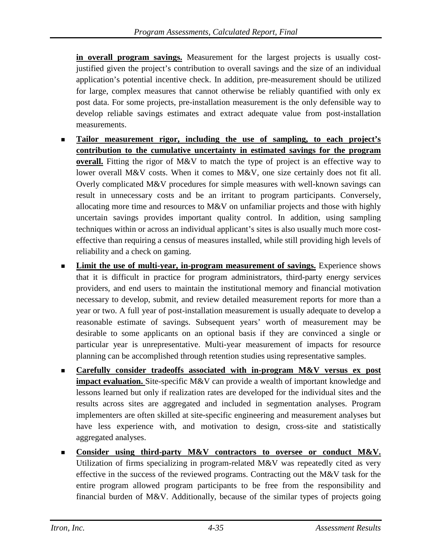**in overall program savings.** Measurement for the largest projects is usually costjustified given the project's contribution to overall savings and the size of an individual application's potential incentive check. In addition, pre-measurement should be utilized for large, complex measures that cannot otherwise be reliably quantified with only ex post data. For some projects, pre-installation measurement is the only defensible way to develop reliable savings estimates and extract adequate value from post-installation measurements.

- **Tailor measurement rigor, including the use of sampling, to each project's contribution to the cumulative uncertainty in estimated savings for the program overall.** Fitting the rigor of M&V to match the type of project is an effective way to lower overall M&V costs. When it comes to M&V, one size certainly does not fit all. Overly complicated M&V procedures for simple measures with well-known savings can result in unnecessary costs and be an irritant to program participants. Conversely, allocating more time and resources to M&V on unfamiliar projects and those with highly uncertain savings provides important quality control. In addition, using sampling techniques within or across an individual applicant's sites is also usually much more costeffective than requiring a census of measures installed, while still providing high levels of reliability and a check on gaming.
- **Limit the use of multi-year, in-program measurement of savings.** Experience shows that it is difficult in practice for program administrators, third-party energy services providers, and end users to maintain the institutional memory and financial motivation necessary to develop, submit, and review detailed measurement reports for more than a year or two. A full year of post-installation measurement is usually adequate to develop a reasonable estimate of savings. Subsequent years' worth of measurement may be desirable to some applicants on an optional basis if they are convinced a single or particular year is unrepresentative. Multi-year measurement of impacts for resource planning can be accomplished through retention studies using representative samples.
- **Carefully consider tradeoffs associated with in-program M&V versus ex post impact evaluation.** Site-specific M&V can provide a wealth of important knowledge and lessons learned but only if realization rates are developed for the individual sites and the results across sites are aggregated and included in segmentation analyses. Program implementers are often skilled at site-specific engineering and measurement analyses but have less experience with, and motivation to design, cross-site and statistically aggregated analyses.
- **Consider using third-party M&V contractors to oversee or conduct M&V.** Utilization of firms specializing in program-related M&V was repeatedly cited as very effective in the success of the reviewed programs. Contracting out the M&V task for the entire program allowed program participants to be free from the responsibility and financial burden of M&V. Additionally, because of the similar types of projects going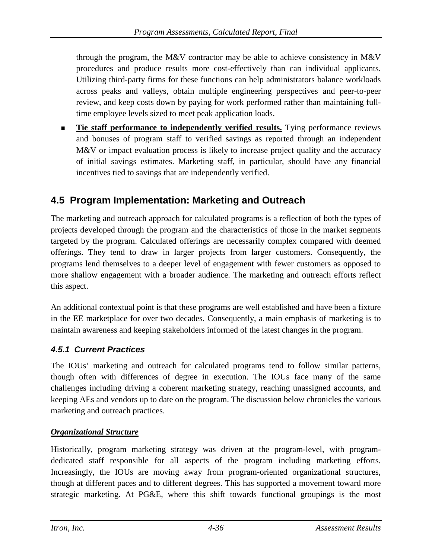through the program, the M&V contractor may be able to achieve consistency in M&V procedures and produce results more cost-effectively than can individual applicants. Utilizing third-party firms for these functions can help administrators balance workloads across peaks and valleys, obtain multiple engineering perspectives and peer-to-peer review, and keep costs down by paying for work performed rather than maintaining fulltime employee levels sized to meet peak application loads.

**Tie staff performance to independently verified results.** Tying performance reviews and bonuses of program staff to verified savings as reported through an independent M&V or impact evaluation process is likely to increase project quality and the accuracy of initial savings estimates. Marketing staff, in particular, should have any financial incentives tied to savings that are independently verified.

# **4.5 Program Implementation: Marketing and Outreach**

The marketing and outreach approach for calculated programs is a reflection of both the types of projects developed through the program and the characteristics of those in the market segments targeted by the program. Calculated offerings are necessarily complex compared with deemed offerings. They tend to draw in larger projects from larger customers. Consequently, the programs lend themselves to a deeper level of engagement with fewer customers as opposed to more shallow engagement with a broader audience. The marketing and outreach efforts reflect this aspect.

An additional contextual point is that these programs are well established and have been a fixture in the EE marketplace for over two decades. Consequently, a main emphasis of marketing is to maintain awareness and keeping stakeholders informed of the latest changes in the program.

### *4.5.1 Current Practices*

The IOUs' marketing and outreach for calculated programs tend to follow similar patterns, though often with differences of degree in execution. The IOUs face many of the same challenges including driving a coherent marketing strategy, reaching unassigned accounts, and keeping AEs and vendors up to date on the program. The discussion below chronicles the various marketing and outreach practices.

### *Organizational Structure*

Historically, program marketing strategy was driven at the program-level, with programdedicated staff responsible for all aspects of the program including marketing efforts. Increasingly, the IOUs are moving away from program-oriented organizational structures, though at different paces and to different degrees. This has supported a movement toward more strategic marketing. At PG&E, where this shift towards functional groupings is the most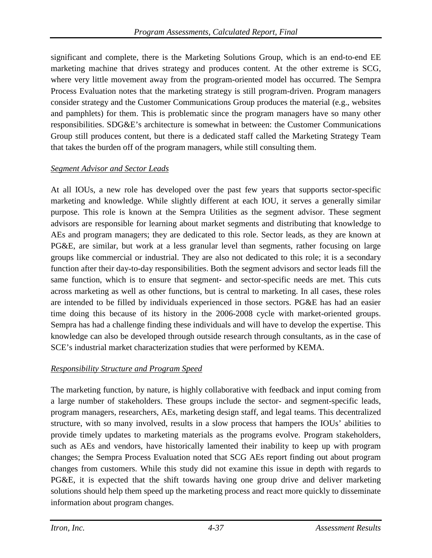significant and complete, there is the Marketing Solutions Group, which is an end-to-end EE marketing machine that drives strategy and produces content. At the other extreme is SCG, where very little movement away from the program-oriented model has occurred. The Sempra Process Evaluation notes that the marketing strategy is still program-driven. Program managers consider strategy and the Customer Communications Group produces the material (e.g., websites and pamphlets) for them. This is problematic since the program managers have so many other responsibilities. SDG&E's architecture is somewhat in between: the Customer Communications Group still produces content, but there is a dedicated staff called the Marketing Strategy Team that takes the burden off of the program managers, while still consulting them.

### *Segment Advisor and Sector Leads*

At all IOUs, a new role has developed over the past few years that supports sector-specific marketing and knowledge. While slightly different at each IOU, it serves a generally similar purpose. This role is known at the Sempra Utilities as the segment advisor. These segment advisors are responsible for learning about market segments and distributing that knowledge to AEs and program managers; they are dedicated to this role. Sector leads, as they are known at PG&E, are similar, but work at a less granular level than segments, rather focusing on large groups like commercial or industrial. They are also not dedicated to this role; it is a secondary function after their day-to-day responsibilities. Both the segment advisors and sector leads fill the same function, which is to ensure that segment- and sector-specific needs are met. This cuts across marketing as well as other functions, but is central to marketing. In all cases, these roles are intended to be filled by individuals experienced in those sectors. PG&E has had an easier time doing this because of its history in the 2006-2008 cycle with market-oriented groups. Sempra has had a challenge finding these individuals and will have to develop the expertise. This knowledge can also be developed through outside research through consultants, as in the case of SCE's industrial market characterization studies that were performed by KEMA.

### *Responsibility Structure and Program Speed*

The marketing function, by nature, is highly collaborative with feedback and input coming from a large number of stakeholders. These groups include the sector- and segment-specific leads, program managers, researchers, AEs, marketing design staff, and legal teams. This decentralized structure, with so many involved, results in a slow process that hampers the IOUs' abilities to provide timely updates to marketing materials as the programs evolve. Program stakeholders, such as AEs and vendors, have historically lamented their inability to keep up with program changes; the Sempra Process Evaluation noted that SCG AEs report finding out about program changes from customers. While this study did not examine this issue in depth with regards to PG&E, it is expected that the shift towards having one group drive and deliver marketing solutions should help them speed up the marketing process and react more quickly to disseminate information about program changes.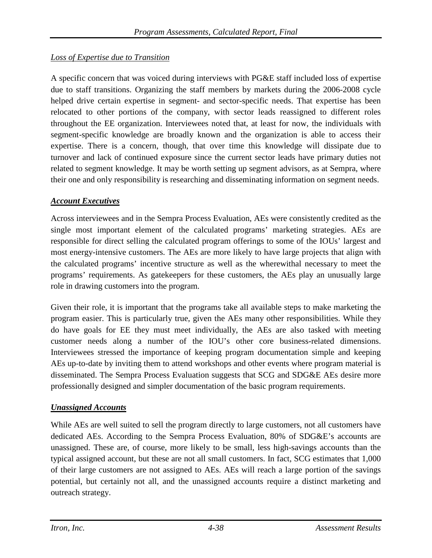### *Loss of Expertise due to Transition*

A specific concern that was voiced during interviews with PG&E staff included loss of expertise due to staff transitions. Organizing the staff members by markets during the 2006-2008 cycle helped drive certain expertise in segment- and sector-specific needs. That expertise has been relocated to other portions of the company, with sector leads reassigned to different roles throughout the EE organization. Interviewees noted that, at least for now, the individuals with segment-specific knowledge are broadly known and the organization is able to access their expertise. There is a concern, though, that over time this knowledge will dissipate due to turnover and lack of continued exposure since the current sector leads have primary duties not related to segment knowledge. It may be worth setting up segment advisors, as at Sempra, where their one and only responsibility is researching and disseminating information on segment needs.

### *Account Executives*

Across interviewees and in the Sempra Process Evaluation, AEs were consistently credited as the single most important element of the calculated programs' marketing strategies. AEs are responsible for direct selling the calculated program offerings to some of the IOUs' largest and most energy-intensive customers. The AEs are more likely to have large projects that align with the calculated programs' incentive structure as well as the wherewithal necessary to meet the programs' requirements. As gatekeepers for these customers, the AEs play an unusually large role in drawing customers into the program.

Given their role, it is important that the programs take all available steps to make marketing the program easier. This is particularly true, given the AEs many other responsibilities. While they do have goals for EE they must meet individually, the AEs are also tasked with meeting customer needs along a number of the IOU's other core business-related dimensions. Interviewees stressed the importance of keeping program documentation simple and keeping AEs up-to-date by inviting them to attend workshops and other events where program material is disseminated. The Sempra Process Evaluation suggests that SCG and SDG&E AEs desire more professionally designed and simpler documentation of the basic program requirements.

#### *Unassigned Accounts*

While AEs are well suited to sell the program directly to large customers, not all customers have dedicated AEs. According to the Sempra Process Evaluation, 80% of SDG&E's accounts are unassigned. These are, of course, more likely to be small, less high-savings accounts than the typical assigned account, but these are not all small customers. In fact, SCG estimates that 1,000 of their large customers are not assigned to AEs. AEs will reach a large portion of the savings potential, but certainly not all, and the unassigned accounts require a distinct marketing and outreach strategy.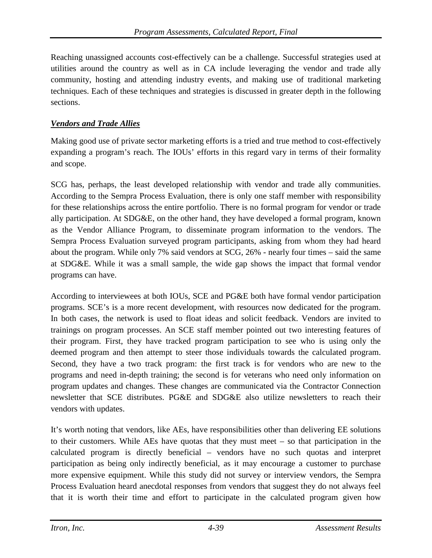Reaching unassigned accounts cost-effectively can be a challenge. Successful strategies used at utilities around the country as well as in CA include leveraging the vendor and trade ally community, hosting and attending industry events, and making use of traditional marketing techniques. Each of these techniques and strategies is discussed in greater depth in the following sections.

#### *Vendors and Trade Allies*

Making good use of private sector marketing efforts is a tried and true method to cost-effectively expanding a program's reach. The IOUs' efforts in this regard vary in terms of their formality and scope.

SCG has, perhaps, the least developed relationship with vendor and trade ally communities. According to the Sempra Process Evaluation, there is only one staff member with responsibility for these relationships across the entire portfolio. There is no formal program for vendor or trade ally participation. At SDG&E, on the other hand, they have developed a formal program, known as the Vendor Alliance Program, to disseminate program information to the vendors. The Sempra Process Evaluation surveyed program participants, asking from whom they had heard about the program. While only 7% said vendors at SCG, 26% - nearly four times – said the same at SDG&E. While it was a small sample, the wide gap shows the impact that formal vendor programs can have.

According to interviewees at both IOUs, SCE and PG&E both have formal vendor participation programs. SCE's is a more recent development, with resources now dedicated for the program. In both cases, the network is used to float ideas and solicit feedback. Vendors are invited to trainings on program processes. An SCE staff member pointed out two interesting features of their program. First, they have tracked program participation to see who is using only the deemed program and then attempt to steer those individuals towards the calculated program. Second, they have a two track program: the first track is for vendors who are new to the programs and need in-depth training; the second is for veterans who need only information on program updates and changes. These changes are communicated via the Contractor Connection newsletter that SCE distributes. PG&E and SDG&E also utilize newsletters to reach their vendors with updates.

It's worth noting that vendors, like AEs, have responsibilities other than delivering EE solutions to their customers. While AEs have quotas that they must meet – so that participation in the calculated program is directly beneficial – vendors have no such quotas and interpret participation as being only indirectly beneficial, as it may encourage a customer to purchase more expensive equipment. While this study did not survey or interview vendors, the Sempra Process Evaluation heard anecdotal responses from vendors that suggest they do not always feel that it is worth their time and effort to participate in the calculated program given how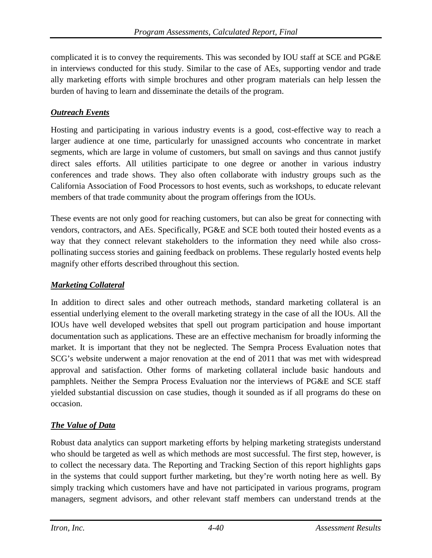complicated it is to convey the requirements. This was seconded by IOU staff at SCE and PG&E in interviews conducted for this study. Similar to the case of AEs, supporting vendor and trade ally marketing efforts with simple brochures and other program materials can help lessen the burden of having to learn and disseminate the details of the program.

### *Outreach Events*

Hosting and participating in various industry events is a good, cost-effective way to reach a larger audience at one time, particularly for unassigned accounts who concentrate in market segments, which are large in volume of customers, but small on savings and thus cannot justify direct sales efforts. All utilities participate to one degree or another in various industry conferences and trade shows. They also often collaborate with industry groups such as the California Association of Food Processors to host events, such as workshops, to educate relevant members of that trade community about the program offerings from the IOUs.

These events are not only good for reaching customers, but can also be great for connecting with vendors, contractors, and AEs. Specifically, PG&E and SCE both touted their hosted events as a way that they connect relevant stakeholders to the information they need while also crosspollinating success stories and gaining feedback on problems. These regularly hosted events help magnify other efforts described throughout this section.

### *Marketing Collateral*

In addition to direct sales and other outreach methods, standard marketing collateral is an essential underlying element to the overall marketing strategy in the case of all the IOUs. All the IOUs have well developed websites that spell out program participation and house important documentation such as applications. These are an effective mechanism for broadly informing the market. It is important that they not be neglected. The Sempra Process Evaluation notes that SCG's website underwent a major renovation at the end of 2011 that was met with widespread approval and satisfaction. Other forms of marketing collateral include basic handouts and pamphlets. Neither the Sempra Process Evaluation nor the interviews of PG&E and SCE staff yielded substantial discussion on case studies, though it sounded as if all programs do these on occasion.

### *The Value of Data*

Robust data analytics can support marketing efforts by helping marketing strategists understand who should be targeted as well as which methods are most successful. The first step, however, is to collect the necessary data. The Reporting and Tracking Section of this report highlights gaps in the systems that could support further marketing, but they're worth noting here as well. By simply tracking which customers have and have not participated in various programs, program managers, segment advisors, and other relevant staff members can understand trends at the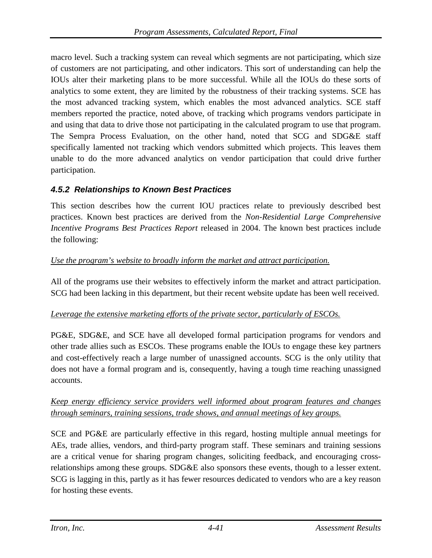macro level. Such a tracking system can reveal which segments are not participating, which size of customers are not participating, and other indicators. This sort of understanding can help the IOUs alter their marketing plans to be more successful. While all the IOUs do these sorts of analytics to some extent, they are limited by the robustness of their tracking systems. SCE has the most advanced tracking system, which enables the most advanced analytics. SCE staff members reported the practice, noted above, of tracking which programs vendors participate in and using that data to drive those not participating in the calculated program to use that program. The Sempra Process Evaluation, on the other hand, noted that SCG and SDG&E staff specifically lamented not tracking which vendors submitted which projects. This leaves them unable to do the more advanced analytics on vendor participation that could drive further participation.

### *4.5.2 Relationships to Known Best Practices*

This section describes how the current IOU practices relate to previously described best practices. Known best practices are derived from the *Non-Residential Large Comprehensive Incentive Programs Best Practices Report* released in 2004. The known best practices include the following:

### *Use the program's website to broadly inform the market and attract participation.*

All of the programs use their websites to effectively inform the market and attract participation. SCG had been lacking in this department, but their recent website update has been well received.

#### *Leverage the extensive marketing efforts of the private sector, particularly of ESCOs.*

PG&E, SDG&E, and SCE have all developed formal participation programs for vendors and other trade allies such as ESCOs. These programs enable the IOUs to engage these key partners and cost-effectively reach a large number of unassigned accounts. SCG is the only utility that does not have a formal program and is, consequently, having a tough time reaching unassigned accounts.

### *Keep energy efficiency service providers well informed about program features and changes through seminars, training sessions, trade shows, and annual meetings of key groups.*

SCE and PG&E are particularly effective in this regard, hosting multiple annual meetings for AEs, trade allies, vendors, and third-party program staff. These seminars and training sessions are a critical venue for sharing program changes, soliciting feedback, and encouraging crossrelationships among these groups. SDG&E also sponsors these events, though to a lesser extent. SCG is lagging in this, partly as it has fewer resources dedicated to vendors who are a key reason for hosting these events.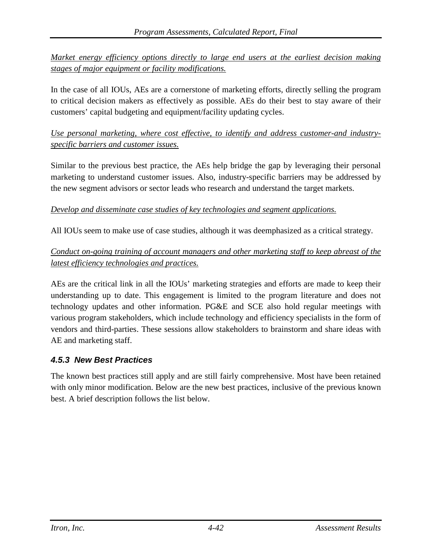*Market energy efficiency options directly to large end users at the earliest decision making stages of major equipment or facility modifications.*

In the case of all IOUs, AEs are a cornerstone of marketing efforts, directly selling the program to critical decision makers as effectively as possible. AEs do their best to stay aware of their customers' capital budgeting and equipment/facility updating cycles.

*Use personal marketing, where cost effective, to identify and address customer-and industryspecific barriers and customer issues.*

Similar to the previous best practice, the AEs help bridge the gap by leveraging their personal marketing to understand customer issues. Also, industry-specific barriers may be addressed by the new segment advisors or sector leads who research and understand the target markets.

#### *Develop and disseminate case studies of key technologies and segment applications.*

All IOUs seem to make use of case studies, although it was deemphasized as a critical strategy.

### *Conduct on-going training of account managers and other marketing staff to keep abreast of the latest efficiency technologies and practices.*

AEs are the critical link in all the IOUs' marketing strategies and efforts are made to keep their understanding up to date. This engagement is limited to the program literature and does not technology updates and other information. PG&E and SCE also hold regular meetings with various program stakeholders, which include technology and efficiency specialists in the form of vendors and third-parties. These sessions allow stakeholders to brainstorm and share ideas with AE and marketing staff.

### *4.5.3 New Best Practices*

The known best practices still apply and are still fairly comprehensive. Most have been retained with only minor modification. Below are the new best practices, inclusive of the previous known best. A brief description follows the list below.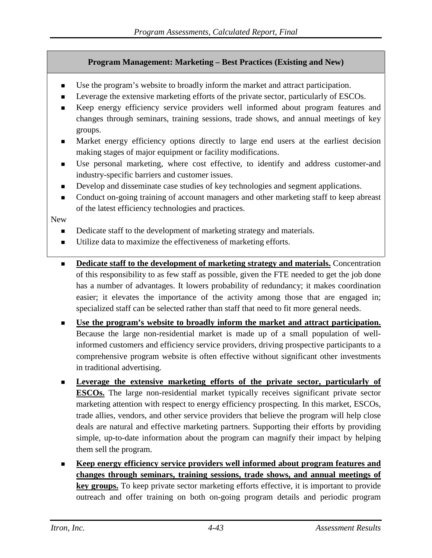#### **Program Management: Marketing – Best Practices (Existing and New)**

- Use the program's website to broadly inform the market and attract participation.
- Leverage the extensive marketing efforts of the private sector, particularly of ESCOs.
- Keep energy efficiency service providers well informed about program features and changes through seminars, training sessions, trade shows, and annual meetings of key groups.
- Market energy efficiency options directly to large end users at the earliest decision making stages of major equipment or facility modifications.
- Use personal marketing, where cost effective, to identify and address customer-and industry-specific barriers and customer issues.
- Develop and disseminate case studies of key technologies and segment applications.
- Conduct on-going training of account managers and other marketing staff to keep abreast of the latest efficiency technologies and practices.

New

- Dedicate staff to the development of marketing strategy and materials.
- Utilize data to maximize the effectiveness of marketing efforts.
- **Dedicate staff to the development of marketing strategy and materials.** Concentration of this responsibility to as few staff as possible, given the FTE needed to get the job done has a number of advantages. It lowers probability of redundancy; it makes coordination easier; it elevates the importance of the activity among those that are engaged in; specialized staff can be selected rather than staff that need to fit more general needs.
- **Use the program's website to broadly inform the market and attract participation.** Because the large non-residential market is made up of a small population of wellinformed customers and efficiency service providers, driving prospective participants to a comprehensive program website is often effective without significant other investments in traditional advertising.
- **Leverage the extensive marketing efforts of the private sector, particularly of ESCOs.** The large non-residential market typically receives significant private sector marketing attention with respect to energy efficiency prospecting. In this market, ESCOs, trade allies, vendors, and other service providers that believe the program will help close deals are natural and effective marketing partners. Supporting their efforts by providing simple, up-to-date information about the program can magnify their impact by helping them sell the program.
- **Keep energy efficiency service providers well informed about program features and changes through seminars, training sessions, trade shows, and annual meetings of key groups.** To keep private sector marketing efforts effective, it is important to provide outreach and offer training on both on-going program details and periodic program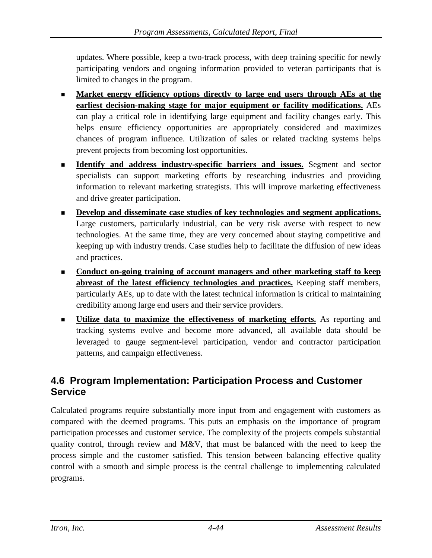updates. Where possible, keep a two-track process, with deep training specific for newly participating vendors and ongoing information provided to veteran participants that is limited to changes in the program.

- **Market energy efficiency options directly to large end users through AEs at the earliest decision-making stage for major equipment or facility modifications.** AEs can play a critical role in identifying large equipment and facility changes early. This helps ensure efficiency opportunities are appropriately considered and maximizes chances of program influence. Utilization of sales or related tracking systems helps prevent projects from becoming lost opportunities.
- **Identify and address industry-specific barriers and issues.** Segment and sector specialists can support marketing efforts by researching industries and providing information to relevant marketing strategists. This will improve marketing effectiveness and drive greater participation.
- **Develop and disseminate case studies of key technologies and segment applications.** Large customers, particularly industrial, can be very risk averse with respect to new technologies. At the same time, they are very concerned about staying competitive and keeping up with industry trends. Case studies help to facilitate the diffusion of new ideas and practices.
- **Conduct on-going training of account managers and other marketing staff to keep abreast of the latest efficiency technologies and practices.** Keeping staff members, particularly AEs, up to date with the latest technical information is critical to maintaining credibility among large end users and their service providers.
- **Utilize data to maximize the effectiveness of marketing efforts.** As reporting and tracking systems evolve and become more advanced, all available data should be leveraged to gauge segment-level participation, vendor and contractor participation patterns, and campaign effectiveness.

## **4.6 Program Implementation: Participation Process and Customer Service**

Calculated programs require substantially more input from and engagement with customers as compared with the deemed programs. This puts an emphasis on the importance of program participation processes and customer service. The complexity of the projects compels substantial quality control, through review and  $M\&V$ , that must be balanced with the need to keep the process simple and the customer satisfied. This tension between balancing effective quality control with a smooth and simple process is the central challenge to implementing calculated programs.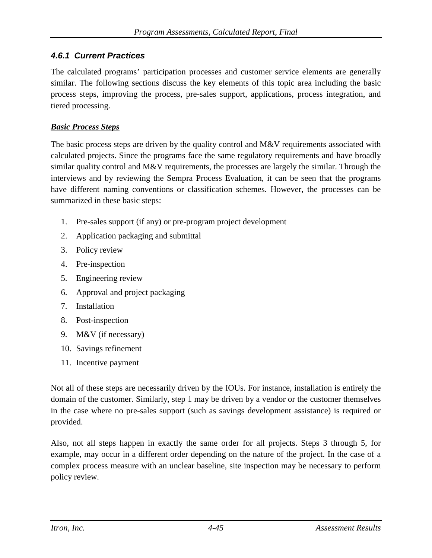### *4.6.1 Current Practices*

The calculated programs' participation processes and customer service elements are generally similar. The following sections discuss the key elements of this topic area including the basic process steps, improving the process, pre-sales support, applications, process integration, and tiered processing.

#### *Basic Process Steps*

The basic process steps are driven by the quality control and M&V requirements associated with calculated projects. Since the programs face the same regulatory requirements and have broadly similar quality control and M&V requirements, the processes are largely the similar. Through the interviews and by reviewing the Sempra Process Evaluation, it can be seen that the programs have different naming conventions or classification schemes. However, the processes can be summarized in these basic steps:

- 1. Pre-sales support (if any) or pre-program project development
- 2. Application packaging and submittal
- 3. Policy review
- 4. Pre-inspection
- 5. Engineering review
- 6. Approval and project packaging
- 7. Installation
- 8. Post-inspection
- 9. M&V (if necessary)
- 10. Savings refinement
- 11. Incentive payment

Not all of these steps are necessarily driven by the IOUs. For instance, installation is entirely the domain of the customer. Similarly, step 1 may be driven by a vendor or the customer themselves in the case where no pre-sales support (such as savings development assistance) is required or provided.

Also, not all steps happen in exactly the same order for all projects. Steps 3 through 5, for example, may occur in a different order depending on the nature of the project. In the case of a complex process measure with an unclear baseline, site inspection may be necessary to perform policy review.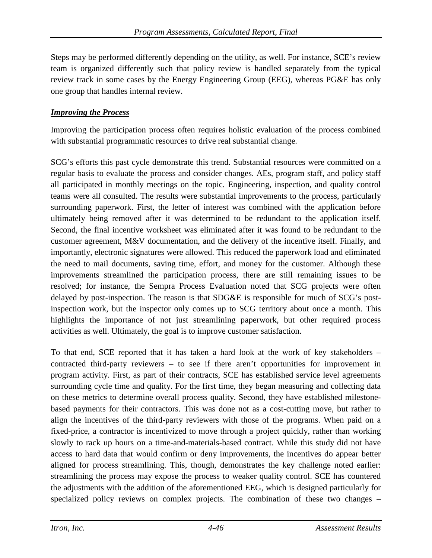Steps may be performed differently depending on the utility, as well. For instance, SCE's review team is organized differently such that policy review is handled separately from the typical review track in some cases by the Energy Engineering Group (EEG), whereas PG&E has only one group that handles internal review.

## *Improving the Process*

Improving the participation process often requires holistic evaluation of the process combined with substantial programmatic resources to drive real substantial change.

SCG's efforts this past cycle demonstrate this trend. Substantial resources were committed on a regular basis to evaluate the process and consider changes. AEs, program staff, and policy staff all participated in monthly meetings on the topic. Engineering, inspection, and quality control teams were all consulted. The results were substantial improvements to the process, particularly surrounding paperwork. First, the letter of interest was combined with the application before ultimately being removed after it was determined to be redundant to the application itself. Second, the final incentive worksheet was eliminated after it was found to be redundant to the customer agreement, M&V documentation, and the delivery of the incentive itself. Finally, and importantly, electronic signatures were allowed. This reduced the paperwork load and eliminated the need to mail documents, saving time, effort, and money for the customer. Although these improvements streamlined the participation process, there are still remaining issues to be resolved; for instance, the Sempra Process Evaluation noted that SCG projects were often delayed by post-inspection. The reason is that SDG&E is responsible for much of SCG's postinspection work, but the inspector only comes up to SCG territory about once a month. This highlights the importance of not just streamlining paperwork, but other required process activities as well. Ultimately, the goal is to improve customer satisfaction.

To that end, SCE reported that it has taken a hard look at the work of key stakeholders – contracted third-party reviewers – to see if there aren't opportunities for improvement in program activity. First, as part of their contracts, SCE has established service level agreements surrounding cycle time and quality. For the first time, they began measuring and collecting data on these metrics to determine overall process quality. Second, they have established milestonebased payments for their contractors. This was done not as a cost-cutting move, but rather to align the incentives of the third-party reviewers with those of the programs. When paid on a fixed-price, a contractor is incentivized to move through a project quickly, rather than working slowly to rack up hours on a time-and-materials-based contract. While this study did not have access to hard data that would confirm or deny improvements, the incentives do appear better aligned for process streamlining. This, though, demonstrates the key challenge noted earlier: streamlining the process may expose the process to weaker quality control. SCE has countered the adjustments with the addition of the aforementioned EEG, which is designed particularly for specialized policy reviews on complex projects. The combination of these two changes –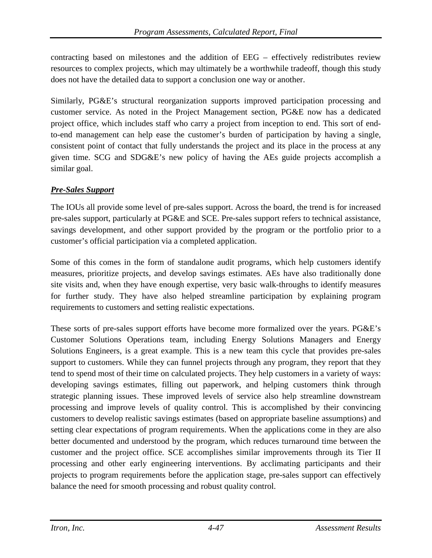contracting based on milestones and the addition of EEG – effectively redistributes review resources to complex projects, which may ultimately be a worthwhile tradeoff, though this study does not have the detailed data to support a conclusion one way or another.

Similarly, PG&E's structural reorganization supports improved participation processing and customer service. As noted in the Project Management section, PG&E now has a dedicated project office, which includes staff who carry a project from inception to end. This sort of endto-end management can help ease the customer's burden of participation by having a single, consistent point of contact that fully understands the project and its place in the process at any given time. SCG and SDG&E's new policy of having the AEs guide projects accomplish a similar goal.

## *Pre-Sales Support*

The IOUs all provide some level of pre-sales support. Across the board, the trend is for increased pre-sales support, particularly at PG&E and SCE. Pre-sales support refers to technical assistance, savings development, and other support provided by the program or the portfolio prior to a customer's official participation via a completed application.

Some of this comes in the form of standalone audit programs, which help customers identify measures, prioritize projects, and develop savings estimates. AEs have also traditionally done site visits and, when they have enough expertise, very basic walk-throughs to identify measures for further study. They have also helped streamline participation by explaining program requirements to customers and setting realistic expectations.

These sorts of pre-sales support efforts have become more formalized over the years. PG&E's Customer Solutions Operations team, including Energy Solutions Managers and Energy Solutions Engineers, is a great example. This is a new team this cycle that provides pre-sales support to customers. While they can funnel projects through any program, they report that they tend to spend most of their time on calculated projects. They help customers in a variety of ways: developing savings estimates, filling out paperwork, and helping customers think through strategic planning issues. These improved levels of service also help streamline downstream processing and improve levels of quality control. This is accomplished by their convincing customers to develop realistic savings estimates (based on appropriate baseline assumptions) and setting clear expectations of program requirements. When the applications come in they are also better documented and understood by the program, which reduces turnaround time between the customer and the project office. SCE accomplishes similar improvements through its Tier II processing and other early engineering interventions. By acclimating participants and their projects to program requirements before the application stage, pre-sales support can effectively balance the need for smooth processing and robust quality control.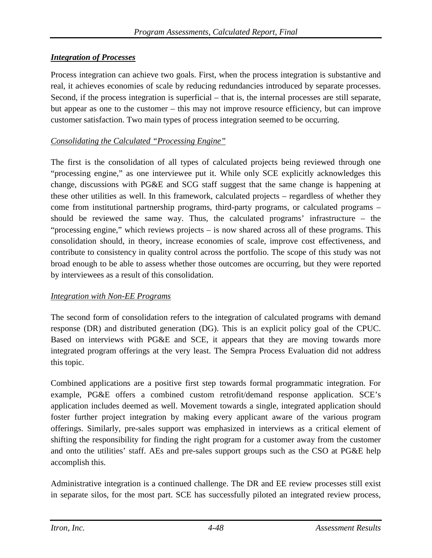### *Integration of Processes*

Process integration can achieve two goals. First, when the process integration is substantive and real, it achieves economies of scale by reducing redundancies introduced by separate processes. Second, if the process integration is superficial – that is, the internal processes are still separate, but appear as one to the customer – this may not improve resource efficiency, but can improve customer satisfaction. Two main types of process integration seemed to be occurring.

### *Consolidating the Calculated "Processing Engine"*

The first is the consolidation of all types of calculated projects being reviewed through one "processing engine," as one interviewee put it. While only SCE explicitly acknowledges this change, discussions with PG&E and SCG staff suggest that the same change is happening at these other utilities as well. In this framework, calculated projects – regardless of whether they come from institutional partnership programs, third-party programs, or calculated programs – should be reviewed the same way. Thus, the calculated programs' infrastructure – the "processing engine," which reviews projects – is now shared across all of these programs. This consolidation should, in theory, increase economies of scale, improve cost effectiveness, and contribute to consistency in quality control across the portfolio. The scope of this study was not broad enough to be able to assess whether those outcomes are occurring, but they were reported by interviewees as a result of this consolidation.

### *Integration with Non-EE Programs*

The second form of consolidation refers to the integration of calculated programs with demand response (DR) and distributed generation (DG). This is an explicit policy goal of the CPUC. Based on interviews with PG&E and SCE, it appears that they are moving towards more integrated program offerings at the very least. The Sempra Process Evaluation did not address this topic.

Combined applications are a positive first step towards formal programmatic integration. For example, PG&E offers a combined custom retrofit/demand response application. SCE's application includes deemed as well. Movement towards a single, integrated application should foster further project integration by making every applicant aware of the various program offerings. Similarly, pre-sales support was emphasized in interviews as a critical element of shifting the responsibility for finding the right program for a customer away from the customer and onto the utilities' staff. AEs and pre-sales support groups such as the CSO at PG&E help accomplish this.

Administrative integration is a continued challenge. The DR and EE review processes still exist in separate silos, for the most part. SCE has successfully piloted an integrated review process,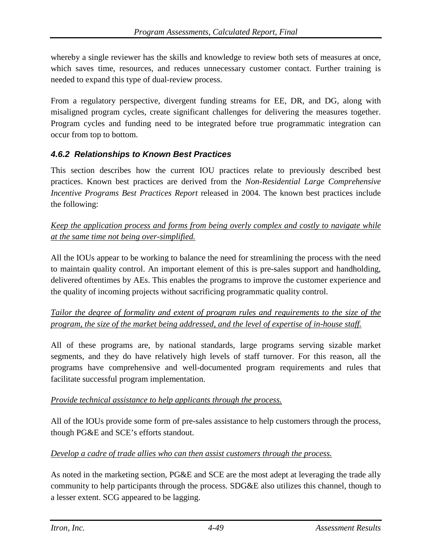whereby a single reviewer has the skills and knowledge to review both sets of measures at once, which saves time, resources, and reduces unnecessary customer contact. Further training is needed to expand this type of dual-review process.

From a regulatory perspective, divergent funding streams for EE, DR, and DG, along with misaligned program cycles, create significant challenges for delivering the measures together. Program cycles and funding need to be integrated before true programmatic integration can occur from top to bottom.

### *4.6.2 Relationships to Known Best Practices*

This section describes how the current IOU practices relate to previously described best practices. Known best practices are derived from the *Non-Residential Large Comprehensive Incentive Programs Best Practices Report* released in 2004. The known best practices include the following:

## *Keep the application process and forms from being overly complex and costly to navigate while at the same time not being over-simplified.*

All the IOUs appear to be working to balance the need for streamlining the process with the need to maintain quality control. An important element of this is pre-sales support and handholding, delivered oftentimes by AEs. This enables the programs to improve the customer experience and the quality of incoming projects without sacrificing programmatic quality control.

## *Tailor the degree of formality and extent of program rules and requirements to the size of the program, the size of the market being addressed, and the level of expertise of in-house staff.*

All of these programs are, by national standards, large programs serving sizable market segments, and they do have relatively high levels of staff turnover. For this reason, all the programs have comprehensive and well-documented program requirements and rules that facilitate successful program implementation.

### *Provide technical assistance to help applicants through the process.*

All of the IOUs provide some form of pre-sales assistance to help customers through the process, though PG&E and SCE's efforts standout.

### *Develop a cadre of trade allies who can then assist customers through the process.*

As noted in the marketing section, PG&E and SCE are the most adept at leveraging the trade ally community to help participants through the process. SDG&E also utilizes this channel, though to a lesser extent. SCG appeared to be lagging.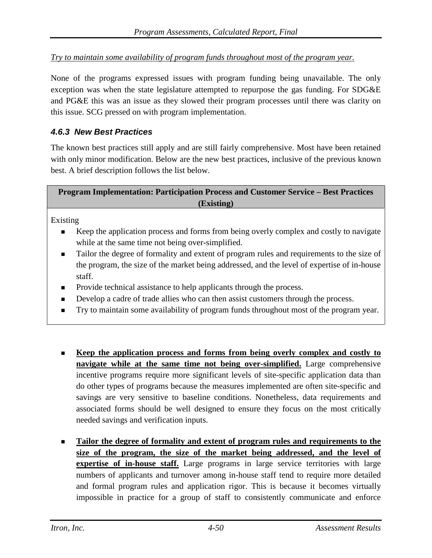*Try to maintain some availability of program funds throughout most of the program year.*

None of the programs expressed issues with program funding being unavailable. The only exception was when the state legislature attempted to repurpose the gas funding. For SDG&E and PG&E this was an issue as they slowed their program processes until there was clarity on this issue. SCG pressed on with program implementation.

## *4.6.3 New Best Practices*

The known best practices still apply and are still fairly comprehensive. Most have been retained with only minor modification. Below are the new best practices, inclusive of the previous known best. A brief description follows the list below.

| <b>Program Implementation: Participation Process and Customer Service – Best Practices</b> |
|--------------------------------------------------------------------------------------------|
| (Existing)                                                                                 |

Existing

- Keep the application process and forms from being overly complex and costly to navigate while at the same time not being over-simplified.
- Tailor the degree of formality and extent of program rules and requirements to the size of the program, the size of the market being addressed, and the level of expertise of in-house staff.
- Provide technical assistance to help applicants through the process.
- Develop a cadre of trade allies who can then assist customers through the process.
- Try to maintain some availability of program funds throughout most of the program year.
- **Keep the application process and forms from being overly complex and costly to navigate while at the same time not being over-simplified.** Large comprehensive incentive programs require more significant levels of site-specific application data than do other types of programs because the measures implemented are often site-specific and savings are very sensitive to baseline conditions. Nonetheless, data requirements and associated forms should be well designed to ensure they focus on the most critically needed savings and verification inputs.
- **Tailor the degree of formality and extent of program rules and requirements to the size of the program, the size of the market being addressed, and the level of expertise of in-house staff.** Large programs in large service territories with large numbers of applicants and turnover among in-house staff tend to require more detailed and formal program rules and application rigor. This is because it becomes virtually impossible in practice for a group of staff to consistently communicate and enforce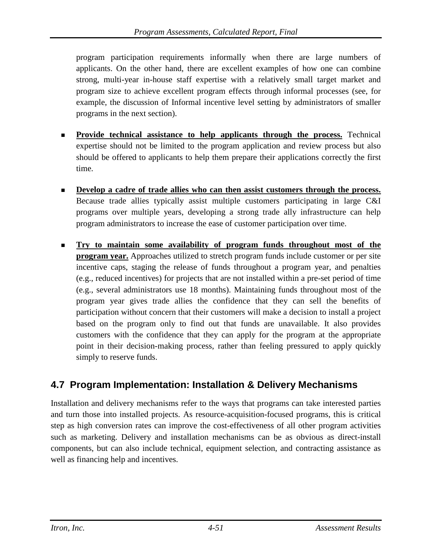program participation requirements informally when there are large numbers of applicants. On the other hand, there are excellent examples of how one can combine strong, multi-year in-house staff expertise with a relatively small target market and program size to achieve excellent program effects through informal processes (see, for example, the discussion of Informal incentive level setting by administrators of smaller programs in the next section).

- **Provide technical assistance to help applicants through the process.** Technical expertise should not be limited to the program application and review process but also should be offered to applicants to help them prepare their applications correctly the first time.
- **Develop a cadre of trade allies who can then assist customers through the process.** Because trade allies typically assist multiple customers participating in large C&I programs over multiple years, developing a strong trade ally infrastructure can help program administrators to increase the ease of customer participation over time.
- **Try to maintain some availability of program funds throughout most of the program year.** Approaches utilized to stretch program funds include customer or per site incentive caps, staging the release of funds throughout a program year, and penalties (e.g., reduced incentives) for projects that are not installed within a pre-set period of time (e.g., several administrators use 18 months). Maintaining funds throughout most of the program year gives trade allies the confidence that they can sell the benefits of participation without concern that their customers will make a decision to install a project based on the program only to find out that funds are unavailable. It also provides customers with the confidence that they can apply for the program at the appropriate point in their decision-making process, rather than feeling pressured to apply quickly simply to reserve funds.

# **4.7 Program Implementation: Installation & Delivery Mechanisms**

Installation and delivery mechanisms refer to the ways that programs can take interested parties and turn those into installed projects. As resource-acquisition-focused programs, this is critical step as high conversion rates can improve the cost-effectiveness of all other program activities such as marketing. Delivery and installation mechanisms can be as obvious as direct-install components, but can also include technical, equipment selection, and contracting assistance as well as financing help and incentives.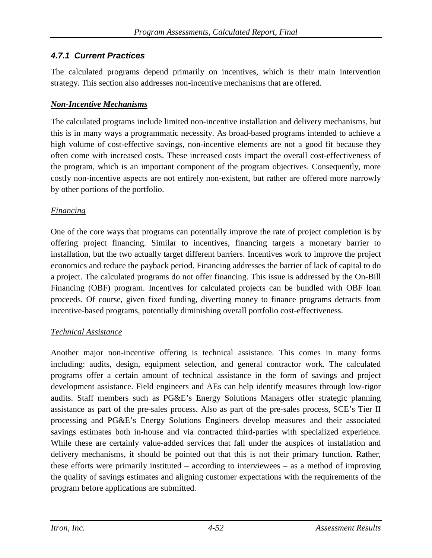## *4.7.1 Current Practices*

The calculated programs depend primarily on incentives, which is their main intervention strategy. This section also addresses non-incentive mechanisms that are offered.

## *Non-Incentive Mechanisms*

The calculated programs include limited non-incentive installation and delivery mechanisms, but this is in many ways a programmatic necessity. As broad-based programs intended to achieve a high volume of cost-effective savings, non-incentive elements are not a good fit because they often come with increased costs. These increased costs impact the overall cost-effectiveness of the program, which is an important component of the program objectives. Consequently, more costly non-incentive aspects are not entirely non-existent, but rather are offered more narrowly by other portions of the portfolio.

## *Financing*

One of the core ways that programs can potentially improve the rate of project completion is by offering project financing. Similar to incentives, financing targets a monetary barrier to installation, but the two actually target different barriers. Incentives work to improve the project economics and reduce the payback period. Financing addresses the barrier of lack of capital to do a project. The calculated programs do not offer financing. This issue is addressed by the On-Bill Financing (OBF) program. Incentives for calculated projects can be bundled with OBF loan proceeds. Of course, given fixed funding, diverting money to finance programs detracts from incentive-based programs, potentially diminishing overall portfolio cost-effectiveness.

### *Technical Assistance*

Another major non-incentive offering is technical assistance. This comes in many forms including: audits, design, equipment selection, and general contractor work. The calculated programs offer a certain amount of technical assistance in the form of savings and project development assistance. Field engineers and AEs can help identify measures through low-rigor audits. Staff members such as PG&E's Energy Solutions Managers offer strategic planning assistance as part of the pre-sales process. Also as part of the pre-sales process, SCE's Tier II processing and PG&E's Energy Solutions Engineers develop measures and their associated savings estimates both in-house and via contracted third-parties with specialized experience. While these are certainly value-added services that fall under the auspices of installation and delivery mechanisms, it should be pointed out that this is not their primary function. Rather, these efforts were primarily instituted – according to interviewees – as a method of improving the quality of savings estimates and aligning customer expectations with the requirements of the program before applications are submitted.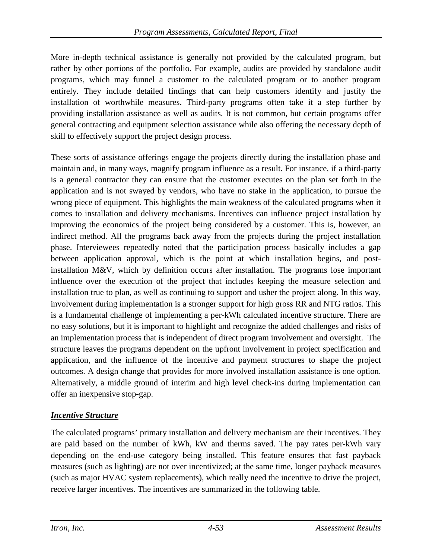More in-depth technical assistance is generally not provided by the calculated program, but rather by other portions of the portfolio. For example, audits are provided by standalone audit programs, which may funnel a customer to the calculated program or to another program entirely. They include detailed findings that can help customers identify and justify the installation of worthwhile measures. Third-party programs often take it a step further by providing installation assistance as well as audits. It is not common, but certain programs offer general contracting and equipment selection assistance while also offering the necessary depth of skill to effectively support the project design process.

These sorts of assistance offerings engage the projects directly during the installation phase and maintain and, in many ways, magnify program influence as a result. For instance, if a third-party is a general contractor they can ensure that the customer executes on the plan set forth in the application and is not swayed by vendors, who have no stake in the application, to pursue the wrong piece of equipment. This highlights the main weakness of the calculated programs when it comes to installation and delivery mechanisms. Incentives can influence project installation by improving the economics of the project being considered by a customer. This is, however, an indirect method. All the programs back away from the projects during the project installation phase. Interviewees repeatedly noted that the participation process basically includes a gap between application approval, which is the point at which installation begins, and postinstallation M&V, which by definition occurs after installation. The programs lose important influence over the execution of the project that includes keeping the measure selection and installation true to plan, as well as continuing to support and usher the project along. In this way, involvement during implementation is a stronger support for high gross RR and NTG ratios. This is a fundamental challenge of implementing a per-kWh calculated incentive structure. There are no easy solutions, but it is important to highlight and recognize the added challenges and risks of an implementation process that is independent of direct program involvement and oversight. The structure leaves the programs dependent on the upfront involvement in project specification and application, and the influence of the incentive and payment structures to shape the project outcomes. A design change that provides for more involved installation assistance is one option. Alternatively, a middle ground of interim and high level check-ins during implementation can offer an inexpensive stop-gap.

## *Incentive Structure*

The calculated programs' primary installation and delivery mechanism are their incentives. They are paid based on the number of kWh, kW and therms saved. The pay rates per-kWh vary depending on the end-use category being installed. This feature ensures that fast payback measures (such as lighting) are not over incentivized; at the same time, longer payback measures (such as major HVAC system replacements), which really need the incentive to drive the project, receive larger incentives. The incentives are summarized in the following table.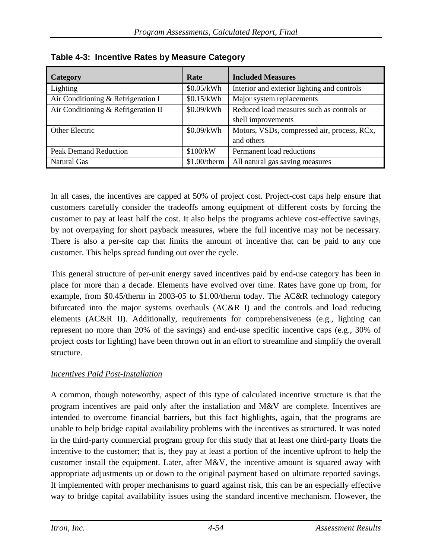| <b>Category</b>                     | Rate           | <b>Included Measures</b>                    |
|-------------------------------------|----------------|---------------------------------------------|
| Lighting                            | \$0.05/kWh     | Interior and exterior lighting and controls |
| Air Conditioning & Refrigeration I  | \$0.15/kWh     | Major system replacements                   |
| Air Conditioning & Refrigeration II | \$0.09/kWh     | Reduced load measures such as controls or   |
|                                     |                | shell improvements                          |
| Other Electric                      | \$0.09/kWh     | Motors, VSDs, compressed air, process, RCx, |
|                                     |                | and others                                  |
| <b>Peak Demand Reduction</b>        | \$100/kW       | Permanent load reductions                   |
| <b>Natural Gas</b>                  | $$1.00$ /therm | All natural gas saving measures             |

**Table 4-3: Incentive Rates by Measure Category**

In all cases, the incentives are capped at 50% of project cost. Project-cost caps help ensure that customers carefully consider the tradeoffs among equipment of different costs by forcing the customer to pay at least half the cost. It also helps the programs achieve cost-effective savings, by not overpaying for short payback measures, where the full incentive may not be necessary. There is also a per-site cap that limits the amount of incentive that can be paid to any one customer. This helps spread funding out over the cycle.

This general structure of per-unit energy saved incentives paid by end-use category has been in place for more than a decade. Elements have evolved over time. Rates have gone up from, for example, from \$0.45/therm in 2003-05 to \$1.00/therm today. The AC&R technology category bifurcated into the major systems overhauls (AC&R I) and the controls and load reducing elements (AC&R II). Additionally, requirements for comprehensiveness (e.g., lighting can represent no more than 20% of the savings) and end-use specific incentive caps (e.g., 30% of project costs for lighting) have been thrown out in an effort to streamline and simplify the overall structure.

### *Incentives Paid Post-Installation*

A common, though noteworthy, aspect of this type of calculated incentive structure is that the program incentives are paid only after the installation and M&V are complete. Incentives are intended to overcome financial barriers, but this fact highlights, again, that the programs are unable to help bridge capital availability problems with the incentives as structured. It was noted in the third-party commercial program group for this study that at least one third-party floats the incentive to the customer; that is, they pay at least a portion of the incentive upfront to help the customer install the equipment. Later, after M&V, the incentive amount is squared away with appropriate adjustments up or down to the original payment based on ultimate reported savings. If implemented with proper mechanisms to guard against risk, this can be an especially effective way to bridge capital availability issues using the standard incentive mechanism. However, the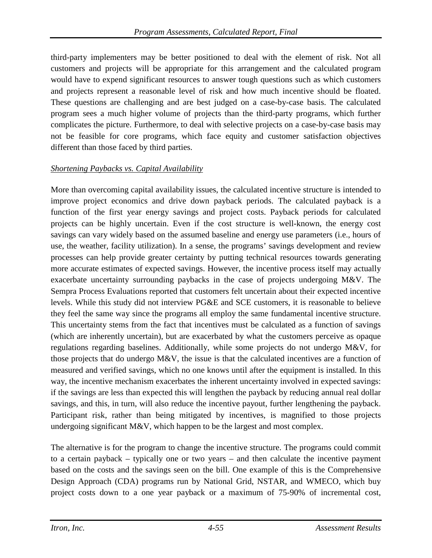third-party implementers may be better positioned to deal with the element of risk. Not all customers and projects will be appropriate for this arrangement and the calculated program would have to expend significant resources to answer tough questions such as which customers and projects represent a reasonable level of risk and how much incentive should be floated. These questions are challenging and are best judged on a case-by-case basis. The calculated program sees a much higher volume of projects than the third-party programs, which further complicates the picture. Furthermore, to deal with selective projects on a case-by-case basis may not be feasible for core programs, which face equity and customer satisfaction objectives different than those faced by third parties.

## *Shortening Paybacks vs. Capital Availability*

More than overcoming capital availability issues, the calculated incentive structure is intended to improve project economics and drive down payback periods. The calculated payback is a function of the first year energy savings and project costs. Payback periods for calculated projects can be highly uncertain. Even if the cost structure is well-known, the energy cost savings can vary widely based on the assumed baseline and energy use parameters (i.e., hours of use, the weather, facility utilization). In a sense, the programs' savings development and review processes can help provide greater certainty by putting technical resources towards generating more accurate estimates of expected savings. However, the incentive process itself may actually exacerbate uncertainty surrounding paybacks in the case of projects undergoing M&V. The Sempra Process Evaluations reported that customers felt uncertain about their expected incentive levels. While this study did not interview PG&E and SCE customers, it is reasonable to believe they feel the same way since the programs all employ the same fundamental incentive structure. This uncertainty stems from the fact that incentives must be calculated as a function of savings (which are inherently uncertain), but are exacerbated by what the customers perceive as opaque regulations regarding baselines. Additionally, while some projects do not undergo M&V, for those projects that do undergo M&V, the issue is that the calculated incentives are a function of measured and verified savings, which no one knows until after the equipment is installed. In this way, the incentive mechanism exacerbates the inherent uncertainty involved in expected savings: if the savings are less than expected this will lengthen the payback by reducing annual real dollar savings, and this, in turn, will also reduce the incentive payout, further lengthening the payback. Participant risk, rather than being mitigated by incentives, is magnified to those projects undergoing significant  $M&V$ , which happen to be the largest and most complex.

The alternative is for the program to change the incentive structure. The programs could commit to a certain payback – typically one or two years – and then calculate the incentive payment based on the costs and the savings seen on the bill. One example of this is the Comprehensive Design Approach (CDA) programs run by National Grid, NSTAR, and WMECO, which buy project costs down to a one year payback or a maximum of 75-90% of incremental cost,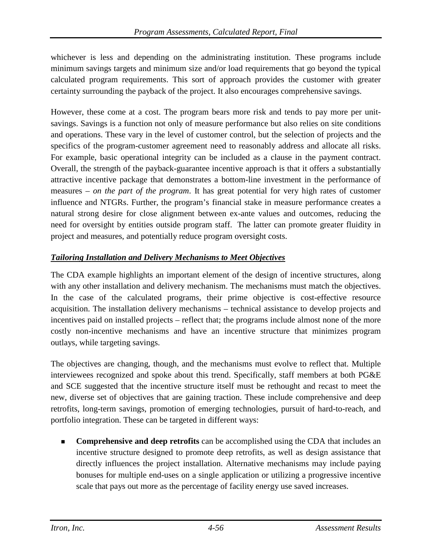whichever is less and depending on the administrating institution. These programs include minimum savings targets and minimum size and/or load requirements that go beyond the typical calculated program requirements. This sort of approach provides the customer with greater certainty surrounding the payback of the project. It also encourages comprehensive savings.

However, these come at a cost. The program bears more risk and tends to pay more per unitsavings. Savings is a function not only of measure performance but also relies on site conditions and operations. These vary in the level of customer control, but the selection of projects and the specifics of the program-customer agreement need to reasonably address and allocate all risks. For example, basic operational integrity can be included as a clause in the payment contract. Overall, the strength of the payback-guarantee incentive approach is that it offers a substantially attractive incentive package that demonstrates a bottom-line investment in the performance of measures – *on the part of the program*. It has great potential for very high rates of customer influence and NTGRs. Further, the program's financial stake in measure performance creates a natural strong desire for close alignment between ex-ante values and outcomes, reducing the need for oversight by entities outside program staff. The latter can promote greater fluidity in project and measures, and potentially reduce program oversight costs.

## *Tailoring Installation and Delivery Mechanisms to Meet Objectives*

The CDA example highlights an important element of the design of incentive structures, along with any other installation and delivery mechanism. The mechanisms must match the objectives. In the case of the calculated programs, their prime objective is cost-effective resource acquisition. The installation delivery mechanisms – technical assistance to develop projects and incentives paid on installed projects – reflect that; the programs include almost none of the more costly non-incentive mechanisms and have an incentive structure that minimizes program outlays, while targeting savings.

The objectives are changing, though, and the mechanisms must evolve to reflect that. Multiple interviewees recognized and spoke about this trend. Specifically, staff members at both PG&E and SCE suggested that the incentive structure itself must be rethought and recast to meet the new, diverse set of objectives that are gaining traction. These include comprehensive and deep retrofits, long-term savings, promotion of emerging technologies, pursuit of hard-to-reach, and portfolio integration. These can be targeted in different ways:

**Comprehensive and deep retrofits** can be accomplished using the CDA that includes an incentive structure designed to promote deep retrofits, as well as design assistance that directly influences the project installation. Alternative mechanisms may include paying bonuses for multiple end-uses on a single application or utilizing a progressive incentive scale that pays out more as the percentage of facility energy use saved increases.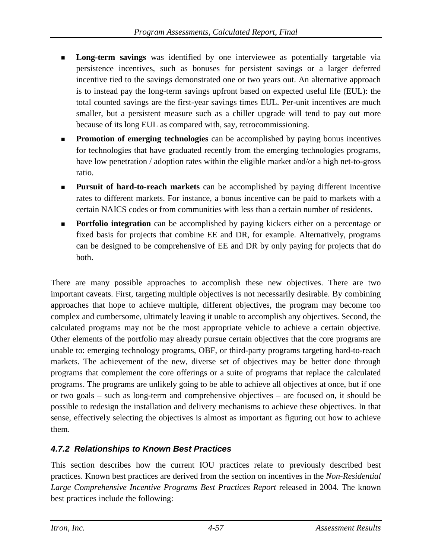- **Long-term savings** was identified by one interviewee as potentially targetable via persistence incentives, such as bonuses for persistent savings or a larger deferred incentive tied to the savings demonstrated one or two years out. An alternative approach is to instead pay the long-term savings upfront based on expected useful life (EUL): the total counted savings are the first-year savings times EUL. Per-unit incentives are much smaller, but a persistent measure such as a chiller upgrade will tend to pay out more because of its long EUL as compared with, say, retrocommissioning.
- **Promotion of emerging technologies** can be accomplished by paying bonus incentives for technologies that have graduated recently from the emerging technologies programs, have low penetration / adoption rates within the eligible market and/or a high net-to-gross ratio.
- **Pursuit of hard-to-reach markets** can be accomplished by paying different incentive rates to different markets. For instance, a bonus incentive can be paid to markets with a certain NAICS codes or from communities with less than a certain number of residents.
- **Portfolio integration** can be accomplished by paying kickers either on a percentage or fixed basis for projects that combine EE and DR, for example. Alternatively, programs can be designed to be comprehensive of EE and DR by only paying for projects that do both.

There are many possible approaches to accomplish these new objectives. There are two important caveats. First, targeting multiple objectives is not necessarily desirable. By combining approaches that hope to achieve multiple, different objectives, the program may become too complex and cumbersome, ultimately leaving it unable to accomplish any objectives. Second, the calculated programs may not be the most appropriate vehicle to achieve a certain objective. Other elements of the portfolio may already pursue certain objectives that the core programs are unable to: emerging technology programs, OBF, or third-party programs targeting hard-to-reach markets. The achievement of the new, diverse set of objectives may be better done through programs that complement the core offerings or a suite of programs that replace the calculated programs. The programs are unlikely going to be able to achieve all objectives at once, but if one or two goals – such as long-term and comprehensive objectives – are focused on, it should be possible to redesign the installation and delivery mechanisms to achieve these objectives. In that sense, effectively selecting the objectives is almost as important as figuring out how to achieve them.

## *4.7.2 Relationships to Known Best Practices*

This section describes how the current IOU practices relate to previously described best practices. Known best practices are derived from the section on incentives in the *Non-Residential Large Comprehensive Incentive Programs Best Practices Report* released in 2004. The known best practices include the following: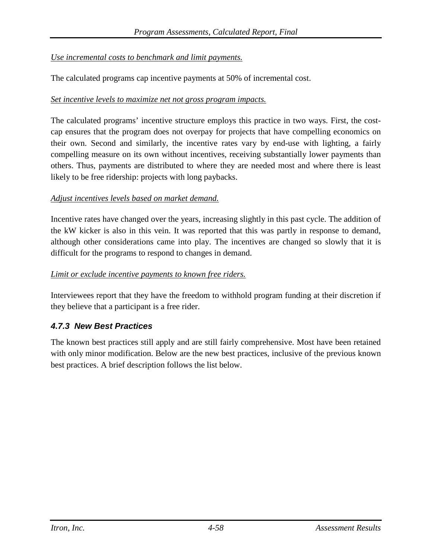### *Use incremental costs to benchmark and limit payments.*

The calculated programs cap incentive payments at 50% of incremental cost.

### *Set incentive levels to maximize net not gross program impacts.*

The calculated programs' incentive structure employs this practice in two ways. First, the costcap ensures that the program does not overpay for projects that have compelling economics on their own. Second and similarly, the incentive rates vary by end-use with lighting, a fairly compelling measure on its own without incentives, receiving substantially lower payments than others. Thus, payments are distributed to where they are needed most and where there is least likely to be free ridership: projects with long paybacks.

### *Adjust incentives levels based on market demand.*

Incentive rates have changed over the years, increasing slightly in this past cycle. The addition of the kW kicker is also in this vein. It was reported that this was partly in response to demand, although other considerations came into play. The incentives are changed so slowly that it is difficult for the programs to respond to changes in demand.

### *Limit or exclude incentive payments to known free riders.*

Interviewees report that they have the freedom to withhold program funding at their discretion if they believe that a participant is a free rider.

### *4.7.3 New Best Practices*

The known best practices still apply and are still fairly comprehensive. Most have been retained with only minor modification. Below are the new best practices, inclusive of the previous known best practices. A brief description follows the list below.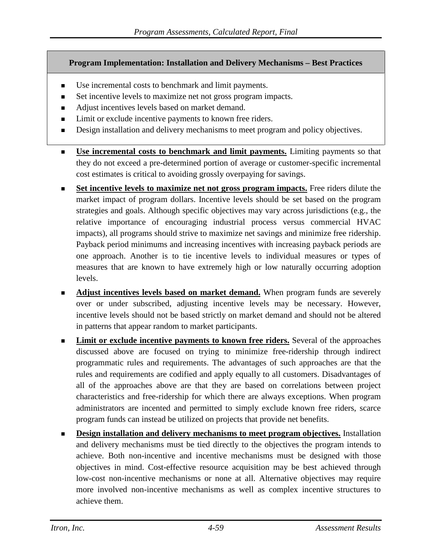### **Program Implementation: Installation and Delivery Mechanisms – Best Practices**

- Use incremental costs to benchmark and limit payments.
- Set incentive levels to maximize net not gross program impacts.
- Adjust incentives levels based on market demand.
- Limit or exclude incentive payments to known free riders.
- Design installation and delivery mechanisms to meet program and policy objectives.
- **Use incremental costs to benchmark and limit payments.** Limiting payments so that they do not exceed a pre-determined portion of average or customer-specific incremental cost estimates is critical to avoiding grossly overpaying for savings.
- **Set incentive levels to maximize net not gross program impacts.** Free riders dilute the market impact of program dollars. Incentive levels should be set based on the program strategies and goals. Although specific objectives may vary across jurisdictions (e.g., the relative importance of encouraging industrial process versus commercial HVAC impacts), all programs should strive to maximize net savings and minimize free ridership. Payback period minimums and increasing incentives with increasing payback periods are one approach. Another is to tie incentive levels to individual measures or types of measures that are known to have extremely high or low naturally occurring adoption levels.
- **Adjust incentives levels based on market demand.** When program funds are severely over or under subscribed, adjusting incentive levels may be necessary. However, incentive levels should not be based strictly on market demand and should not be altered in patterns that appear random to market participants.
- **Limit or exclude incentive payments to known free riders.** Several of the approaches discussed above are focused on trying to minimize free-ridership through indirect programmatic rules and requirements. The advantages of such approaches are that the rules and requirements are codified and apply equally to all customers. Disadvantages of all of the approaches above are that they are based on correlations between project characteristics and free-ridership for which there are always exceptions. When program administrators are incented and permitted to simply exclude known free riders, scarce program funds can instead be utilized on projects that provide net benefits.
- **Design installation and delivery mechanisms to meet program objectives.** Installation and delivery mechanisms must be tied directly to the objectives the program intends to achieve. Both non-incentive and incentive mechanisms must be designed with those objectives in mind. Cost-effective resource acquisition may be best achieved through low-cost non-incentive mechanisms or none at all. Alternative objectives may require more involved non-incentive mechanisms as well as complex incentive structures to achieve them.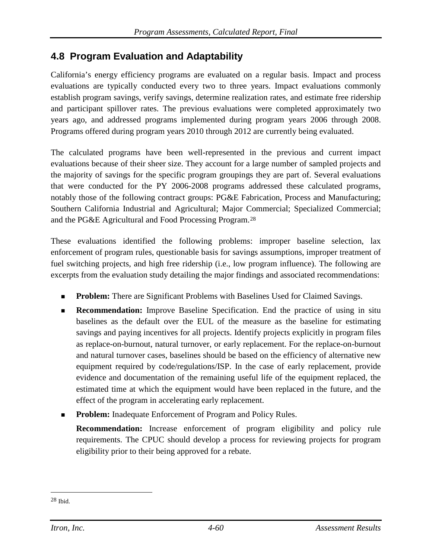## **4.8 Program Evaluation and Adaptability**

California's energy efficiency programs are evaluated on a regular basis. Impact and process evaluations are typically conducted every two to three years. Impact evaluations commonly establish program savings, verify savings, determine realization rates, and estimate free ridership and participant spillover rates. The previous evaluations were completed approximately two years ago, and addressed programs implemented during program years 2006 through 2008. Programs offered during program years 2010 through 2012 are currently being evaluated.

The calculated programs have been well-represented in the previous and current impact evaluations because of their sheer size. They account for a large number of sampled projects and the majority of savings for the specific program groupings they are part of. Several evaluations that were conducted for the PY 2006-2008 programs addressed these calculated programs, notably those of the following contract groups: PG&E Fabrication, Process and Manufacturing; Southern California Industrial and Agricultural; Major Commercial; Specialized Commercial; and the PG&E Agricultural and Food Processing Program.[28](#page-122-0)

These evaluations identified the following problems: improper baseline selection, lax enforcement of program rules, questionable basis for savings assumptions, improper treatment of fuel switching projects, and high free ridership (i.e., low program influence). The following are excerpts from the evaluation study detailing the major findings and associated recommendations:

- **Problem:** There are Significant Problems with Baselines Used for Claimed Savings.
- **Recommendation:** Improve Baseline Specification. End the practice of using in situ baselines as the default over the EUL of the measure as the baseline for estimating savings and paying incentives for all projects. Identify projects explicitly in program files as replace-on-burnout, natural turnover, or early replacement. For the replace-on-burnout and natural turnover cases, baselines should be based on the efficiency of alternative new equipment required by code/regulations/ISP. In the case of early replacement, provide evidence and documentation of the remaining useful life of the equipment replaced, the estimated time at which the equipment would have been replaced in the future, and the effect of the program in accelerating early replacement.
- **Problem:** Inadequate Enforcement of Program and Policy Rules.

**Recommendation:** Increase enforcement of program eligibility and policy rule requirements. The CPUC should develop a process for reviewing projects for program eligibility prior to their being approved for a rebate.

<span id="page-122-0"></span> <sup>28</sup> Ibid.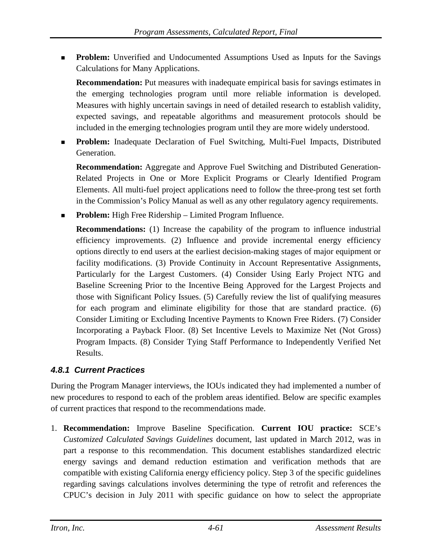**Problem:** Unverified and Undocumented Assumptions Used as Inputs for the Savings Calculations for Many Applications.

**Recommendation:** Put measures with inadequate empirical basis for savings estimates in the emerging technologies program until more reliable information is developed. Measures with highly uncertain savings in need of detailed research to establish validity, expected savings, and repeatable algorithms and measurement protocols should be included in the emerging technologies program until they are more widely understood.

 **Problem:** Inadequate Declaration of Fuel Switching, Multi-Fuel Impacts, Distributed Generation.

**Recommendation:** Aggregate and Approve Fuel Switching and Distributed Generation-Related Projects in One or More Explicit Programs or Clearly Identified Program Elements. All multi-fuel project applications need to follow the three-prong test set forth in the Commission's Policy Manual as well as any other regulatory agency requirements.

**Problem:** High Free Ridership – Limited Program Influence.

**Recommendations:** (1) Increase the capability of the program to influence industrial efficiency improvements. (2) Influence and provide incremental energy efficiency options directly to end users at the earliest decision-making stages of major equipment or facility modifications. (3) Provide Continuity in Account Representative Assignments, Particularly for the Largest Customers. (4) Consider Using Early Project NTG and Baseline Screening Prior to the Incentive Being Approved for the Largest Projects and those with Significant Policy Issues. (5) Carefully review the list of qualifying measures for each program and eliminate eligibility for those that are standard practice. (6) Consider Limiting or Excluding Incentive Payments to Known Free Riders. (7) Consider Incorporating a Payback Floor. (8) Set Incentive Levels to Maximize Net (Not Gross) Program Impacts. (8) Consider Tying Staff Performance to Independently Verified Net Results.

## *4.8.1 Current Practices*

During the Program Manager interviews, the IOUs indicated they had implemented a number of new procedures to respond to each of the problem areas identified. Below are specific examples of current practices that respond to the recommendations made.

1. **Recommendation:** Improve Baseline Specification. **Current IOU practice:** SCE's *Customized Calculated Savings Guidelines* document, last updated in March 2012, was in part a response to this recommendation. This document establishes standardized electric energy savings and demand reduction estimation and verification methods that are compatible with existing California energy efficiency policy. Step 3 of the specific guidelines regarding savings calculations involves determining the type of retrofit and references the CPUC's decision in July 2011 with specific guidance on how to select the appropriate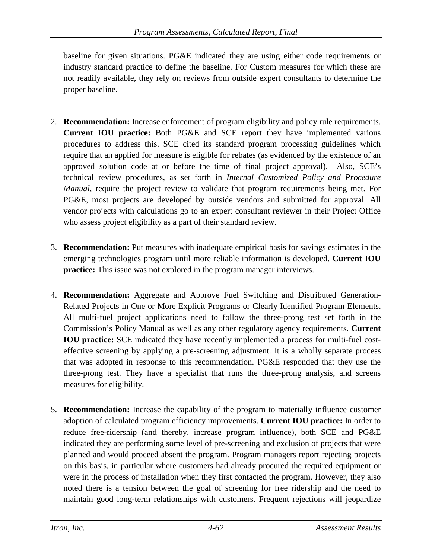baseline for given situations. PG&E indicated they are using either code requirements or industry standard practice to define the baseline. For Custom measures for which these are not readily available, they rely on reviews from outside expert consultants to determine the proper baseline.

- 2. **Recommendation:** Increase enforcement of program eligibility and policy rule requirements. **Current IOU practice:** Both PG&E and SCE report they have implemented various procedures to address this. SCE cited its standard program processing guidelines which require that an applied for measure is eligible for rebates (as evidenced by the existence of an approved solution code at or before the time of final project approval). Also, SCE's technical review procedures, as set forth in *Internal Customized Policy and Procedure Manual*, require the project review to validate that program requirements being met. For PG&E, most projects are developed by outside vendors and submitted for approval. All vendor projects with calculations go to an expert consultant reviewer in their Project Office who assess project eligibility as a part of their standard review.
- 3. **Recommendation:** Put measures with inadequate empirical basis for savings estimates in the emerging technologies program until more reliable information is developed. **Current IOU practice:** This issue was not explored in the program manager interviews.
- 4. **Recommendation:** Aggregate and Approve Fuel Switching and Distributed Generation-Related Projects in One or More Explicit Programs or Clearly Identified Program Elements. All multi-fuel project applications need to follow the three-prong test set forth in the Commission's Policy Manual as well as any other regulatory agency requirements. **Current IOU practice:** SCE indicated they have recently implemented a process for multi-fuel costeffective screening by applying a pre-screening adjustment. It is a wholly separate process that was adopted in response to this recommendation. PG&E responded that they use the three-prong test. They have a specialist that runs the three-prong analysis, and screens measures for eligibility.
- 5. **Recommendation:** Increase the capability of the program to materially influence customer adoption of calculated program efficiency improvements. **Current IOU practice:** In order to reduce free-ridership (and thereby, increase program influence), both SCE and PG&E indicated they are performing some level of pre-screening and exclusion of projects that were planned and would proceed absent the program. Program managers report rejecting projects on this basis, in particular where customers had already procured the required equipment or were in the process of installation when they first contacted the program. However, they also noted there is a tension between the goal of screening for free ridership and the need to maintain good long-term relationships with customers. Frequent rejections will jeopardize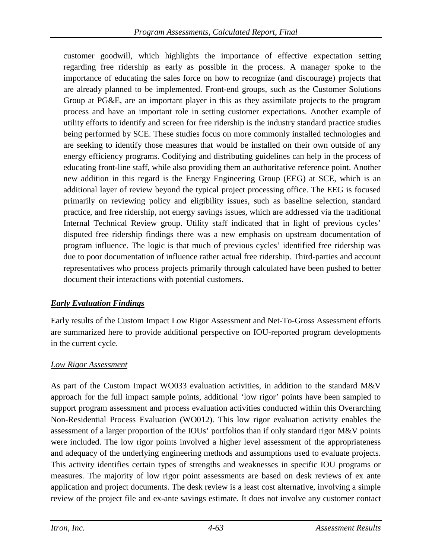customer goodwill, which highlights the importance of effective expectation setting regarding free ridership as early as possible in the process. A manager spoke to the importance of educating the sales force on how to recognize (and discourage) projects that are already planned to be implemented. Front-end groups, such as the Customer Solutions Group at PG&E, are an important player in this as they assimilate projects to the program process and have an important role in setting customer expectations. Another example of utility efforts to identify and screen for free ridership is the industry standard practice studies being performed by SCE. These studies focus on more commonly installed technologies and are seeking to identify those measures that would be installed on their own outside of any energy efficiency programs. Codifying and distributing guidelines can help in the process of educating front-line staff, while also providing them an authoritative reference point. Another new addition in this regard is the Energy Engineering Group (EEG) at SCE, which is an additional layer of review beyond the typical project processing office. The EEG is focused primarily on reviewing policy and eligibility issues, such as baseline selection, standard practice, and free ridership, not energy savings issues, which are addressed via the traditional Internal Technical Review group. Utility staff indicated that in light of previous cycles' disputed free ridership findings there was a new emphasis on upstream documentation of program influence. The logic is that much of previous cycles' identified free ridership was due to poor documentation of influence rather actual free ridership. Third-parties and account representatives who process projects primarily through calculated have been pushed to better document their interactions with potential customers.

## *Early Evaluation Findings*

Early results of the Custom Impact Low Rigor Assessment and Net-To-Gross Assessment efforts are summarized here to provide additional perspective on IOU-reported program developments in the current cycle.

## *Low Rigor Assessment*

As part of the Custom Impact WO033 evaluation activities, in addition to the standard M&V approach for the full impact sample points, additional 'low rigor' points have been sampled to support program assessment and process evaluation activities conducted within this Overarching Non-Residential Process Evaluation (WO012). This low rigor evaluation activity enables the assessment of a larger proportion of the IOUs' portfolios than if only standard rigor M&V points were included. The low rigor points involved a higher level assessment of the appropriateness and adequacy of the underlying engineering methods and assumptions used to evaluate projects. This activity identifies certain types of strengths and weaknesses in specific IOU programs or measures. The majority of low rigor point assessments are based on desk reviews of ex ante application and project documents. The desk review is a least cost alternative, involving a simple review of the project file and ex-ante savings estimate. It does not involve any customer contact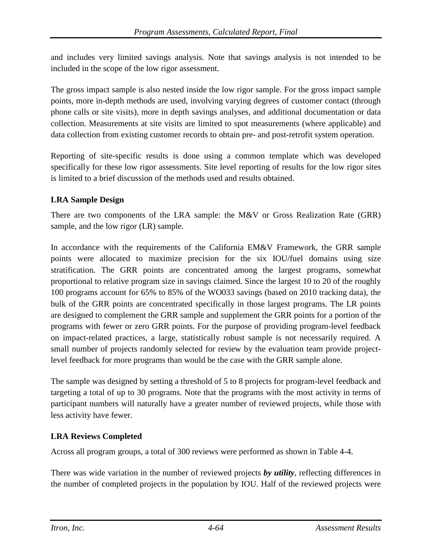and includes very limited savings analysis. Note that savings analysis is not intended to be included in the scope of the low rigor assessment.

The gross impact sample is also nested inside the low rigor sample. For the gross impact sample points, more in-depth methods are used, involving varying degrees of customer contact (through phone calls or site visits), more in depth savings analyses, and additional documentation or data collection. Measurements at site visits are limited to spot measurements (where applicable) and data collection from existing customer records to obtain pre- and post-retrofit system operation.

Reporting of site-specific results is done using a common template which was developed specifically for these low rigor assessments. Site level reporting of results for the low rigor sites is limited to a brief discussion of the methods used and results obtained.

## **LRA Sample Design**

There are two components of the LRA sample: the M&V or Gross Realization Rate (GRR) sample, and the low rigor (LR) sample.

In accordance with the requirements of the California EM&V Framework, the GRR sample points were allocated to maximize precision for the six IOU/fuel domains using size stratification. The GRR points are concentrated among the largest programs, somewhat proportional to relative program size in savings claimed. Since the largest 10 to 20 of the roughly 100 programs account for 65% to 85% of the WO033 savings (based on 2010 tracking data), the bulk of the GRR points are concentrated specifically in those largest programs. The LR points are designed to complement the GRR sample and supplement the GRR points for a portion of the programs with fewer or zero GRR points. For the purpose of providing program-level feedback on impact-related practices, a large, statistically robust sample is not necessarily required. A small number of projects randomly selected for review by the evaluation team provide projectlevel feedback for more programs than would be the case with the GRR sample alone.

The sample was designed by setting a threshold of 5 to 8 projects for program-level feedback and targeting a total of up to 30 programs. Note that the programs with the most activity in terms of participant numbers will naturally have a greater number of reviewed projects, while those with less activity have fewer.

## **LRA Reviews Completed**

Across all program groups, a total of 300 reviews were performed as shown in [Table 4-4.](#page-127-0)

There was wide variation in the number of reviewed projects *by utility*, reflecting differences in the number of completed projects in the population by IOU. Half of the reviewed projects were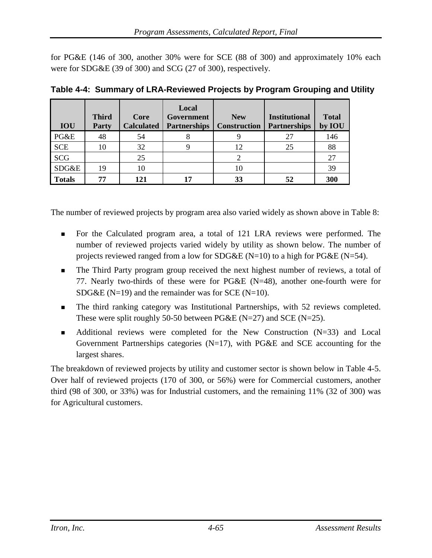for PG&E (146 of 300, another 30% were for SCE (88 of 300) and approximately 10% each were for SDG&E (39 of 300) and SCG (27 of 300), respectively.

|               | <b>Third</b> | Core              | Local<br>Government | <b>New</b>          | <b>Institutional</b> | <b>Total</b> |
|---------------|--------------|-------------------|---------------------|---------------------|----------------------|--------------|
| <b>IOU</b>    | Party        | <b>Calculated</b> | <b>Partnerships</b> | <b>Construction</b> | <b>Partnerships</b>  | by IOU       |
| PG&E          | 48           | 54                | 8                   |                     | 27                   | 146          |
| <b>SCE</b>    | 10           | 32                |                     | 12                  | 25                   | 88           |
| <b>SCG</b>    |              | 25                |                     |                     |                      | 27           |
| SDG&E         | 19           | 10                |                     |                     |                      | 39           |
| <b>Totals</b> | 77           | 121               | 17                  | 33                  | 52                   | 300          |

<span id="page-127-0"></span>

|  |  |  |  |  | Table 4-4: Summary of LRA-Reviewed Projects by Program Grouping and Utility |  |
|--|--|--|--|--|-----------------------------------------------------------------------------|--|
|--|--|--|--|--|-----------------------------------------------------------------------------|--|

The number of reviewed projects by program area also varied widely as shown above in Table 8:

- For the Calculated program area, a total of 121 LRA reviews were performed. The number of reviewed projects varied widely by utility as shown below. The number of projects reviewed ranged from a low for SDG&E (N=10) to a high for PG&E (N=54).
- The Third Party program group received the next highest number of reviews, a total of 77. Nearly two-thirds of these were for PG&E (N=48), another one-fourth were for SDG&E ( $N=19$ ) and the remainder was for SCE ( $N=10$ ).
- The third ranking category was Institutional Partnerships, with 52 reviews completed. These were split roughly 50-50 between PG&E (N=27) and SCE (N=25).
- Additional reviews were completed for the New Construction (N=33) and Local Government Partnerships categories  $(N=17)$ , with PG&E and SCE accounting for the largest shares.

The breakdown of reviewed projects by utility and customer sector is shown below in [Table 4-5.](#page-128-0) Over half of reviewed projects (170 of 300, or 56%) were for Commercial customers, another third (98 of 300, or 33%) was for Industrial customers, and the remaining 11% (32 of 300) was for Agricultural customers.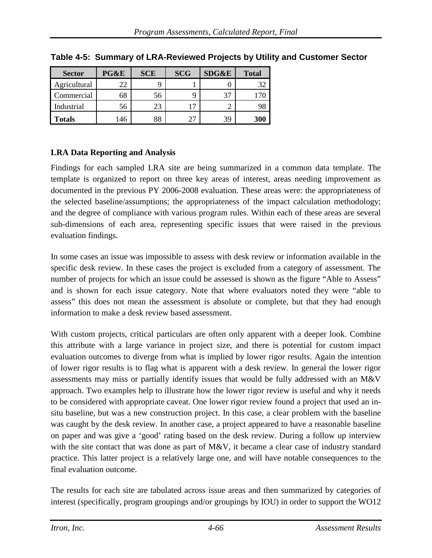| <b>Sector</b> | PG&E | <b>SCE</b> | <b>SCG</b> | <b>SDG&amp;E</b> | <b>Total</b> |
|---------------|------|------------|------------|------------------|--------------|
| Agricultural  | 22   |            |            |                  |              |
| Commercial    | 68   | 56         |            | 37               |              |
| Industrial    | 56   | 23         |            |                  |              |
| <b>Totals</b> | .46  | 88         | 27         | 39               | 300          |

<span id="page-128-0"></span>**Table 4-5: Summary of LRA-Reviewed Projects by Utility and Customer Sector**

## **LRA Data Reporting and Analysis**

Findings for each sampled LRA site are being summarized in a common data template. The template is organized to report on three key areas of interest, areas needing improvement as documented in the previous PY 2006-2008 evaluation. These areas were: the appropriateness of the selected baseline/assumptions; the appropriateness of the impact calculation methodology; and the degree of compliance with various program rules. Within each of these areas are several sub-dimensions of each area, representing specific issues that were raised in the previous evaluation findings.

In some cases an issue was impossible to assess with desk review or information available in the specific desk review. In these cases the project is excluded from a category of assessment. The number of projects for which an issue could be assessed is shown as the figure "Able to Assess" and is shown for each issue category. Note that where evaluators noted they were "able to assess" this does not mean the assessment is absolute or complete, but that they had enough information to make a desk review based assessment.

With custom projects, critical particulars are often only apparent with a deeper look. Combine this attribute with a large variance in project size, and there is potential for custom impact evaluation outcomes to diverge from what is implied by lower rigor results. Again the intention of lower rigor results is to flag what is apparent with a desk review. In general the lower rigor assessments may miss or partially identify issues that would be fully addressed with an M&V approach. Two examples help to illustrate how the lower rigor review is useful and why it needs to be considered with appropriate caveat. One lower rigor review found a project that used an insitu baseline, but was a new construction project. In this case, a clear problem with the baseline was caught by the desk review. In another case, a project appeared to have a reasonable baseline on paper and was give a 'good' rating based on the desk review. During a follow up interview with the site contact that was done as part of M&V, it became a clear case of industry standard practice. This latter project is a relatively large one, and will have notable consequences to the final evaluation outcome.

The results for each site are tabulated across issue areas and then summarized by categories of interest (specifically, program groupings and/or groupings by IOU) in order to support the WO12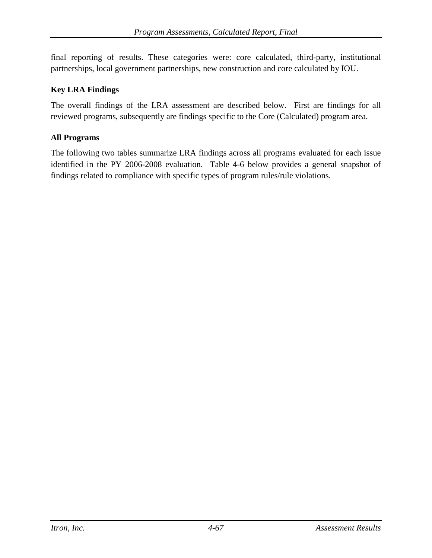final reporting of results. These categories were: core calculated, third-party, institutional partnerships, local government partnerships, new construction and core calculated by IOU.

### **Key LRA Findings**

The overall findings of the LRA assessment are described below. First are findings for all reviewed programs, subsequently are findings specific to the Core (Calculated) program area.

### **All Programs**

The following two tables summarize LRA findings across all programs evaluated for each issue identified in the PY 2006-2008 evaluation. [Table 4-6](#page-130-0) below provides a general snapshot of findings related to compliance with specific types of program rules/rule violations.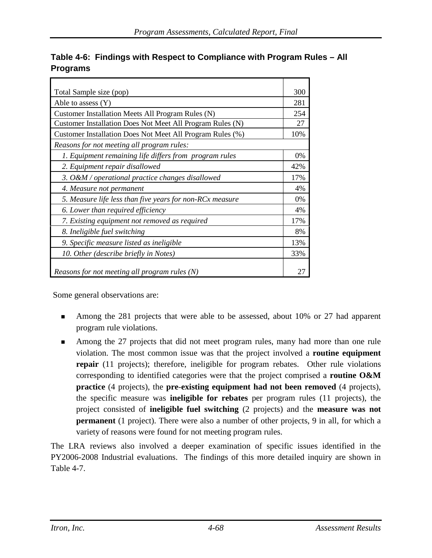| Total Sample size (pop)                                   | 300 |
|-----------------------------------------------------------|-----|
| Able to assess (Y)                                        | 281 |
| Customer Installation Meets All Program Rules (N)         | 254 |
| Customer Installation Does Not Meet All Program Rules (N) | 27  |
| Customer Installation Does Not Meet All Program Rules (%) | 10% |
| Reasons for not meeting all program rules:                |     |
| 1. Equipment remaining life differs from program rules    | 0%  |
| 2. Equipment repair disallowed                            | 42% |
| 3. O&M / operational practice changes disallowed          | 17% |
| 4. Measure not permanent                                  | 4%  |
| 5. Measure life less than five years for non-RCx measure  | 0%  |
| 6. Lower than required efficiency                         | 4%  |
| 7. Existing equipment not removed as required             | 17% |
| 8. Ineligible fuel switching                              | 8%  |
| 9. Specific measure listed as ineligible                  | 13% |
| 10. Other (describe briefly in Notes)                     | 33% |
| Reasons for not meeting all program rules (N)             |     |

## <span id="page-130-0"></span>**Table 4-6: Findings with Respect to Compliance with Program Rules – All Programs**

Some general observations are:

- Among the 281 projects that were able to be assessed, about 10% or 27 had apparent program rule violations.
- Among the 27 projects that did not meet program rules, many had more than one rule violation. The most common issue was that the project involved a **routine equipment repair** (11 projects); therefore, ineligible for program rebates. Other rule violations corresponding to identified categories were that the project comprised a **routine O&M practice** (4 projects), the **pre**-**existing equipment had not been removed** (4 projects), the specific measure was **ineligible for rebates** per program rules (11 projects), the project consisted of **ineligible fuel switching** (2 projects) and the **measure was not permanent** (1 project). There were also a number of other projects, 9 in all, for which a variety of reasons were found for not meeting program rules.

The LRA reviews also involved a deeper examination of specific issues identified in the PY2006-2008 Industrial evaluations. The findings of this more detailed inquiry are shown in [Table 4-7.](#page-131-0)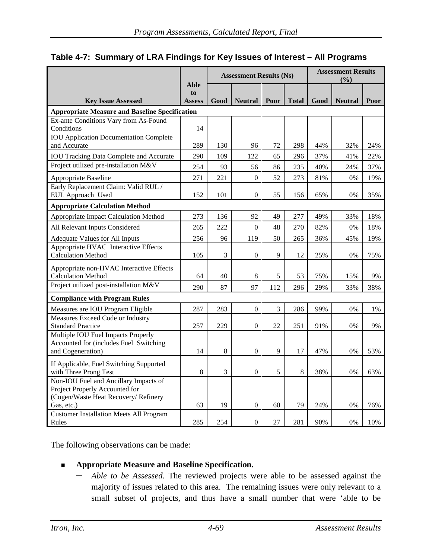<span id="page-131-0"></span>

|  |  |  |  |  |  | Table 4-7: Summary of LRA Findings for Key Issues of Interest - All Programs |
|--|--|--|--|--|--|------------------------------------------------------------------------------|
|--|--|--|--|--|--|------------------------------------------------------------------------------|

|                                                                       |                                    | <b>Assessment Results (Ns)</b> |                  |      |              | <b>Assessment Results</b><br>(%) |                |      |  |
|-----------------------------------------------------------------------|------------------------------------|--------------------------------|------------------|------|--------------|----------------------------------|----------------|------|--|
| <b>Key Issue Assessed</b>                                             | <b>Able</b><br>to<br><b>Assess</b> | Good                           | <b>Neutral</b>   | Poor | <b>Total</b> | Good                             | <b>Neutral</b> | Poor |  |
| <b>Appropriate Measure and Baseline Specification</b>                 |                                    |                                |                  |      |              |                                  |                |      |  |
| Ex-ante Conditions Vary from As-Found<br>Conditions                   | 14                                 |                                |                  |      |              |                                  |                |      |  |
| <b>IOU Application Documentation Complete</b><br>and Accurate         | 289                                | 130                            | 96               | 72   | 298          | 44%                              | 32%            | 24%  |  |
| <b>IOU Tracking Data Complete and Accurate</b>                        | 290                                | 109                            | 122              | 65   | 296          | 37%                              | 41%            | 22%  |  |
| Project utilized pre-installation M&V                                 | 254                                | 93                             | 56               | 86   | 235          | 40%                              | 24%            | 37%  |  |
| Appropriate Baseline                                                  | 271                                | 221                            | $\boldsymbol{0}$ | 52   | 273          | 81%                              | 0%             | 19%  |  |
| Early Replacement Claim: Valid RUL /<br>EUL Approach Used             | 152                                | 101                            | $\boldsymbol{0}$ | 55   | 156          | 65%                              | 0%             | 35%  |  |
| <b>Appropriate Calculation Method</b>                                 |                                    |                                |                  |      |              |                                  |                |      |  |
| Appropriate Impact Calculation Method                                 | 273                                | 136                            | 92               | 49   | 277          | 49%                              | 33%            | 18%  |  |
| All Relevant Inputs Considered                                        | 265                                | 222                            | $\boldsymbol{0}$ | 48   | 270          | 82%                              | 0%             | 18%  |  |
| Adequate Values for All Inputs                                        | 256                                | 96                             | 119              | 50   | 265          | 36%                              | 45%            | 19%  |  |
| Appropriate HVAC Interactive Effects<br><b>Calculation Method</b>     | 105                                | 3                              | $\boldsymbol{0}$ | 9    | 12           | 25%                              | 0%             | 75%  |  |
| Appropriate non-HVAC Interactive Effects<br><b>Calculation Method</b> | 64                                 | 40                             | 8                | 5    | 53           | 75%                              | 15%            | 9%   |  |
| Project utilized post-installation M&V                                | 290                                | 87                             | 97               | 112  | 296          | 29%                              | 33%            | 38%  |  |
| <b>Compliance with Program Rules</b>                                  |                                    |                                |                  |      |              |                                  |                |      |  |
| Measures are IOU Program Eligible                                     | 287                                | 283                            | $\boldsymbol{0}$ | 3    | 286          | 99%                              | 0%             | 1%   |  |
| Measures Exceed Code or Industry                                      |                                    |                                |                  |      |              |                                  |                |      |  |
| <b>Standard Practice</b>                                              | 257                                | 229                            | $\boldsymbol{0}$ | 22   | 251          | 91%                              | 0%             | 9%   |  |
| Multiple IOU Fuel Impacts Properly                                    |                                    |                                |                  |      |              |                                  |                |      |  |
| Accounted for (includes Fuel Switching<br>and Cogeneration)           | 14                                 | 8                              | $\mathbf{0}$     | 9    | 17           | 47%                              | 0%             | 53%  |  |
|                                                                       |                                    |                                |                  |      |              |                                  |                |      |  |
| If Applicable, Fuel Switching Supported<br>with Three Prong Test      | 8                                  | 3                              | $\overline{0}$   | 5    | 8            | 38%                              | 0%             | 63%  |  |
| Non-IOU Fuel and Ancillary Impacts of                                 |                                    |                                |                  |      |              |                                  |                |      |  |
| Project Properly Accounted for                                        |                                    |                                |                  |      |              |                                  |                |      |  |
| (Cogen/Waste Heat Recovery/ Refinery                                  | 63                                 | 19                             | $\overline{0}$   | 60   | 79           | 24%                              | 0%             | 76%  |  |
| Gas, etc.)<br><b>Customer Installation Meets All Program</b>          |                                    |                                |                  |      |              |                                  |                |      |  |
| Rules                                                                 | 285                                | 254                            | $\mathbf{0}$     | 27   | 281          | 90%                              | 0%             | 10%  |  |

The following observations can be made:

### **Appropriate Measure and Baseline Specification.**

**─** *Able to be Assessed.* The reviewed projects were able to be assessed against the majority of issues related to this area. The remaining issues were only relevant to a small subset of projects, and thus have a small number that were 'able to be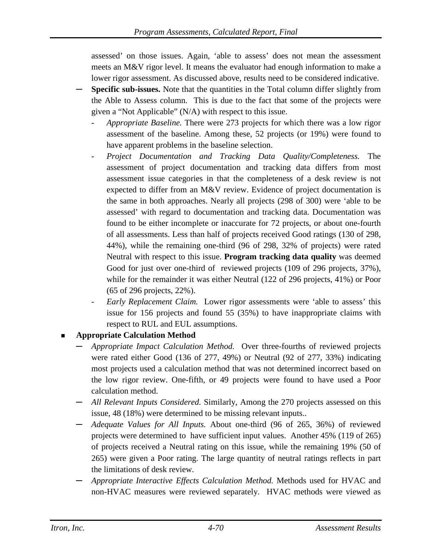assessed' on those issues. Again, 'able to assess' does not mean the assessment meets an M&V rigor level. It means the evaluator had enough information to make a lower rigor assessment. As discussed above, results need to be considered indicative.

- **Specific sub-issues.** Note that the quantities in the Total column differ slightly from the Able to Assess column. This is due to the fact that some of the projects were given a "Not Applicable" (N/A) with respect to this issue.
	- *Appropriate Baseline.* There were 273 projects for which there was a low rigor assessment of the baseline. Among these, 52 projects (or 19%) were found to have apparent problems in the baseline selection.
	- *Project Documentation and Tracking Data Quality/Completeness.* The assessment of project documentation and tracking data differs from most assessment issue categories in that the completeness of a desk review is not expected to differ from an M&V review. Evidence of project documentation is the same in both approaches. Nearly all projects (298 of 300) were 'able to be assessed' with regard to documentation and tracking data. Documentation was found to be either incomplete or inaccurate for 72 projects, or about one-fourth of all assessments. Less than half of projects received Good ratings (130 of 298, 44%), while the remaining one-third (96 of 298, 32% of projects) were rated Neutral with respect to this issue. **Program tracking data quality** was deemed Good for just over one-third of reviewed projects (109 of 296 projects, 37%), while for the remainder it was either Neutral (122 of 296 projects, 41%) or Poor (65 of 296 projects, 22%).
	- *Early Replacement Claim.* Lower rigor assessments were 'able to assess' this issue for 156 projects and found 55 (35%) to have inappropriate claims with respect to RUL and EUL assumptions.

## **Appropriate Calculation Method**

- **─** *Appropriate Impact Calculation Method.* Over three-fourths of reviewed projects were rated either Good (136 of 277, 49%) or Neutral (92 of 277, 33%) indicating most projects used a calculation method that was not determined incorrect based on the low rigor review. One-fifth, or 49 projects were found to have used a Poor calculation method.
- **─** *All Relevant Inputs Considered.* Similarly, Among the 270 projects assessed on this issue, 48 (18%) were determined to be missing relevant inputs..
- **─** *Adequate Values for All Inputs.* About one-third (96 of 265, 36%) of reviewed projects were determined to have sufficient input values. Another 45% (119 of 265) of projects received a Neutral rating on this issue, while the remaining 19% (50 of 265) were given a Poor rating. The large quantity of neutral ratings reflects in part the limitations of desk review.
- **─** *Appropriate Interactive Effects Calculation Method.* Methods used for HVAC and non-HVAC measures were reviewed separately. HVAC methods were viewed as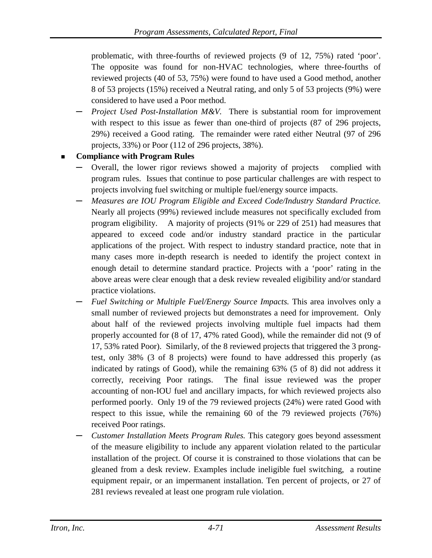problematic, with three-fourths of reviewed projects (9 of 12, 75%) rated 'poor'. The opposite was found for non-HVAC technologies, where three-fourths of reviewed projects (40 of 53, 75%) were found to have used a Good method, another 8 of 53 projects (15%) received a Neutral rating, and only 5 of 53 projects (9%) were considered to have used a Poor method.

**─** *Project Used Post-Installation M&V.* There is substantial room for improvement with respect to this issue as fewer than one-third of projects (87 of 296 projects, 29%) received a Good rating. The remainder were rated either Neutral (97 of 296 projects, 33%) or Poor (112 of 296 projects, 38%).

## **Compliance with Program Rules**

- **─** Overall, the lower rigor reviews showed a majority of projects complied with program rules. Issues that continue to pose particular challenges are with respect to projects involving fuel switching or multiple fuel/energy source impacts.
- **─** *Measures are IOU Program Eligible and Exceed Code/Industry Standard Practice.* Nearly all projects (99%) reviewed include measures not specifically excluded from program eligibility. A majority of projects (91% or 229 of 251) had measures that appeared to exceed code and/or industry standard practice in the particular applications of the project. With respect to industry standard practice, note that in many cases more in-depth research is needed to identify the project context in enough detail to determine standard practice. Projects with a 'poor' rating in the above areas were clear enough that a desk review revealed eligibility and/or standard practice violations.
- **─** *Fuel Switching or Multiple Fuel/Energy Source Impacts.* This area involves only a small number of reviewed projects but demonstrates a need for improvement. Only about half of the reviewed projects involving multiple fuel impacts had them properly accounted for (8 of 17, 47% rated Good), while the remainder did not (9 of 17, 53% rated Poor). Similarly, of the 8 reviewed projects that triggered the 3 prongtest, only 38% (3 of 8 projects) were found to have addressed this properly (as indicated by ratings of Good), while the remaining 63% (5 of 8) did not address it correctly, receiving Poor ratings. The final issue reviewed was the proper accounting of non-IOU fuel and ancillary impacts, for which reviewed projects also performed poorly. Only 19 of the 79 reviewed projects (24%) were rated Good with respect to this issue, while the remaining 60 of the 79 reviewed projects (76%) received Poor ratings.
- **─** *Customer Installation Meets Program Rules.* This category goes beyond assessment of the measure eligibility to include any apparent violation related to the particular installation of the project. Of course it is constrained to those violations that can be gleaned from a desk review. Examples include ineligible fuel switching, a routine equipment repair, or an impermanent installation. Ten percent of projects, or 27 of 281 reviews revealed at least one program rule violation.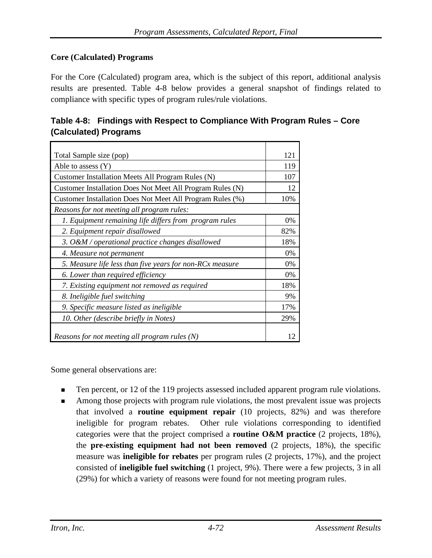## **Core (Calculated) Programs**

For the Core (Calculated) program area, which is the subject of this report, additional analysis results are presented. [Table 4-8](#page-134-0) below provides a general snapshot of findings related to compliance with specific types of program rules/rule violations.

| Total Sample size (pop)                                   | 121 |
|-----------------------------------------------------------|-----|
| Able to assess $(Y)$                                      | 119 |
| Customer Installation Meets All Program Rules (N)         | 107 |
| Customer Installation Does Not Meet All Program Rules (N) | 12  |
| Customer Installation Does Not Meet All Program Rules (%) | 10% |
| Reasons for not meeting all program rules:                |     |
| 1. Equipment remaining life differs from program rules    | 0%  |
| 2. Equipment repair disallowed                            | 82% |
| 3. O&M / operational practice changes disallowed          | 18% |
| 4. Measure not permanent                                  | 0%  |
| 5. Measure life less than five years for non-RCx measure  | 0%  |
| 6. Lower than required efficiency                         | 0%  |
| 7. Existing equipment not removed as required             | 18% |
| 8. Ineligible fuel switching                              | 9%  |
| 9. Specific measure listed as ineligible                  | 17% |
| 10. Other (describe briefly in Notes)                     | 29% |
| Reasons for not meeting all program rules (N)             | 12  |

<span id="page-134-0"></span>

| Table 4-8: Findings with Respect to Compliance With Program Rules – Core |
|--------------------------------------------------------------------------|
| (Calculated) Programs                                                    |

Some general observations are:

- Ten percent, or 12 of the 119 projects assessed included apparent program rule violations.
- Among those projects with program rule violations, the most prevalent issue was projects that involved a **routine equipment repair** (10 projects, 82%) and was therefore ineligible for program rebates. Other rule violations corresponding to identified categories were that the project comprised a **routine O&M practice** (2 projects, 18%), the **pre**-**existing equipment had not been removed** (2 projects, 18%), the specific measure was **ineligible for rebates** per program rules (2 projects, 17%), and the project consisted of **ineligible fuel switching** (1 project, 9%). There were a few projects, 3 in all (29%) for which a variety of reasons were found for not meeting program rules.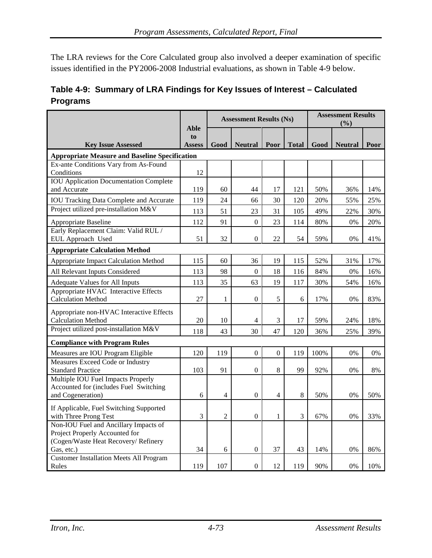The LRA reviews for the Core Calculated group also involved a deeper examination of specific issues identified in the PY2006-2008 Industrial evaluations, as shown in [Table 4-9](#page-135-0) below.

<span id="page-135-0"></span>

|                 | Table 4-9: Summary of LRA Findings for Key Issues of Interest – Calculated |
|-----------------|----------------------------------------------------------------------------|
| <b>Programs</b> |                                                                            |

|                                                                                                                               |                             |                | <b>Assessment Results (Ns)</b> |                  |              | <b>Assessment Results</b><br>(%) |                |      |  |
|-------------------------------------------------------------------------------------------------------------------------------|-----------------------------|----------------|--------------------------------|------------------|--------------|----------------------------------|----------------|------|--|
| <b>Key Issue Assessed</b>                                                                                                     | Able<br>to<br><b>Assess</b> | Good           | <b>Neutral</b>                 | Poor             | <b>Total</b> | Good                             | <b>Neutral</b> | Poor |  |
| <b>Appropriate Measure and Baseline Specification</b>                                                                         |                             |                |                                |                  |              |                                  |                |      |  |
| Ex-ante Conditions Vary from As-Found<br>Conditions                                                                           | 12                          |                |                                |                  |              |                                  |                |      |  |
| <b>IOU</b> Application Documentation Complete<br>and Accurate                                                                 | 119                         | 60             | 44                             | 17               | 121          | 50%                              | 36%            | 14%  |  |
| <b>IOU Tracking Data Complete and Accurate</b>                                                                                | 119                         | 24             | 66                             | 30               | 120          | 20%                              | 55%            | 25%  |  |
| Project utilized pre-installation M&V                                                                                         | 113                         | 51             | 23                             | 31               | 105          | 49%                              | 22%            | 30%  |  |
| Appropriate Baseline                                                                                                          | 112                         | 91             | $\boldsymbol{0}$               | 23               | 114          | 80%                              | 0%             | 20%  |  |
| Early Replacement Claim: Valid RUL /<br>EUL Approach Used                                                                     | 51                          | 32             | $\Omega$                       | 22               | 54           | 59%                              | 0%             | 41%  |  |
| <b>Appropriate Calculation Method</b>                                                                                         |                             |                |                                |                  |              |                                  |                |      |  |
| Appropriate Impact Calculation Method                                                                                         | 115                         | 60             | 36                             | 19               | 115          | 52%                              | 31%            | 17%  |  |
| All Relevant Inputs Considered                                                                                                | 113                         | 98             | $\overline{0}$                 | 18               | 116          | 84%                              | 0%             | 16%  |  |
| Adequate Values for All Inputs                                                                                                | 113                         | 35             | 63                             | 19               | 117          | 30%                              | 54%            | 16%  |  |
| Appropriate HVAC Interactive Effects<br><b>Calculation Method</b>                                                             | 27                          | 1              | $\overline{0}$                 | 5                | 6            | 17%                              | 0%             | 83%  |  |
| Appropriate non-HVAC Interactive Effects<br><b>Calculation Method</b>                                                         | 20                          | 10             | $\overline{4}$                 | 3                | 17           | 59%                              | 24%            | 18%  |  |
| Project utilized post-installation M&V                                                                                        | 118                         | 43             | 30                             | 47               | 120          | 36%                              | 25%            | 39%  |  |
| <b>Compliance with Program Rules</b>                                                                                          |                             |                |                                |                  |              |                                  |                |      |  |
| Measures are IOU Program Eligible                                                                                             | 120                         | 119            | $\boldsymbol{0}$               | $\boldsymbol{0}$ | 119          | 100%                             | 0%             | 0%   |  |
| Measures Exceed Code or Industry                                                                                              |                             |                |                                |                  |              |                                  |                |      |  |
| <b>Standard Practice</b>                                                                                                      | 103                         | 91             | $\boldsymbol{0}$               | 8                | 99           | 92%                              | 0%             | 8%   |  |
| Multiple IOU Fuel Impacts Properly<br>Accounted for (includes Fuel Switching<br>and Cogeneration)                             | 6                           | 4              | $\boldsymbol{0}$               | $\overline{4}$   | $\,8\,$      | 50%                              | 0%             | 50%  |  |
| If Applicable, Fuel Switching Supported<br>with Three Prong Test                                                              | 3                           | $\overline{2}$ | $\boldsymbol{0}$               | $\mathbf{1}$     | 3            | 67%                              | 0%             | 33%  |  |
| Non-IOU Fuel and Ancillary Impacts of<br>Project Properly Accounted for<br>(Cogen/Waste Heat Recovery/ Refinery<br>Gas, etc.) | 34                          | 6              | $\overline{0}$                 | 37               | 43           | 14%                              | 0%             | 86%  |  |
| <b>Customer Installation Meets All Program</b><br>Rules                                                                       | 119                         | 107            | $\boldsymbol{0}$               | 12               | 119          | 90%                              | 0%             | 10%  |  |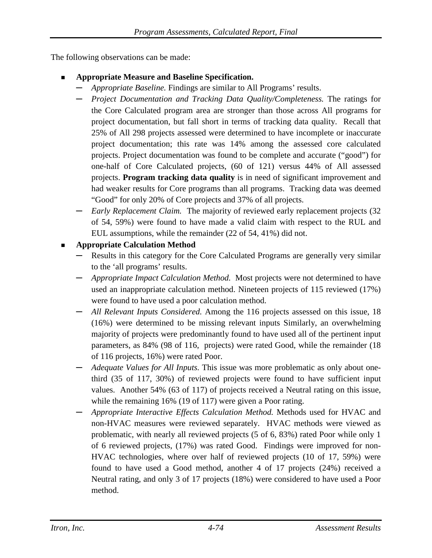The following observations can be made:

- **Appropriate Measure and Baseline Specification.**
	- **─** *Appropriate Baseline.* Findings are similar to All Programs' results.
	- **─** *Project Documentation and Tracking Data Quality/Completeness.* The ratings for the Core Calculated program area are stronger than those across All programs for project documentation, but fall short in terms of tracking data quality. Recall that 25% of All 298 projects assessed were determined to have incomplete or inaccurate project documentation; this rate was 14% among the assessed core calculated projects. Project documentation was found to be complete and accurate ("good") for one-half of Core Calculated projects, (60 of 121) versus 44% of All assessed projects. **Program tracking data quality** is in need of significant improvement and had weaker results for Core programs than all programs. Tracking data was deemed "Good" for only 20% of Core projects and 37% of all projects.
	- **─** *Early Replacement Claim.* The majority of reviewed early replacement projects (32 of 54, 59%) were found to have made a valid claim with respect to the RUL and EUL assumptions, while the remainder (22 of 54, 41%) did not.

### **Appropriate Calculation Method**

- Results in this category for the Core Calculated Programs are generally very similar to the 'all programs' results.
- **─** *Appropriate Impact Calculation Method.* Most projects were not determined to have used an inappropriate calculation method. Nineteen projects of 115 reviewed (17%) were found to have used a poor calculation method.
- **─** *All Relevant Inputs Considered.* Among the 116 projects assessed on this issue, 18 (16%) were determined to be missing relevant inputs Similarly, an overwhelming majority of projects were predominantly found to have used all of the pertinent input parameters, as 84% (98 of 116, projects) were rated Good, while the remainder (18 of 116 projects, 16%) were rated Poor.
- **─** *Adequate Values for All Inputs.* This issue was more problematic as only about onethird (35 of 117, 30%) of reviewed projects were found to have sufficient input values. Another 54% (63 of 117) of projects received a Neutral rating on this issue, while the remaining 16% (19 of 117) were given a Poor rating.
- **─** *Appropriate Interactive Effects Calculation Method.* Methods used for HVAC and non-HVAC measures were reviewed separately. HVAC methods were viewed as problematic, with nearly all reviewed projects (5 of 6, 83%) rated Poor while only 1 of 6 reviewed projects, (17%) was rated Good. Findings were improved for non-HVAC technologies, where over half of reviewed projects (10 of 17, 59%) were found to have used a Good method, another 4 of 17 projects (24%) received a Neutral rating, and only 3 of 17 projects (18%) were considered to have used a Poor method.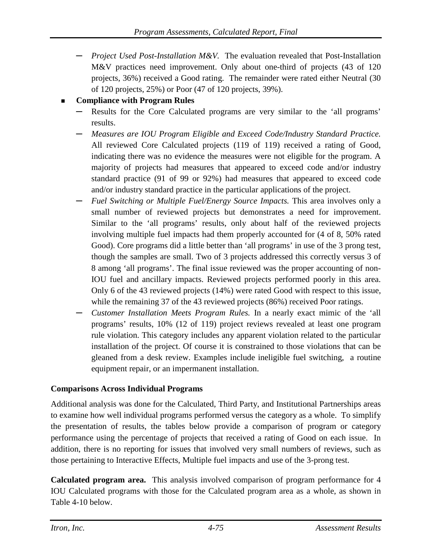**─** *Project Used Post-Installation M&V.* The evaluation revealed that Post-Installation M&V practices need improvement. Only about one-third of projects (43 of 120 projects, 36%) received a Good rating. The remainder were rated either Neutral (30 of 120 projects, 25%) or Poor (47 of 120 projects, 39%).

## **Compliance with Program Rules**

- Results for the Core Calculated programs are very similar to the 'all programs' results.
- **─** *Measures are IOU Program Eligible and Exceed Code/Industry Standard Practice.* All reviewed Core Calculated projects (119 of 119) received a rating of Good, indicating there was no evidence the measures were not eligible for the program. A majority of projects had measures that appeared to exceed code and/or industry standard practice (91 of 99 or 92%) had measures that appeared to exceed code and/or industry standard practice in the particular applications of the project.
- **─** *Fuel Switching or Multiple Fuel/Energy Source Impacts.* This area involves only a small number of reviewed projects but demonstrates a need for improvement. Similar to the 'all programs' results, only about half of the reviewed projects involving multiple fuel impacts had them properly accounted for (4 of 8, 50% rated Good). Core programs did a little better than 'all programs' in use of the 3 prong test, though the samples are small. Two of 3 projects addressed this correctly versus 3 of 8 among 'all programs'. The final issue reviewed was the proper accounting of non-IOU fuel and ancillary impacts. Reviewed projects performed poorly in this area. Only 6 of the 43 reviewed projects (14%) were rated Good with respect to this issue, while the remaining 37 of the 43 reviewed projects (86%) received Poor ratings.
- **─** *Customer Installation Meets Program Rules.* In a nearly exact mimic of the 'all programs' results, 10% (12 of 119) project reviews revealed at least one program rule violation. This category includes any apparent violation related to the particular installation of the project. Of course it is constrained to those violations that can be gleaned from a desk review. Examples include ineligible fuel switching, a routine equipment repair, or an impermanent installation.

### **Comparisons Across Individual Programs**

Additional analysis was done for the Calculated, Third Party, and Institutional Partnerships areas to examine how well individual programs performed versus the category as a whole. To simplify the presentation of results, the tables below provide a comparison of program or category performance using the percentage of projects that received a rating of Good on each issue. In addition, there is no reporting for issues that involved very small numbers of reviews, such as those pertaining to Interactive Effects, Multiple fuel impacts and use of the 3-prong test.

**Calculated program area.** This analysis involved comparison of program performance for 4 IOU Calculated programs with those for the Calculated program area as a whole, as shown in [Table 4-10](#page-139-0) below.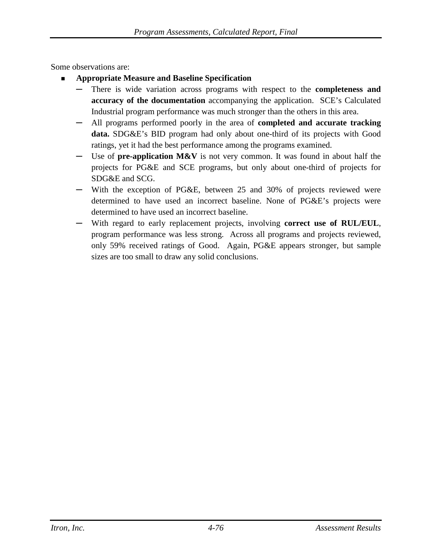Some observations are:

- **Appropriate Measure and Baseline Specification**
	- There is wide variation across programs with respect to the **completeness and accuracy of the documentation** accompanying the application. SCE's Calculated Industrial program performance was much stronger than the others in this area.
	- **─** All programs performed poorly in the area of **completed and accurate tracking data.** SDG&E's BID program had only about one-third of its projects with Good ratings, yet it had the best performance among the programs examined.
	- Use of **pre-application M&V** is not very common. It was found in about half the projects for PG&E and SCE programs, but only about one-third of projects for SDG&E and SCG.
	- **─** With the exception of PG&E, between 25 and 30% of projects reviewed were determined to have used an incorrect baseline. None of PG&E's projects were determined to have used an incorrect baseline.
	- **─** With regard to early replacement projects, involving **correct use of RUL/EUL**, program performance was less strong. Across all programs and projects reviewed, only 59% received ratings of Good. Again, PG&E appears stronger, but sample sizes are too small to draw any solid conclusions.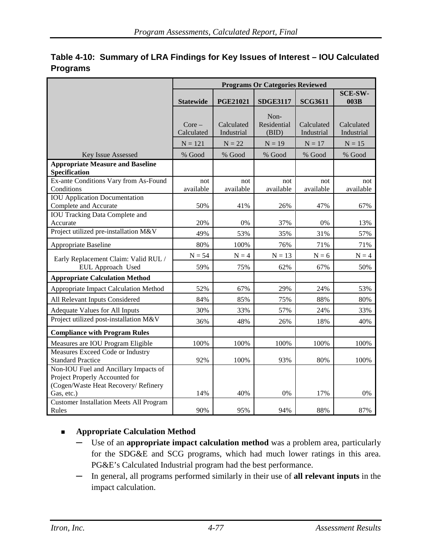|                                                                                                                               | <b>Programs Or Categories Reviewed</b> |                          |                              |                          |                          |  |  |
|-------------------------------------------------------------------------------------------------------------------------------|----------------------------------------|--------------------------|------------------------------|--------------------------|--------------------------|--|--|
|                                                                                                                               | <b>Statewide</b>                       | <b>PGE21021</b>          | <b>SDGE3117</b>              | <b>SCG3611</b>           | <b>SCE-SW-</b><br>003B   |  |  |
|                                                                                                                               | $Core-$<br>Calculated                  | Calculated<br>Industrial | Non-<br>Residential<br>(BID) | Calculated<br>Industrial | Calculated<br>Industrial |  |  |
|                                                                                                                               | $N = 121$                              | $N = 22$                 | $N = 19$                     | $N = 17$                 | $N = 15$                 |  |  |
| Key Issue Assessed                                                                                                            | % Good                                 | % Good                   | % Good                       | % Good                   | % Good                   |  |  |
| <b>Appropriate Measure and Baseline</b><br>Specification                                                                      |                                        |                          |                              |                          |                          |  |  |
| Ex-ante Conditions Vary from As-Found<br>Conditions                                                                           | not<br>available                       | not<br>available         | not<br>available             | not<br>available         | not<br>available         |  |  |
| <b>IOU</b> Application Documentation<br>Complete and Accurate                                                                 | 50%                                    | 41%                      | 26%                          | 47%                      | 67%                      |  |  |
| <b>IOU Tracking Data Complete and</b><br>Accurate                                                                             | 20%                                    | 0%                       | 37%                          | 0%                       | 13%                      |  |  |
| Project utilized pre-installation M&V                                                                                         | 49%                                    | 53%                      | 35%                          | 31%                      | 57%                      |  |  |
| Appropriate Baseline                                                                                                          | 80%                                    | 100%                     | 76%                          | 71%                      | 71%                      |  |  |
| Early Replacement Claim: Valid RUL /                                                                                          | $N = 54$                               | $N = 4$                  | $N = 13$                     | $N = 6$                  | $N = 4$                  |  |  |
| EUL Approach Used                                                                                                             | 59%                                    | 75%                      | 62%                          | 67%                      | 50%                      |  |  |
| <b>Appropriate Calculation Method</b>                                                                                         |                                        |                          |                              |                          |                          |  |  |
| Appropriate Impact Calculation Method                                                                                         | 52%                                    | 67%                      | 29%                          | 24%                      | 53%                      |  |  |
| All Relevant Inputs Considered                                                                                                | 84%                                    | 85%                      | 75%                          | 88%                      | 80%                      |  |  |
| <b>Adequate Values for All Inputs</b>                                                                                         | 30%                                    | 33%                      | 57%                          | 24%                      | 33%                      |  |  |
| Project utilized post-installation M&V                                                                                        | 36%                                    | 48%                      | 26%                          | 18%                      | 40%                      |  |  |
| <b>Compliance with Program Rules</b>                                                                                          |                                        |                          |                              |                          |                          |  |  |
| Measures are IOU Program Eligible                                                                                             | 100%                                   | 100%                     | 100%                         | 100%                     | 100%                     |  |  |
| Measures Exceed Code or Industry<br><b>Standard Practice</b>                                                                  | 92%                                    | 100%                     | 93%                          | 80%                      | 100%                     |  |  |
| Non-IOU Fuel and Ancillary Impacts of<br>Project Properly Accounted for<br>(Cogen/Waste Heat Recovery/ Refinery<br>Gas, etc.) | 14%                                    | 40%                      | 0%                           | 17%                      | 0%                       |  |  |
| <b>Customer Installation Meets All Program</b>                                                                                |                                        |                          |                              |                          |                          |  |  |
| Rules                                                                                                                         | 90%                                    | 95%                      | 94%                          | 88%                      | 87%                      |  |  |

## <span id="page-139-0"></span>**Table 4-10: Summary of LRA Findings for Key Issues of Interest – IOU Calculated Programs**

### **Appropriate Calculation Method**

- **─** Use of an **appropriate impact calculation method** was a problem area, particularly for the SDG&E and SCG programs, which had much lower ratings in this area. PG&E's Calculated Industrial program had the best performance.
- **─** In general, all programs performed similarly in their use of **all relevant inputs** in the impact calculation.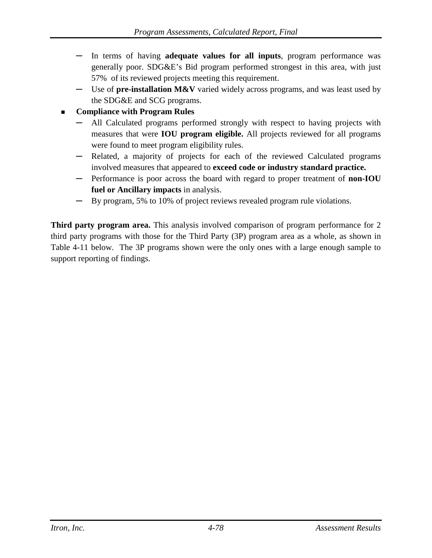- **─** In terms of having **adequate values for all inputs**, program performance was generally poor. SDG&E's Bid program performed strongest in this area, with just 57% of its reviewed projects meeting this requirement.
- **─** Use of **pre-installation M&V** varied widely across programs, and was least used by the SDG&E and SCG programs.

## **Compliance with Program Rules**

- **─** All Calculated programs performed strongly with respect to having projects with measures that were **IOU program eligible.** All projects reviewed for all programs were found to meet program eligibility rules.
- **─** Related, a majority of projects for each of the reviewed Calculated programs involved measures that appeared to **exceed code or industry standard practice.**
- **─** Performance is poor across the board with regard to proper treatment of **non-IOU fuel or Ancillary impacts** in analysis.
- **─** By program, 5% to 10% of project reviews revealed program rule violations.

**Third party program area.** This analysis involved comparison of program performance for 2 third party programs with those for the Third Party (3P) program area as a whole, as shown in [Table 4-11](#page-141-0) below. The 3P programs shown were the only ones with a large enough sample to support reporting of findings.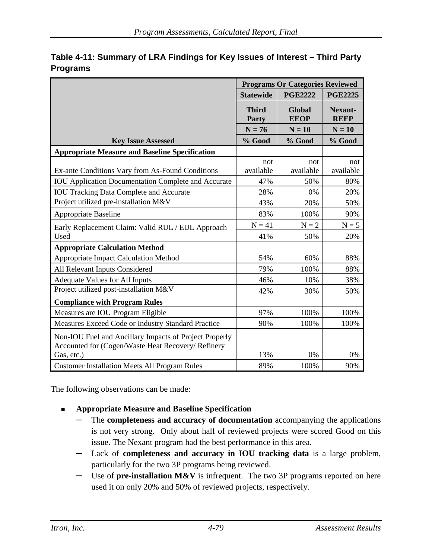|                                                                                                              | <b>Programs Or Categories Reviewed</b> |                              |                        |  |
|--------------------------------------------------------------------------------------------------------------|----------------------------------------|------------------------------|------------------------|--|
|                                                                                                              | <b>Statewide</b>                       | <b>PGE2222</b>               | <b>PGE2225</b>         |  |
|                                                                                                              | <b>Third</b><br><b>Party</b>           | <b>Global</b><br><b>EEOP</b> | Nexant-<br><b>REEP</b> |  |
|                                                                                                              | $N = 76$                               | $N = 10$                     | $N = 10$               |  |
| <b>Key Issue Assessed</b>                                                                                    | % Good                                 | % Good                       | % Good                 |  |
| <b>Appropriate Measure and Baseline Specification</b>                                                        |                                        |                              |                        |  |
| Ex-ante Conditions Vary from As-Found Conditions                                                             | not<br>available                       | not<br>available             | not<br>available       |  |
| <b>IOU</b> Application Documentation Complete and Accurate                                                   | 47%                                    | 50%                          | 80%                    |  |
| <b>IOU Tracking Data Complete and Accurate</b>                                                               | 28%                                    | 0%                           | 20%                    |  |
| Project utilized pre-installation M&V                                                                        | 43%                                    | 20%                          | 50%                    |  |
| <b>Appropriate Baseline</b>                                                                                  | 83%                                    | 100%                         | 90%                    |  |
| Early Replacement Claim: Valid RUL / EUL Approach                                                            | $N = 41$                               | $N = 2$                      | $N = 5$                |  |
| Used                                                                                                         | 41%                                    | 50%                          | 20%                    |  |
| <b>Appropriate Calculation Method</b>                                                                        |                                        |                              |                        |  |
| Appropriate Impact Calculation Method                                                                        | 54%                                    | 60%                          | 88%                    |  |
| All Relevant Inputs Considered                                                                               | 79%                                    | 100%                         | 88%                    |  |
| <b>Adequate Values for All Inputs</b>                                                                        | 46%                                    | 10%                          | 38%                    |  |
| Project utilized post-installation M&V                                                                       | 42%                                    | 30%                          | 50%                    |  |
| <b>Compliance with Program Rules</b>                                                                         |                                        |                              |                        |  |
| Measures are IOU Program Eligible                                                                            | 97%                                    | 100%                         | 100%                   |  |
| Measures Exceed Code or Industry Standard Practice                                                           | 90%                                    | 100%                         | 100%                   |  |
| Non-IOU Fuel and Ancillary Impacts of Project Properly<br>Accounted for (Cogen/Waste Heat Recovery/ Refinery |                                        |                              |                        |  |
| Gas, etc.)                                                                                                   | 13%                                    | 0%                           | 0%                     |  |
| <b>Customer Installation Meets All Program Rules</b>                                                         | 89%                                    | 100%                         | 90%                    |  |

## <span id="page-141-0"></span>**Table 4-11: Summary of LRA Findings for Key Issues of Interest – Third Party Programs**

The following observations can be made:

- **Appropriate Measure and Baseline Specification**
	- **─** The **completeness and accuracy of documentation** accompanying the applications is not very strong. Only about half of reviewed projects were scored Good on this issue. The Nexant program had the best performance in this area.
	- **─** Lack of **completeness and accuracy in IOU tracking data** is a large problem, particularly for the two 3P programs being reviewed.
	- **─** Use of **pre-installation M&V** is infrequent. The two 3P programs reported on here used it on only 20% and 50% of reviewed projects, respectively.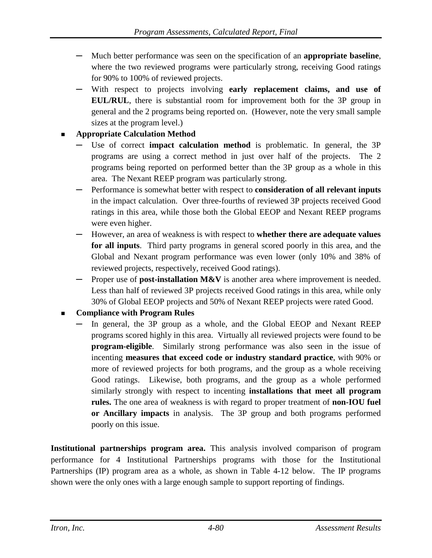- **─** Much better performance was seen on the specification of an **appropriate baseline**, where the two reviewed programs were particularly strong, receiving Good ratings for 90% to 100% of reviewed projects.
- **─** With respect to projects involving **early replacement claims, and use of EUL/RUL**, there is substantial room for improvement both for the 3P group in general and the 2 programs being reported on. (However, note the very small sample sizes at the program level.)

## **Appropriate Calculation Method**

- Use of correct **impact calculation method** is problematic. In general, the 3P programs are using a correct method in just over half of the projects. The 2 programs being reported on performed better than the 3P group as a whole in this area. The Nexant REEP program was particularly strong.
- **─** Performance is somewhat better with respect to **consideration of all relevant inputs** in the impact calculation. Over three-fourths of reviewed 3P projects received Good ratings in this area, while those both the Global EEOP and Nexant REEP programs were even higher.
- **─** However, an area of weakness is with respect to **whether there are adequate values for all inputs**. Third party programs in general scored poorly in this area, and the Global and Nexant program performance was even lower (only 10% and 38% of reviewed projects, respectively, received Good ratings).
- **─** Proper use of **post-installation M&V** is another area where improvement is needed. Less than half of reviewed 3P projects received Good ratings in this area, while only 30% of Global EEOP projects and 50% of Nexant REEP projects were rated Good.

## **Compliance with Program Rules**

In general, the 3P group as a whole, and the Global EEOP and Nexant REEP programs scored highly in this area. Virtually all reviewed projects were found to be **program-eligible**. Similarly strong performance was also seen in the issue of incenting **measures that exceed code or industry standard practice**, with 90% or more of reviewed projects for both programs, and the group as a whole receiving Good ratings. Likewise, both programs, and the group as a whole performed similarly strongly with respect to incenting **installations that meet all program rules.** The one area of weakness is with regard to proper treatment of **non-IOU fuel or Ancillary impacts** in analysis. The 3P group and both programs performed poorly on this issue.

**Institutional partnerships program area.** This analysis involved comparison of program performance for 4 Institutional Partnerships programs with those for the Institutional Partnerships (IP) program area as a whole, as shown in [Table 4-12](#page-143-0) below. The IP programs shown were the only ones with a large enough sample to support reporting of findings.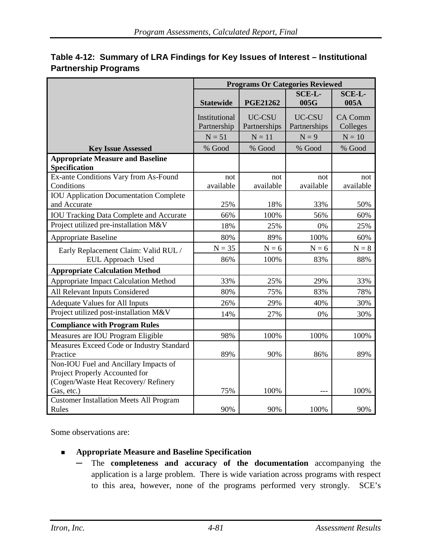|                                                                                                                 | <b>Programs Or Categories Reviewed</b> |                        |                        |                            |  |  |
|-----------------------------------------------------------------------------------------------------------------|----------------------------------------|------------------------|------------------------|----------------------------|--|--|
|                                                                                                                 | <b>Statewide</b>                       | <b>PGE21262</b>        | <b>SCE-L-</b><br>005G  | SCE-L-<br>005A             |  |  |
|                                                                                                                 | Institutional<br>Partnership           | UC-CSU<br>Partnerships | UC-CSU<br>Partnerships | <b>CA Comm</b><br>Colleges |  |  |
|                                                                                                                 | $N = 51$                               | $N = 11$               | $N = 9$                | $N = 10$                   |  |  |
| <b>Key Issue Assessed</b>                                                                                       | % Good                                 | % Good                 | % Good                 | % Good                     |  |  |
| <b>Appropriate Measure and Baseline</b><br>Specification                                                        |                                        |                        |                        |                            |  |  |
| Ex-ante Conditions Vary from As-Found<br>Conditions                                                             | not<br>available                       | not<br>available       | not<br>available       | not<br>available           |  |  |
| <b>IOU</b> Application Documentation Complete<br>and Accurate                                                   | 25%                                    | 18%                    | 33%                    | 50%                        |  |  |
| <b>IOU Tracking Data Complete and Accurate</b>                                                                  | 66%                                    | 100%                   | 56%                    | 60%                        |  |  |
| Project utilized pre-installation M&V                                                                           | 18%                                    | 25%                    | 0%                     | 25%                        |  |  |
| <b>Appropriate Baseline</b>                                                                                     | 80%                                    | 89%                    | 100%                   | 60%                        |  |  |
| Early Replacement Claim: Valid RUL /                                                                            | $N = 35$                               | $N = 6$                | $N = 6$                | $N = 8$                    |  |  |
| EUL Approach Used                                                                                               | 86%                                    | 100%                   | 83%                    | 88%                        |  |  |
| <b>Appropriate Calculation Method</b>                                                                           |                                        |                        |                        |                            |  |  |
| Appropriate Impact Calculation Method                                                                           | 33%                                    | 25%                    | 29%                    | 33%                        |  |  |
| All Relevant Inputs Considered                                                                                  | 80%                                    | 75%                    | 83%                    | 78%                        |  |  |
| <b>Adequate Values for All Inputs</b>                                                                           | 26%                                    | 29%                    | 40%                    | 30%                        |  |  |
| Project utilized post-installation M&V                                                                          | 14%                                    | 27%                    | 0%                     | 30%                        |  |  |
| <b>Compliance with Program Rules</b>                                                                            |                                        |                        |                        |                            |  |  |
| Measures are IOU Program Eligible                                                                               | 98%                                    | 100%                   | 100%                   | 100%                       |  |  |
| Measures Exceed Code or Industry Standard<br>Practice                                                           | 89%                                    | 90%                    | 86%                    | 89%                        |  |  |
| Non-IOU Fuel and Ancillary Impacts of<br>Project Properly Accounted for<br>(Cogen/Waste Heat Recovery/ Refinery |                                        |                        |                        |                            |  |  |
| Gas, etc.)                                                                                                      | 75%                                    | 100%                   |                        | 100%                       |  |  |
| <b>Customer Installation Meets All Program</b><br>Rules                                                         | 90%                                    | 90%                    | 100%                   | 90%                        |  |  |

## <span id="page-143-0"></span>**Table 4-12: Summary of LRA Findings for Key Issues of Interest – Institutional Partnership Programs**

Some observations are:

- **Appropriate Measure and Baseline Specification**
	- **─** The **completeness and accuracy of the documentation** accompanying the application is a large problem. There is wide variation across programs with respect to this area, however, none of the programs performed very strongly. SCE's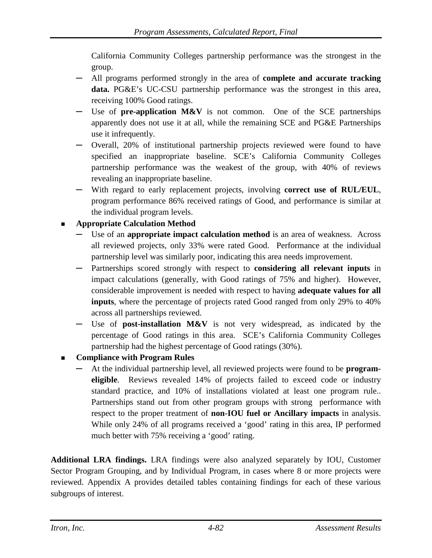California Community Colleges partnership performance was the strongest in the group.

- **─** All programs performed strongly in the area of **complete and accurate tracking data.** PG&E's UC-CSU partnership performance was the strongest in this area, receiving 100% Good ratings.
- **─** Use of **pre-application M&V** is not common. One of the SCE partnerships apparently does not use it at all, while the remaining SCE and PG&E Partnerships use it infrequently.
- **─** Overall, 20% of institutional partnership projects reviewed were found to have specified an inappropriate baseline. SCE's California Community Colleges partnership performance was the weakest of the group, with 40% of reviews revealing an inappropriate baseline.
- **─** With regard to early replacement projects, involving **correct use of RUL/EUL**, program performance 86% received ratings of Good, and performance is similar at the individual program levels.

# **Appropriate Calculation Method**

- Use of an **appropriate impact calculation method** is an area of weakness. Across all reviewed projects, only 33% were rated Good. Performance at the individual partnership level was similarly poor, indicating this area needs improvement.
- **─** Partnerships scored strongly with respect to **considering all relevant inputs** in impact calculations (generally, with Good ratings of 75% and higher). However, considerable improvement is needed with respect to having **adequate values for all inputs**, where the percentage of projects rated Good ranged from only 29% to 40% across all partnerships reviewed.
- **─** Use of **post-installation M&V** is not very widespread, as indicated by the percentage of Good ratings in this area. SCE's California Community Colleges partnership had the highest percentage of Good ratings (30%).
- **Compliance with Program Rules**
	- **─** At the individual partnership level, all reviewed projects were found to be **programeligible**. Reviews revealed 14% of projects failed to exceed code or industry standard practice, and 10% of installations violated at least one program rule.. Partnerships stand out from other program groups with strong performance with respect to the proper treatment of **non-IOU fuel or Ancillary impacts** in analysis. While only 24% of all programs received a 'good' rating in this area, IP performed much better with 75% receiving a 'good' rating.

**Additional LRA findings.** LRA findings were also analyzed separately by IOU, Customer Sector Program Grouping, and by Individual Program, in cases where 8 or more projects were reviewed. Appendix A provides detailed tables containing findings for each of these various subgroups of interest.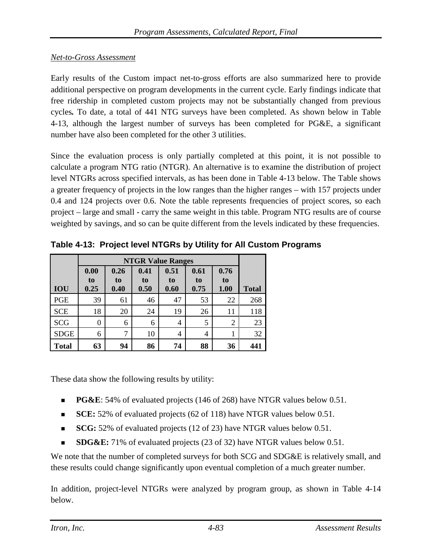### *Net-to-Gross Assessment*

Early results of the Custom impact net-to-gross efforts are also summarized here to provide additional perspective on program developments in the current cycle. Early findings indicate that free ridership in completed custom projects may not be substantially changed from previous cycles*.* To date, a total of 441 NTG surveys have been completed. As shown below in [Table](#page-145-0)  [4-13,](#page-145-0) although the largest number of surveys has been completed for PG&E, a significant number have also been completed for the other 3 utilities.

Since the evaluation process is only partially completed at this point, it is not possible to calculate a program NTG ratio (NTGR). An alternative is to examine the distribution of project level NTGRs across specified intervals, as has been done in [Table 4-13](#page-145-0) below. The Table shows a greater frequency of projects in the low ranges than the higher ranges – with 157 projects under 0.4 and 124 projects over 0.6. Note the table represents frequencies of project scores, so each project – large and small - carry the same weight in this table. Program NTG results are of course weighted by savings, and so can be quite different from the levels indicated by these frequencies.

|              | <b>NTGR Value Ranges</b> |            |            |            |            |                |              |  |  |  |
|--------------|--------------------------|------------|------------|------------|------------|----------------|--------------|--|--|--|
|              | 0.00                     | 0.26       | 0.41       | 0.51       | 0.61       | 0.76           |              |  |  |  |
| <b>IOU</b>   | to<br>0.25               | to<br>0.40 | to<br>0.50 | to<br>0.60 | to<br>0.75 | to<br>1.00     | <b>Total</b> |  |  |  |
| <b>PGE</b>   | 39                       | 61         | 46         | 47         | 53         | 22             | 268          |  |  |  |
| <b>SCE</b>   | 18                       | 20         | 24         | 19         | 26         | 11             | 118          |  |  |  |
| <b>SCG</b>   | 0                        | 6          | 6          | 4          | 5          | $\overline{2}$ | 23           |  |  |  |
| <b>SDGE</b>  | 6                        | 7          | 10         | 4          | 4          |                | 32           |  |  |  |
| <b>Total</b> | 63                       | 94         | 86         | 74         | 88         | 36             | 441          |  |  |  |

<span id="page-145-0"></span>**Table 4-13: Project level NTGRs by Utility for All Custom Programs**

These data show the following results by utility:

- **PG&E**: 54% of evaluated projects (146 of 268) have NTGR values below 0.51.
- **SCE:** 52% of evaluated projects (62 of 118) have NTGR values below 0.51.
- **SCG:** 52% of evaluated projects (12 of 23) have NTGR values below 0.51.
- **SDG&E:** 71% of evaluated projects (23 of 32) have NTGR values below 0.51.

We note that the number of completed surveys for both SCG and SDG&E is relatively small, and these results could change significantly upon eventual completion of a much greater number.

In addition, project-level NTGRs were analyzed by program group, as shown in [Table 4-14](#page-146-0) below.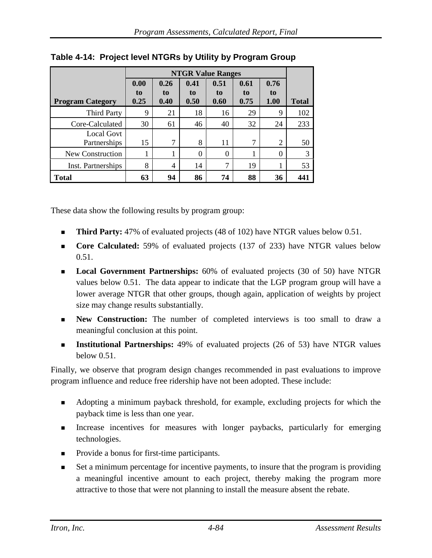|                            | <b>NTGR Value Ranges</b> |                    |                    |                    |                    |                           |              |
|----------------------------|--------------------------|--------------------|--------------------|--------------------|--------------------|---------------------------|--------------|
| <b>Program Category</b>    | 0.00<br>to<br>0.25       | 0.26<br>to<br>0.40 | 0.41<br>to<br>0.50 | 0.51<br>to<br>0.60 | 0.61<br>to<br>0.75 | 0.76<br>to<br><b>1.00</b> | <b>Total</b> |
| <b>Third Party</b>         | 9                        | 21                 | 18                 | 16                 | 29                 | 9                         | 102          |
| Core-Calculated            | 30                       | 61                 | 46                 | 40                 | 32                 | 24                        | 233          |
| Local Govt<br>Partnerships | 15                       | $\mathcal{I}$      | 8                  | 11                 | 7                  | 2                         | 50           |
| New Construction           |                          |                    | 0                  | $\Omega$           |                    | $\theta$                  | 3            |
| Inst. Partnerships         | 8                        | 4                  | 14                 | 7                  | 19                 | 1                         | 53           |
| <b>Total</b>               | 63                       | 94                 | 86                 | 74                 | 88                 | 36                        | 441          |

<span id="page-146-0"></span>**Table 4-14: Project level NTGRs by Utility by Program Group**

These data show the following results by program group:

- **Third Party:** 47% of evaluated projects (48 of 102) have NTGR values below 0.51.
- **Core Calculated:** 59% of evaluated projects (137 of 233) have NTGR values below 0.51.
- **Local Government Partnerships:** 60% of evaluated projects (30 of 50) have NTGR values below 0.51. The data appear to indicate that the LGP program group will have a lower average NTGR that other groups, though again, application of weights by project size may change results substantially.
- **New Construction:** The number of completed interviews is too small to draw a meaningful conclusion at this point.
- **Institutional Partnerships:** 49% of evaluated projects (26 of 53) have NTGR values below 0.51.

Finally, we observe that program design changes recommended in past evaluations to improve program influence and reduce free ridership have not been adopted. These include:

- Adopting a minimum payback threshold, for example, excluding projects for which the payback time is less than one year.
- Increase incentives for measures with longer paybacks, particularly for emerging technologies.
- Provide a bonus for first-time participants.
- Set a minimum percentage for incentive payments, to insure that the program is providing a meaningful incentive amount to each project, thereby making the program more attractive to those that were not planning to install the measure absent the rebate.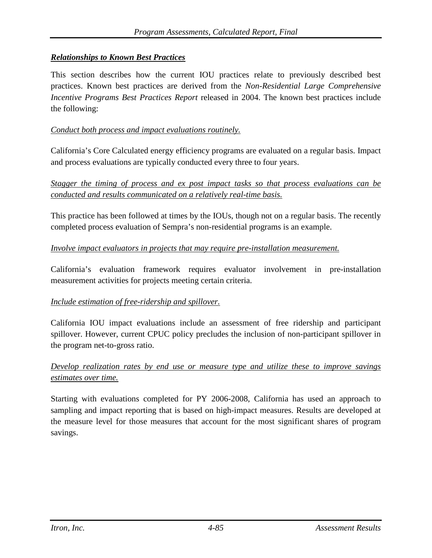## *Relationships to Known Best Practices*

This section describes how the current IOU practices relate to previously described best practices. Known best practices are derived from the *Non-Residential Large Comprehensive Incentive Programs Best Practices Report* released in 2004. The known best practices include the following:

## *Conduct both process and impact evaluations routinely.*

California's Core Calculated energy efficiency programs are evaluated on a regular basis. Impact and process evaluations are typically conducted every three to four years.

*Stagger the timing of process and ex post impact tasks so that process evaluations can be conducted and results communicated on a relatively real-time basis.*

This practice has been followed at times by the IOUs, though not on a regular basis. The recently completed process evaluation of Sempra's non-residential programs is an example.

### *Involve impact evaluators in projects that may require pre-installation measurement.*

California's evaluation framework requires evaluator involvement in pre-installation measurement activities for projects meeting certain criteria.

### *Include estimation of free-ridership and spillover.*

California IOU impact evaluations include an assessment of free ridership and participant spillover. However, current CPUC policy precludes the inclusion of non-participant spillover in the program net-to-gross ratio.

# *Develop realization rates by end use or measure type and utilize these to improve savings estimates over time.*

Starting with evaluations completed for PY 2006-2008, California has used an approach to sampling and impact reporting that is based on high-impact measures. Results are developed at the measure level for those measures that account for the most significant shares of program savings.